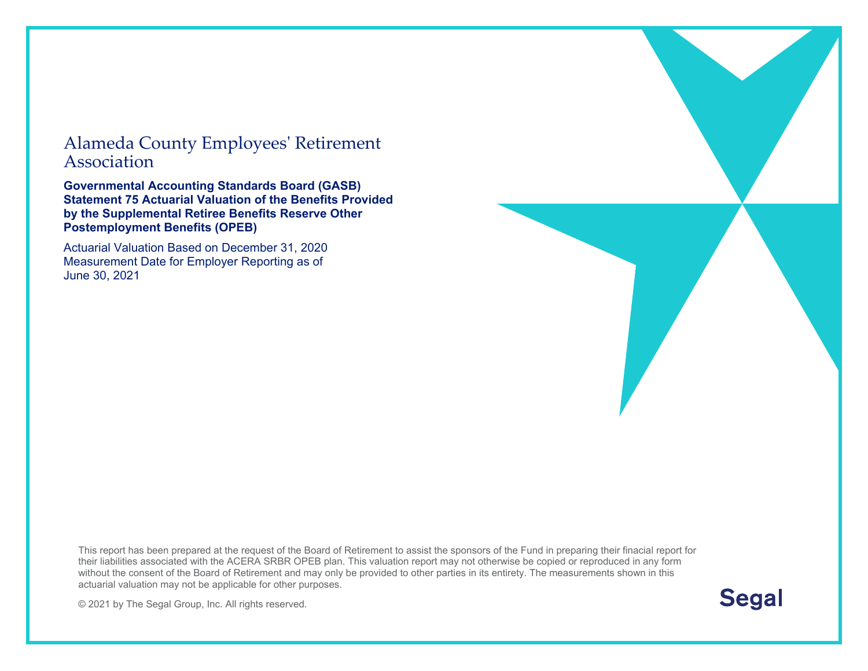## Alameda County Employeesʹ Retirement Association

**Governmental Accounting Standards Board (GASB) Statement 75 Actuarial Valuation of the Benefits Provided by the Supplemental Retiree Benefits Reserve Other Postemployment Benefits (OPEB)** 

Actuarial Valuation Based on December 31, 2020 Measurement Date for Employer Reporting as of June 30, 2021

This report has been prepared at the request of the Board of Retirement to assist the sponsors of the Fund in preparing their finacial report for their liabilities associated with the ACERA SRBR OPEB plan. This valuation report may not otherwise be copied or reproduced in any form without the consent of the Board of Retirement and may only be provided to other parties in its entirety. The measurements shown in this actuarial valuation may not be applicable for other purposes.

© 2021 by The Segal Group, Inc. All rights reserved.

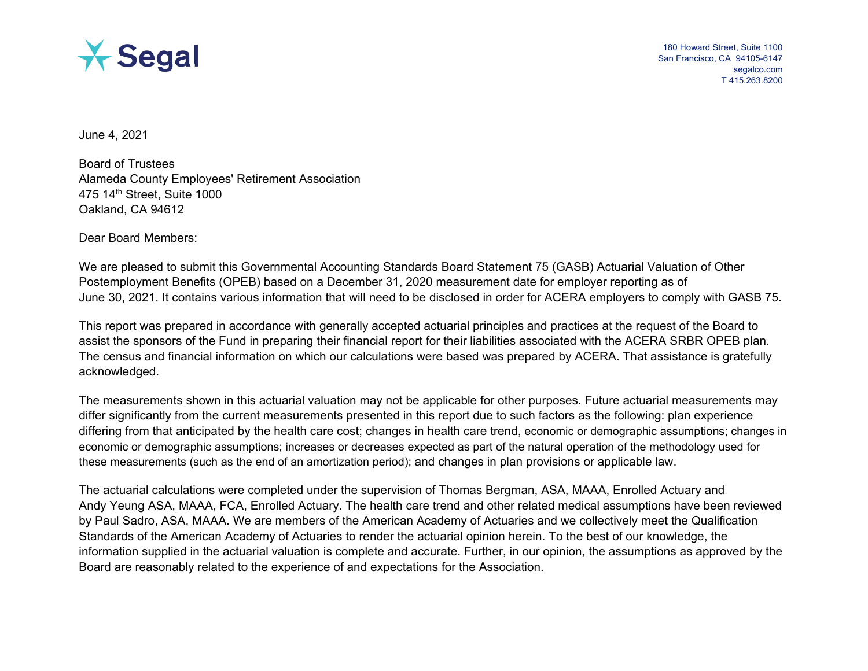

180 Howard Street, Suite 1100 San Francisco, CA 94105-6147 segalco.com T 415.263.8200

June 4, 2021

Board of Trustees Alameda County Employees' Retirement Association 475 14th Street, Suite 1000 Oakland, CA 94612

Dear Board Members:

We are pleased to submit this Governmental Accounting Standards Board Statement 75 (GASB) Actuarial Valuation of Other Postemployment Benefits (OPEB) based on a December 31, 2020 measurement date for employer reporting as of June 30, 2021. It contains various information that will need to be disclosed in order for ACERA employers to comply with GASB 75.

This report was prepared in accordance with generally accepted actuarial principles and practices at the request of the Board to assist the sponsors of the Fund in preparing their financial report for their liabilities associated with the ACERA SRBR OPEB plan. The census and financial information on which our calculations were based was prepared by ACERA. That assistance is gratefully acknowledged.

The measurements shown in this actuarial valuation may not be applicable for other purposes. Future actuarial measurements may differ significantly from the current measurements presented in this report due to such factors as the following: plan experience differing from that anticipated by the health care cost; changes in health care trend, economic or demographic assumptions; changes in economic or demographic assumptions; increases or decreases expected as part of the natural operation of the methodology used for these measurements (such as the end of an amortization period); and changes in plan provisions or applicable law.

The actuarial calculations were completed under the supervision of Thomas Bergman, ASA, MAAA, Enrolled Actuary and Andy Yeung ASA, MAAA, FCA, Enrolled Actuary. The health care trend and other related medical assumptions have been reviewed by Paul Sadro, ASA, MAAA. We are members of the American Academy of Actuaries and we collectively meet the Qualification Standards of the American Academy of Actuaries to render the actuarial opinion herein. To the best of our knowledge, the information supplied in the actuarial valuation is complete and accurate. Further, in our opinion, the assumptions as approved by the Board are reasonably related to the experience of and expectations for the Association.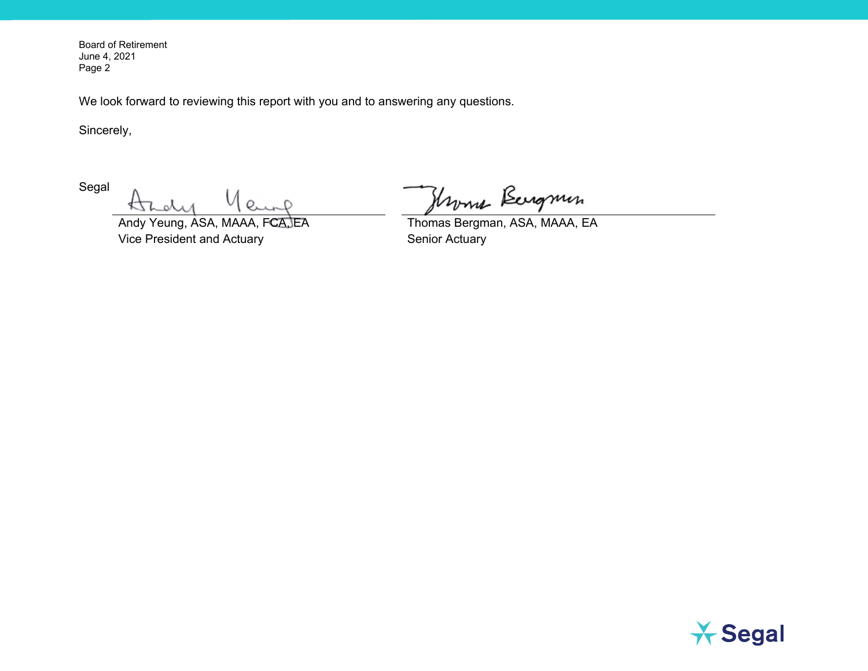Board of Retirement June 4, 2021 Page 2

We look forward to reviewing this report with you and to answering any questions.

Sincerely,

Segal

Andy Yeung, ASA, MAAA, FCA, EA Thomas Bergman, ASA, MAAA, EA Vice President and Actuary **Senior Actuary** Senior Actuary

Hroma Bergmin

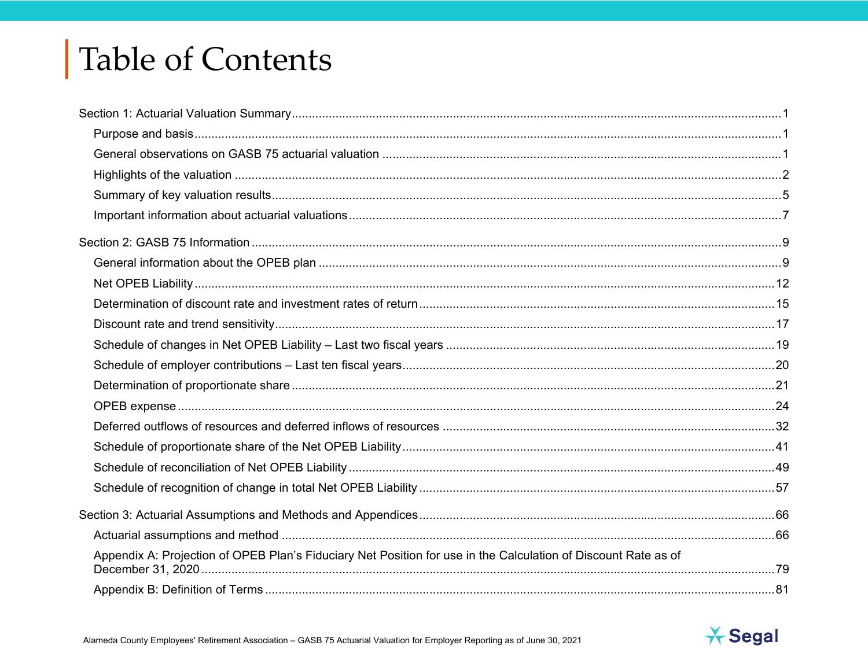# Table of Contents

| Appendix A: Projection of OPEB Plan's Fiduciary Net Position for use in the Calculation of Discount Rate as of |  |
|----------------------------------------------------------------------------------------------------------------|--|
|                                                                                                                |  |

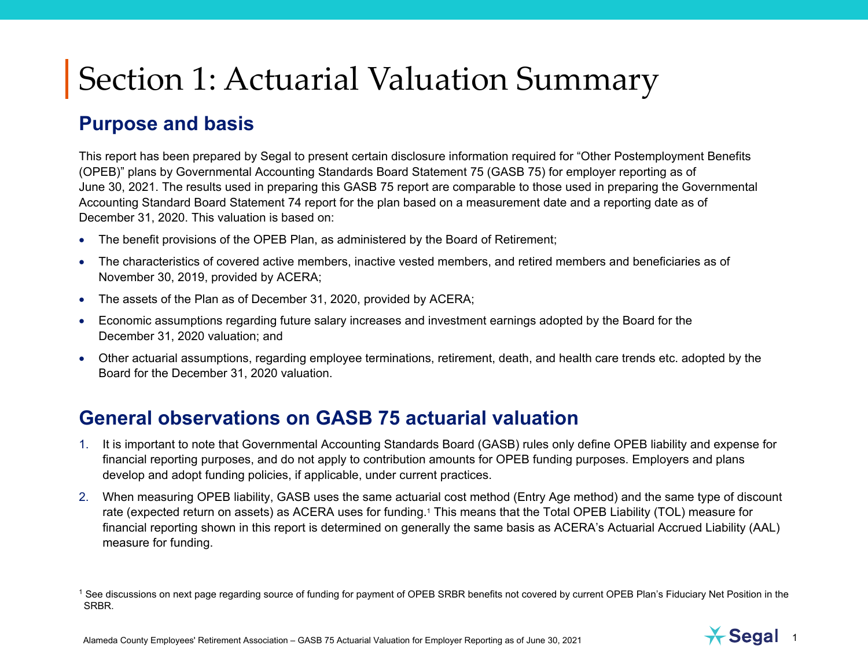# **Purpose and basis**

This report has been prepared by Segal to present certain disclosure information required for "Other Postemployment Benefits (OPEB)" plans by Governmental Accounting Standards Board Statement 75 (GASB 75) for employer reporting as of June 30, 2021. The results used in preparing this GASB 75 report are comparable to those used in preparing the Governmental Accounting Standard Board Statement 74 report for the plan based on a measurement date and a reporting date as of December 31, 2020. This valuation is based on:

- The benefit provisions of the OPEB Plan, as administered by the Board of Retirement;
- The characteristics of covered active members, inactive vested members, and retired members and beneficiaries as of November 30, 2019, provided by ACERA;
- The assets of the Plan as of December 31, 2020, provided by ACERA;
- Economic assumptions regarding future salary increases and investment earnings adopted by the Board for the December 31, 2020 valuation; and
- Other actuarial assumptions, regarding employee terminations, retirement, death, and health care trends etc. adopted by the Board for the December 31, 2020 valuation.

# **General observations on GASB 75 actuarial valuation**

- 1. It is important to note that Governmental Accounting Standards Board (GASB) rules only define OPEB liability and expense for financial reporting purposes, and do not apply to contribution amounts for OPEB funding purposes. Employers and plans develop and adopt funding policies, if applicable, under current practices.
- 2. When measuring OPEB liability, GASB uses the same actuarial cost method (Entry Age method) and the same type of discount rate (expected return on assets) as ACERA uses for funding.1 This means that the Total OPEB Liability (TOL) measure for financial reporting shown in this report is determined on generally the same basis as ACERA's Actuarial Accrued Liability (AAL) measure for funding.



<sup>&</sup>lt;sup>1</sup> See discussions on next page regarding source of funding for payment of OPEB SRBR benefits not covered by current OPEB Plan's Fiduciary Net Position in the SRBR.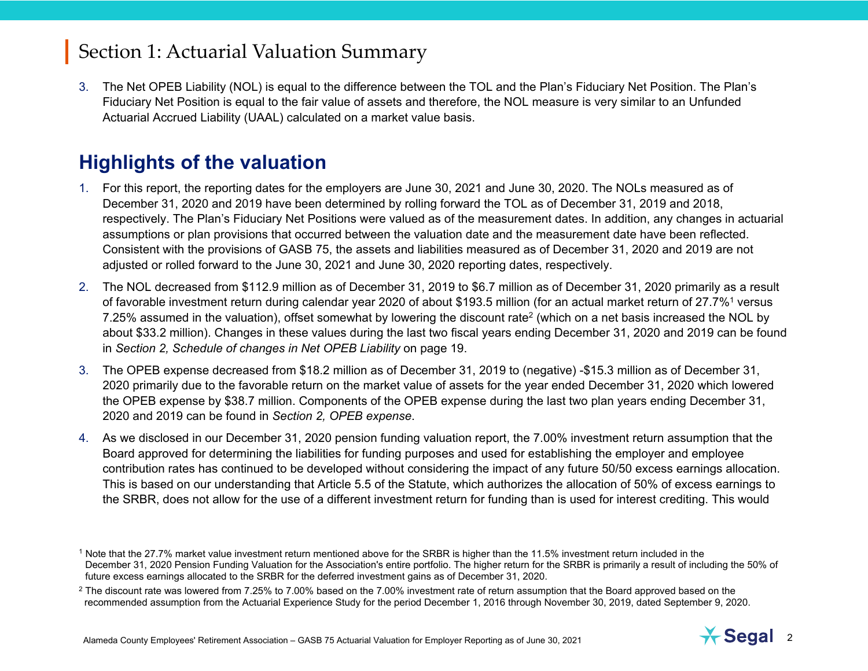3. The Net OPEB Liability (NOL) is equal to the difference between the TOL and the Plan's Fiduciary Net Position. The Plan's Fiduciary Net Position is equal to the fair value of assets and therefore, the NOL measure is very similar to an Unfunded Actuarial Accrued Liability (UAAL) calculated on a market value basis.

# **Highlights of the valuation**

- 1. For this report, the reporting dates for the employers are June 30, 2021 and June 30, 2020. The NOLs measured as of December 31, 2020 and 2019 have been determined by rolling forward the TOL as of December 31, 2019 and 2018, respectively. The Plan's Fiduciary Net Positions were valued as of the measurement dates. In addition, any changes in actuarial assumptions or plan provisions that occurred between the valuation date and the measurement date have been reflected. Consistent with the provisions of GASB 75, the assets and liabilities measured as of December 31, 2020 and 2019 are not adjusted or rolled forward to the June 30, 2021 and June 30, 2020 reporting dates, respectively.
- 2. The NOL decreased from \$112.9 million as of December 31, 2019 to \$6.7 million as of December 31, 2020 primarily as a result of favorable investment return during calendar year 2020 of about \$193.5 million (for an actual market return of 27.7%1 versus 7.25% assumed in the valuation), offset somewhat by lowering the discount rate<sup>2</sup> (which on a net basis increased the NOL by about \$33.2 million). Changes in these values during the last two fiscal years ending December 31, 2020 and 2019 can be found in *Section 2, Schedule of changes in Net OPEB Liability* on page 19.
- 3. The OPEB expense decreased from \$18.2 million as of December 31, 2019 to (negative) -\$15.3 million as of December 31, 2020 primarily due to the favorable return on the market value of assets for the year ended December 31, 2020 which lowered the OPEB expense by \$38.7 million. Components of the OPEB expense during the last two plan years ending December 31, 2020 and 2019 can be found in *Section 2, OPEB expense*.
- 4. As we disclosed in our December 31, 2020 pension funding valuation report, the 7.00% investment return assumption that the Board approved for determining the liabilities for funding purposes and used for establishing the employer and employee contribution rates has continued to be developed without considering the impact of any future 50/50 excess earnings allocation. This is based on our understanding that Article 5.5 of the Statute, which authorizes the allocation of 50% of excess earnings to the SRBR, does not allow for the use of a different investment return for funding than is used for interest crediting. This would



<sup>1</sup> Note that the 27.7% market value investment return mentioned above for the SRBR is higher than the 11.5% investment return included in the December 31, 2020 Pension Funding Valuation for the Association's entire portfolio. The higher return for the SRBR is primarily a result of including the 50% of future excess earnings allocated to the SRBR for the deferred investment gains as of December 31, 2020.

 $2$  The discount rate was lowered from 7.25% to 7.00% based on the 7.00% investment rate of return assumption that the Board approved based on the recommended assumption from the Actuarial Experience Study for the period December 1, 2016 through November 30, 2019, dated September 9, 2020.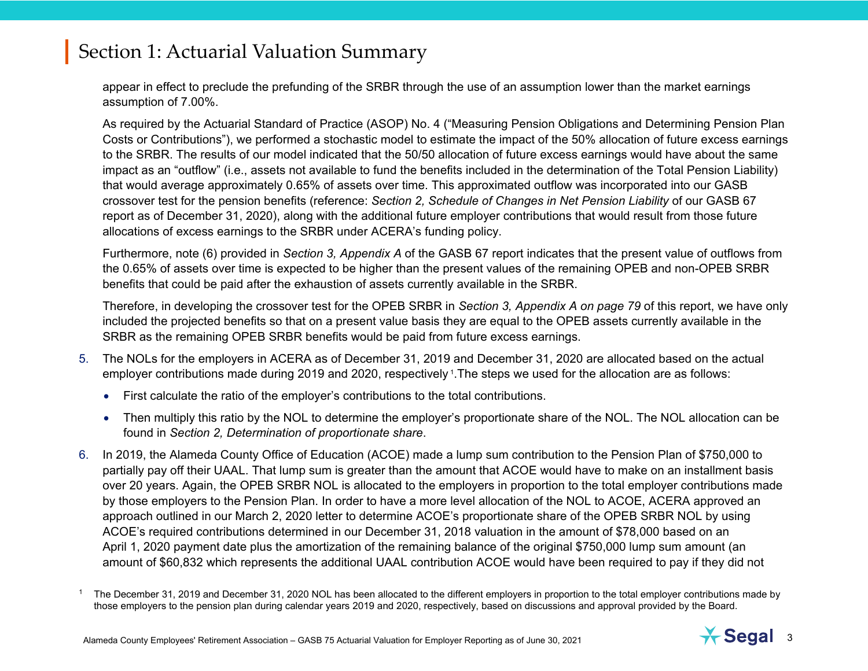appear in effect to preclude the prefunding of the SRBR through the use of an assumption lower than the market earnings assumption of 7.00%.

As required by the Actuarial Standard of Practice (ASOP) No. 4 ("Measuring Pension Obligations and Determining Pension Plan Costs or Contributions"), we performed a stochastic model to estimate the impact of the 50% allocation of future excess earnings to the SRBR. The results of our model indicated that the 50/50 allocation of future excess earnings would have about the same impact as an "outflow" (i.e., assets not available to fund the benefits included in the determination of the Total Pension Liability) that would average approximately 0.65% of assets over time. This approximated outflow was incorporated into our GASB crossover test for the pension benefits (reference: *Section 2, Schedule of Changes in Net Pension Liability* of our GASB 67 report as of December 31, 2020), along with the additional future employer contributions that would result from those future allocations of excess earnings to the SRBR under ACERA's funding policy.

Furthermore, note (6) provided in *Section 3, Appendix A* of the GASB 67 report indicates that the present value of outflows from the 0.65% of assets over time is expected to be higher than the present values of the remaining OPEB and non-OPEB SRBR benefits that could be paid after the exhaustion of assets currently available in the SRBR.

Therefore, in developing the crossover test for the OPEB SRBR in *Section 3, Appendix A on page 79* of this report, we have only included the projected benefits so that on a present value basis they are equal to the OPEB assets currently available in the SRBR as the remaining OPEB SRBR benefits would be paid from future excess earnings.

- 5. The NOLs for the employers in ACERA as of December 31, 2019 and December 31, 2020 are allocated based on the actual employer contributions made during 2019 and 2020, respectively 1.The steps we used for the allocation are as follows:
	- First calculate the ratio of the employer's contributions to the total contributions.
	- Then multiply this ratio by the NOL to determine the employer's proportionate share of the NOL. The NOL allocation can be found in *Section 2, Determination of proportionate share*.
- 6. In 2019, the Alameda County Office of Education (ACOE) made a lump sum contribution to the Pension Plan of \$750,000 to partially pay off their UAAL. That lump sum is greater than the amount that ACOE would have to make on an installment basis over 20 years. Again, the OPEB SRBR NOL is allocated to the employers in proportion to the total employer contributions made by those employers to the Pension Plan. In order to have a more level allocation of the NOL to ACOE, ACERA approved an approach outlined in our March 2, 2020 letter to determine ACOE's proportionate share of the OPEB SRBR NOL by using ACOE's required contributions determined in our December 31, 2018 valuation in the amount of \$78,000 based on an April 1, 2020 payment date plus the amortization of the remaining balance of the original \$750,000 lump sum amount (an amount of \$60,832 which represents the additional UAAL contribution ACOE would have been required to pay if they did not



<sup>1</sup> The December 31, 2019 and December 31, 2020 NOL has been allocated to the different employers in proportion to the total employer contributions made by those employers to the pension plan during calendar years 2019 and 2020, respectively, based on discussions and approval provided by the Board.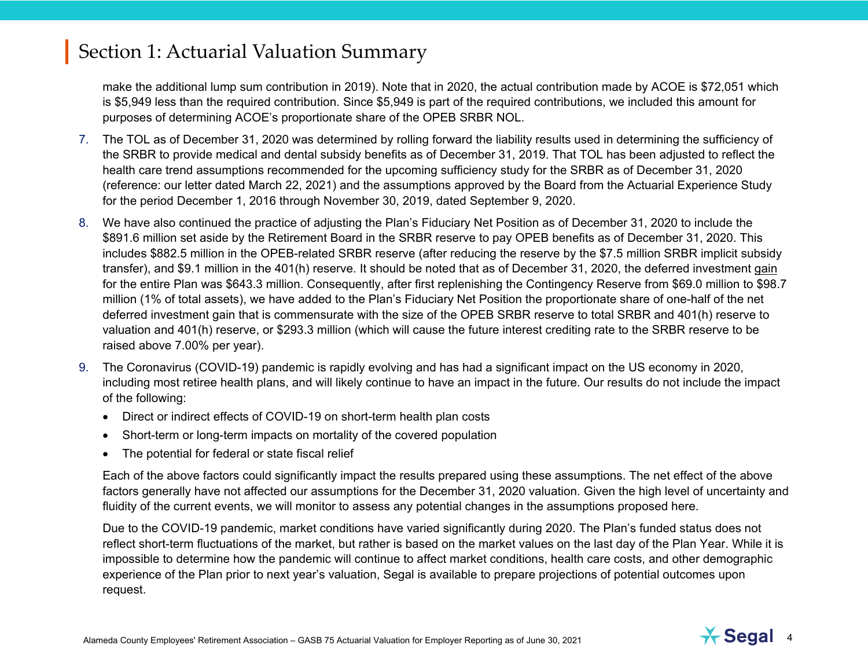make the additional lump sum contribution in 2019). Note that in 2020, the actual contribution made by ACOE is \$72,051 which is \$5,949 less than the required contribution. Since \$5,949 is part of the required contributions, we included this amount for purposes of determining ACOE's proportionate share of the OPEB SRBR NOL.

- 7. The TOL as of December 31, 2020 was determined by rolling forward the liability results used in determining the sufficiency of the SRBR to provide medical and dental subsidy benefits as of December 31, 2019. That TOL has been adjusted to reflect the health care trend assumptions recommended for the upcoming sufficiency study for the SRBR as of December 31, 2020 (reference: our letter dated March 22, 2021) and the assumptions approved by the Board from the Actuarial Experience Study for the period December 1, 2016 through November 30, 2019, dated September 9, 2020.
- 8. We have also continued the practice of adjusting the Plan's Fiduciary Net Position as of December 31, 2020 to include the \$891.6 million set aside by the Retirement Board in the SRBR reserve to pay OPEB benefits as of December 31, 2020. This includes \$882.5 million in the OPEB-related SRBR reserve (after reducing the reserve by the \$7.5 million SRBR implicit subsidy transfer), and \$9.1 million in the 401(h) reserve. It should be noted that as of December 31, 2020, the deferred investment gain for the entire Plan was \$643.3 million. Consequently, after first replenishing the Contingency Reserve from \$69.0 million to \$98.7 million (1% of total assets), we have added to the Plan's Fiduciary Net Position the proportionate share of one-half of the net deferred investment gain that is commensurate with the size of the OPEB SRBR reserve to total SRBR and 401(h) reserve to valuation and 401(h) reserve, or \$293.3 million (which will cause the future interest crediting rate to the SRBR reserve to be raised above 7.00% per year).
- 9. The Coronavirus (COVID-19) pandemic is rapidly evolving and has had a significant impact on the US economy in 2020, including most retiree health plans, and will likely continue to have an impact in the future. Our results do not include the impact of the following:
	- Direct or indirect effects of COVID-19 on short-term health plan costs
	- Short-term or long-term impacts on mortality of the covered population
	- The potential for federal or state fiscal relief

Each of the above factors could significantly impact the results prepared using these assumptions. The net effect of the above factors generally have not affected our assumptions for the December 31, 2020 valuation. Given the high level of uncertainty and fluidity of the current events, we will monitor to assess any potential changes in the assumptions proposed here.

Due to the COVID-19 pandemic, market conditions have varied significantly during 2020. The Plan's funded status does not reflect short-term fluctuations of the market, but rather is based on the market values on the last day of the Plan Year. While it is impossible to determine how the pandemic will continue to affect market conditions, health care costs, and other demographic experience of the Plan prior to next year's valuation, Segal is available to prepare projections of potential outcomes upon request.

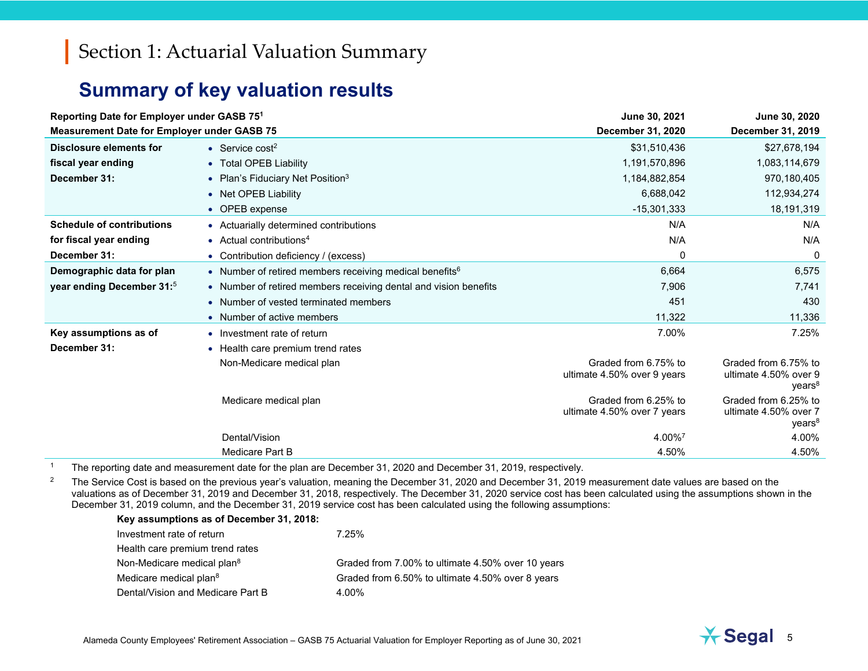# **Summary of key valuation results**

| Reporting Date for Employer under GASB 751         |                                                                     | June 30, 2021                                       | June 30, 2020                                                       |
|----------------------------------------------------|---------------------------------------------------------------------|-----------------------------------------------------|---------------------------------------------------------------------|
| <b>Measurement Date for Employer under GASB 75</b> |                                                                     | December 31, 2020                                   | December 31, 2019                                                   |
| Disclosure elements for                            | • Service $cost2$                                                   | \$31,510,436                                        | \$27,678,194                                                        |
| fiscal year ending                                 | • Total OPEB Liability                                              | 1,191,570,896                                       | 1,083,114,679                                                       |
| December 31:                                       | • Plan's Fiduciary Net Position <sup>3</sup>                        | 1,184,882,854                                       | 970,180,405                                                         |
|                                                    | • Net OPEB Liability                                                | 6,688,042                                           | 112,934,274                                                         |
|                                                    | • OPEB expense                                                      | $-15,301,333$                                       | 18,191,319                                                          |
| <b>Schedule of contributions</b>                   | • Actuarially determined contributions                              | N/A                                                 | N/A                                                                 |
| for fiscal year ending                             | • Actual contributions <sup>4</sup>                                 | N/A                                                 | N/A                                                                 |
| December 31:                                       | • Contribution deficiency / (excess)                                | 0                                                   | 0                                                                   |
| Demographic data for plan                          | • Number of retired members receiving medical benefits <sup>6</sup> | 6,664                                               | 6,575                                                               |
| year ending December 31:5                          | • Number of retired members receiving dental and vision benefits    | 7,906                                               | 7,741                                                               |
|                                                    | • Number of vested terminated members                               | 451                                                 | 430                                                                 |
|                                                    | • Number of active members                                          | 11,322                                              | 11,336                                                              |
| Key assumptions as of                              | • Investment rate of return                                         | 7.00%                                               | 7.25%                                                               |
| December 31:                                       | • Health care premium trend rates                                   |                                                     |                                                                     |
|                                                    | Non-Medicare medical plan                                           | Graded from 6.75% to<br>ultimate 4.50% over 9 years | Graded from 6.75% to<br>ultimate 4.50% over 9<br>years <sup>8</sup> |
|                                                    | Medicare medical plan                                               | Graded from 6.25% to<br>ultimate 4.50% over 7 years | Graded from 6.25% to<br>ultimate 4.50% over 7<br>years <sup>8</sup> |
|                                                    | Dental/Vision                                                       | 4.00%7                                              | 4.00%                                                               |
|                                                    | Medicare Part B                                                     | 4.50%                                               | 4.50%                                                               |

<sup>1</sup> The reporting date and measurement date for the plan are December 31, 2020 and December 31, 2019, respectively.

<sup>2</sup> The Service Cost is based on the previous year's valuation, meaning the December 31, 2020 and December 31, 2019 measurement date values are based on the valuations as of December 31, 2019 and December 31, 2018, respectively. The December 31, 2020 service cost has been calculated using the assumptions shown in the December 31, 2019 column, and the December 31, 2019 service cost has been calculated using the following assumptions:

| 7.25%                                             |
|---------------------------------------------------|
|                                                   |
| Graded from 7.00% to ultimate 4.50% over 10 years |
| Graded from 6.50% to ultimate 4.50% over 8 years  |
| 4.00%                                             |
|                                                   |

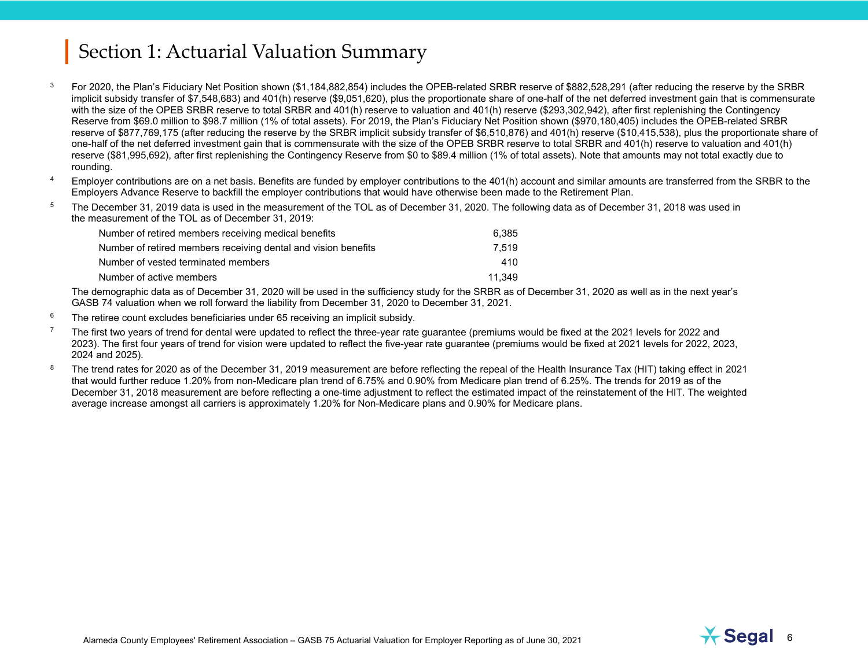- <sup>3</sup> For 2020, the Plan's Fiduciary Net Position shown (\$1,184,882,854) includes the OPEB-related SRBR reserve of \$882,528,291 (after reducing the reserve by the SRBR implicit subsidy transfer of \$7,548,683) and 401(h) reserve (\$9,051,620), plus the proportionate share of one-half of the net deferred investment gain that is commensurate with the size of the OPEB SRBR reserve to total SRBR and 401(h) reserve to valuation and 401(h) reserve (\$293,302,942), after first replenishing the Contingency Reserve from \$69.0 million to \$98.7 million (1% of total assets). For 2019, the Plan's Fiduciary Net Position shown (\$970,180,405) includes the OPEB-related SRBR reserve of \$877,769,175 (after reducing the reserve by the SRBR implicit subsidy transfer of \$6,510,876) and 401(h) reserve (\$10,415,538), plus the proportionate share of one-half of the net deferred investment gain that is commensurate with the size of the OPEB SRBR reserve to total SRBR and 401(h) reserve to valuation and 401(h) reserve (\$81,995,692), after first replenishing the Contingency Reserve from \$0 to \$89.4 million (1% of total assets). Note that amounts may not total exactly due to rounding.
- <sup>4</sup> Employer contributions are on a net basis. Benefits are funded by employer contributions to the 401(h) account and similar amounts are transferred from the SRBR to the Employers Advance Reserve to backfill the employer contributions that would have otherwise been made to the Retirement Plan.
- <sup>5</sup> The December 31, 2019 data is used in the measurement of the TOL as of December 31, 2020. The following data as of December 31, 2018 was used in the measurement of the TOL as of December 31, 2019:

| Number of retired members receiving medical benefits           | 6.385  |
|----------------------------------------------------------------|--------|
| Number of retired members receiving dental and vision benefits | 7.519  |
| Number of vested terminated members                            | 410    |
| Number of active members                                       | 11.349 |

The demographic data as of December 31, 2020 will be used in the sufficiency study for the SRBR as of December 31, 2020 as well as in the next year's GASB 74 valuation when we roll forward the liability from December 31, 2020 to December 31, 2021.

- $6$  The retiree count excludes beneficiaries under 65 receiving an implicit subsidy.
- $7$  The first two years of trend for dental were updated to reflect the three-year rate guarantee (premiums would be fixed at the 2021 levels for 2022 and 2023). The first four years of trend for vision were updated to reflect the five-year rate guarantee (premiums would be fixed at 2021 levels for 2022, 2023, 2024 and 2025).
- <sup>8</sup> The trend rates for 2020 as of the December 31, 2019 measurement are before reflecting the repeal of the Health Insurance Tax (HIT) taking effect in 2021 that would further reduce 1.20% from non-Medicare plan trend of 6.75% and 0.90% from Medicare plan trend of 6.25%. The trends for 2019 as of the December 31, 2018 measurement are before reflecting a one-time adjustment to reflect the estimated impact of the reinstatement of the HIT. The weighted average increase amongst all carriers is approximately 1.20% for Non-Medicare plans and 0.90% for Medicare plans.

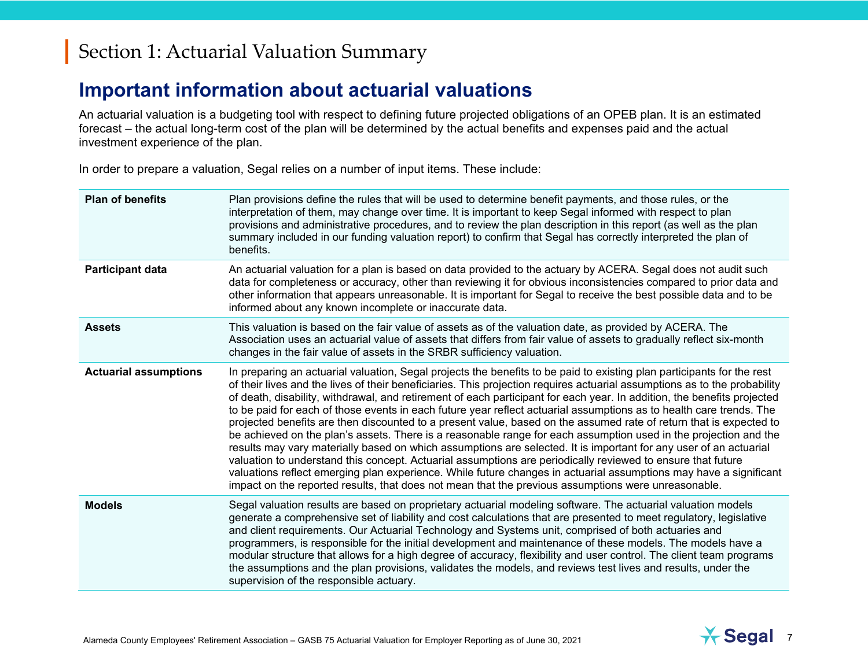# **Important information about actuarial valuations**

An actuarial valuation is a budgeting tool with respect to defining future projected obligations of an OPEB plan. It is an estimated forecast – the actual long-term cost of the plan will be determined by the actual benefits and expenses paid and the actual investment experience of the plan.

In order to prepare a valuation, Segal relies on a number of input items. These include:

| <b>Plan of benefits</b>      | Plan provisions define the rules that will be used to determine benefit payments, and those rules, or the<br>interpretation of them, may change over time. It is important to keep Segal informed with respect to plan<br>provisions and administrative procedures, and to review the plan description in this report (as well as the plan<br>summary included in our funding valuation report) to confirm that Segal has correctly interpreted the plan of<br>benefits.                                                                                                                                                                                                                                                                                                                                                                                                                                                                                                                                                                                                                                                                                                                                        |
|------------------------------|-----------------------------------------------------------------------------------------------------------------------------------------------------------------------------------------------------------------------------------------------------------------------------------------------------------------------------------------------------------------------------------------------------------------------------------------------------------------------------------------------------------------------------------------------------------------------------------------------------------------------------------------------------------------------------------------------------------------------------------------------------------------------------------------------------------------------------------------------------------------------------------------------------------------------------------------------------------------------------------------------------------------------------------------------------------------------------------------------------------------------------------------------------------------------------------------------------------------|
| <b>Participant data</b>      | An actuarial valuation for a plan is based on data provided to the actuary by ACERA. Segal does not audit such<br>data for completeness or accuracy, other than reviewing it for obvious inconsistencies compared to prior data and<br>other information that appears unreasonable. It is important for Segal to receive the best possible data and to be<br>informed about any known incomplete or inaccurate data.                                                                                                                                                                                                                                                                                                                                                                                                                                                                                                                                                                                                                                                                                                                                                                                            |
| <b>Assets</b>                | This valuation is based on the fair value of assets as of the valuation date, as provided by ACERA. The<br>Association uses an actuarial value of assets that differs from fair value of assets to gradually reflect six-month<br>changes in the fair value of assets in the SRBR sufficiency valuation.                                                                                                                                                                                                                                                                                                                                                                                                                                                                                                                                                                                                                                                                                                                                                                                                                                                                                                        |
| <b>Actuarial assumptions</b> | In preparing an actuarial valuation, Segal projects the benefits to be paid to existing plan participants for the rest<br>of their lives and the lives of their beneficiaries. This projection requires actuarial assumptions as to the probability<br>of death, disability, withdrawal, and retirement of each participant for each year. In addition, the benefits projected<br>to be paid for each of those events in each future year reflect actuarial assumptions as to health care trends. The<br>projected benefits are then discounted to a present value, based on the assumed rate of return that is expected to<br>be achieved on the plan's assets. There is a reasonable range for each assumption used in the projection and the<br>results may vary materially based on which assumptions are selected. It is important for any user of an actuarial<br>valuation to understand this concept. Actuarial assumptions are periodically reviewed to ensure that future<br>valuations reflect emerging plan experience. While future changes in actuarial assumptions may have a significant<br>impact on the reported results, that does not mean that the previous assumptions were unreasonable. |
| <b>Models</b>                | Segal valuation results are based on proprietary actuarial modeling software. The actuarial valuation models<br>generate a comprehensive set of liability and cost calculations that are presented to meet regulatory, legislative<br>and client requirements. Our Actuarial Technology and Systems unit, comprised of both actuaries and<br>programmers, is responsible for the initial development and maintenance of these models. The models have a<br>modular structure that allows for a high degree of accuracy, flexibility and user control. The client team programs<br>the assumptions and the plan provisions, validates the models, and reviews test lives and results, under the<br>supervision of the responsible actuary.                                                                                                                                                                                                                                                                                                                                                                                                                                                                       |

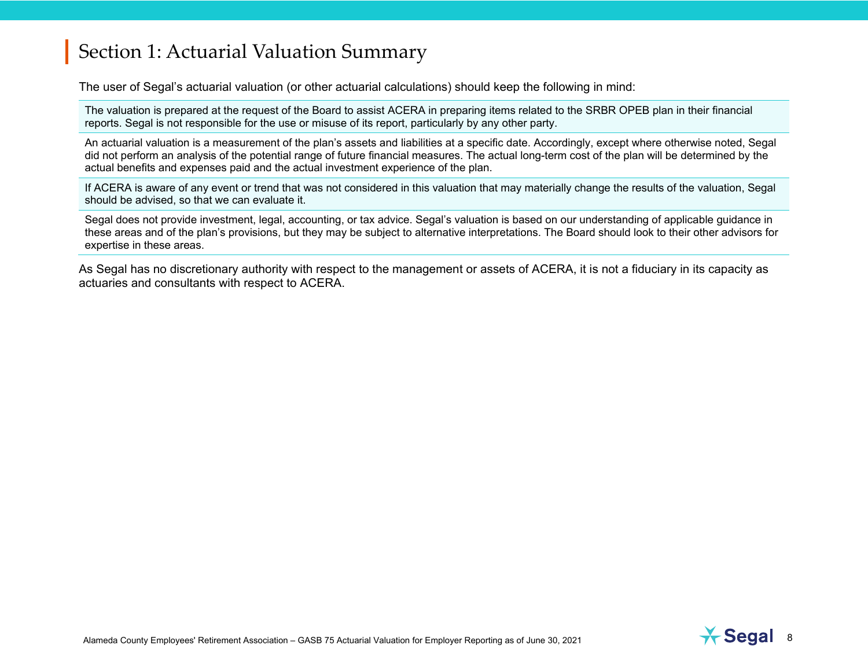The user of Segal's actuarial valuation (or other actuarial calculations) should keep the following in mind:

The valuation is prepared at the request of the Board to assist ACERA in preparing items related to the SRBR OPEB plan in their financial reports. Segal is not responsible for the use or misuse of its report, particularly by any other party.

An actuarial valuation is a measurement of the plan's assets and liabilities at a specific date. Accordingly, except where otherwise noted, Segal did not perform an analysis of the potential range of future financial measures. The actual long-term cost of the plan will be determined by the actual benefits and expenses paid and the actual investment experience of the plan.

If ACERA is aware of any event or trend that was not considered in this valuation that may materially change the results of the valuation, Segal should be advised, so that we can evaluate it.

Segal does not provide investment, legal, accounting, or tax advice. Segal's valuation is based on our understanding of applicable guidance in these areas and of the plan's provisions, but they may be subject to alternative interpretations. The Board should look to their other advisors for expertise in these areas.

As Segal has no discretionary authority with respect to the management or assets of ACERA, it is not a fiduciary in its capacity as actuaries and consultants with respect to ACERA.

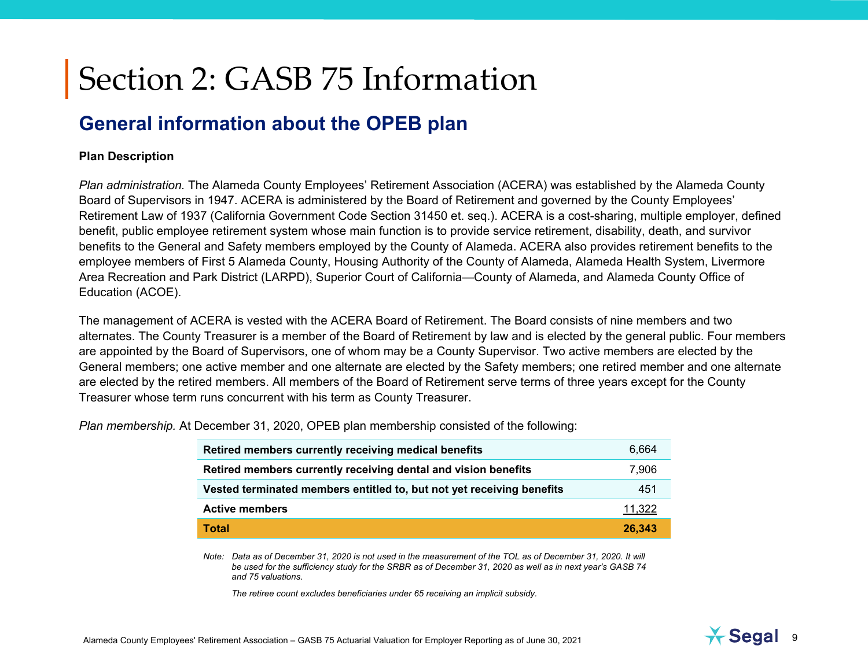# **General information about the OPEB plan**

#### **Plan Description**

*Plan administration.* The Alameda County Employees' Retirement Association (ACERA) was established by the Alameda County Board of Supervisors in 1947. ACERA is administered by the Board of Retirement and governed by the County Employees' Retirement Law of 1937 (California Government Code Section 31450 et. seq.). ACERA is a cost-sharing, multiple employer, defined benefit, public employee retirement system whose main function is to provide service retirement, disability, death, and survivor benefits to the General and Safety members employed by the County of Alameda. ACERA also provides retirement benefits to the employee members of First 5 Alameda County, Housing Authority of the County of Alameda, Alameda Health System, Livermore Area Recreation and Park District (LARPD), Superior Court of California—County of Alameda, and Alameda County Office of Education (ACOE).

The management of ACERA is vested with the ACERA Board of Retirement. The Board consists of nine members and two alternates. The County Treasurer is a member of the Board of Retirement by law and is elected by the general public. Four members are appointed by the Board of Supervisors, one of whom may be a County Supervisor. Two active members are elected by the General members; one active member and one alternate are elected by the Safety members; one retired member and one alternate are elected by the retired members. All members of the Board of Retirement serve terms of three years except for the County Treasurer whose term runs concurrent with his term as County Treasurer.

*Plan membership.* At December 31, 2020, OPEB plan membership consisted of the following:

| Retired members currently receiving medical benefits                  | 6.664  |
|-----------------------------------------------------------------------|--------|
| Retired members currently receiving dental and vision benefits        | 7.906  |
| Vested terminated members entitled to, but not yet receiving benefits | 451    |
| <b>Active members</b>                                                 | 11,322 |
| <b>Total</b>                                                          | 26,343 |

*Note: Data as of December 31, 2020 is not used in the measurement of the TOL as of December 31, 2020. It will be used for the sufficiency study for the SRBR as of December 31, 2020 as well as in next year's GASB 74 and 75 valuations.* 

 *The retiree count excludes beneficiaries under 65 receiving an implicit subsidy.* 

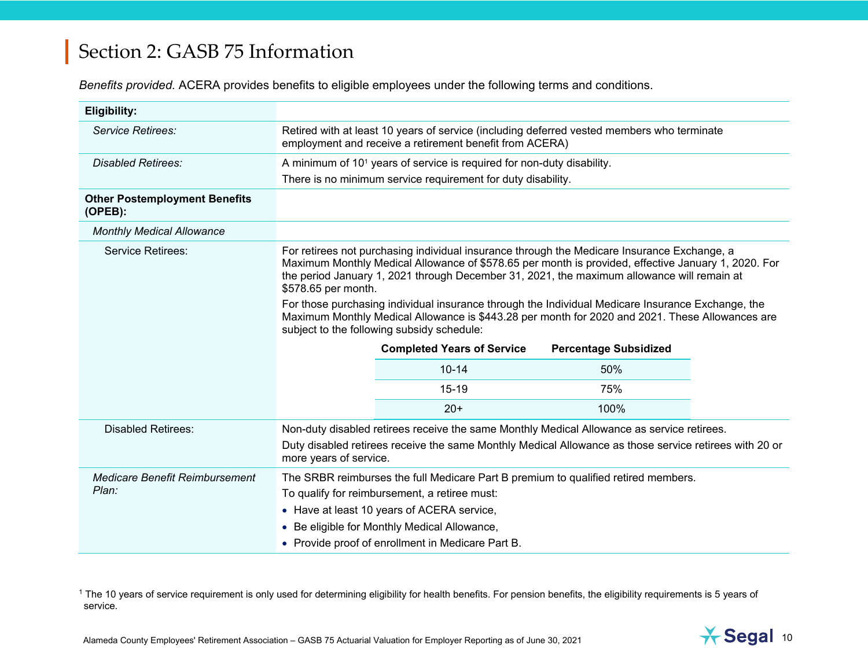*Benefits provided.* ACERA provides benefits to eligible employees under the following terms and conditions.

| <b>Eligibility:</b>                                |                                                                                                                                                                                                                                                                                                                                                                                                                                                                                                                                                                               |                                                              |      |  |
|----------------------------------------------------|-------------------------------------------------------------------------------------------------------------------------------------------------------------------------------------------------------------------------------------------------------------------------------------------------------------------------------------------------------------------------------------------------------------------------------------------------------------------------------------------------------------------------------------------------------------------------------|--------------------------------------------------------------|------|--|
| Service Retirees:                                  | Retired with at least 10 years of service (including deferred vested members who terminate<br>employment and receive a retirement benefit from ACERA)                                                                                                                                                                                                                                                                                                                                                                                                                         |                                                              |      |  |
| <b>Disabled Retirees:</b>                          | A minimum of 10 <sup>1</sup> years of service is required for non-duty disability.                                                                                                                                                                                                                                                                                                                                                                                                                                                                                            |                                                              |      |  |
|                                                    |                                                                                                                                                                                                                                                                                                                                                                                                                                                                                                                                                                               | There is no minimum service requirement for duty disability. |      |  |
| <b>Other Postemployment Benefits</b><br>$(OPEB)$ : |                                                                                                                                                                                                                                                                                                                                                                                                                                                                                                                                                                               |                                                              |      |  |
| <b>Monthly Medical Allowance</b>                   |                                                                                                                                                                                                                                                                                                                                                                                                                                                                                                                                                                               |                                                              |      |  |
| <b>Service Retirees:</b>                           | For retirees not purchasing individual insurance through the Medicare Insurance Exchange, a<br>Maximum Monthly Medical Allowance of \$578.65 per month is provided, effective January 1, 2020. For<br>the period January 1, 2021 through December 31, 2021, the maximum allowance will remain at<br>\$578.65 per month.<br>For those purchasing individual insurance through the Individual Medicare Insurance Exchange, the<br>Maximum Monthly Medical Allowance is \$443.28 per month for 2020 and 2021. These Allowances are<br>subject to the following subsidy schedule: |                                                              |      |  |
|                                                    | <b>Completed Years of Service</b><br><b>Percentage Subsidized</b>                                                                                                                                                                                                                                                                                                                                                                                                                                                                                                             |                                                              |      |  |
|                                                    | $10 - 14$<br>50%                                                                                                                                                                                                                                                                                                                                                                                                                                                                                                                                                              |                                                              |      |  |
|                                                    |                                                                                                                                                                                                                                                                                                                                                                                                                                                                                                                                                                               | 75%<br>15-19                                                 |      |  |
|                                                    |                                                                                                                                                                                                                                                                                                                                                                                                                                                                                                                                                                               | $20+$                                                        | 100% |  |
| <b>Disabled Retirees:</b>                          | Non-duty disabled retirees receive the same Monthly Medical Allowance as service retirees.<br>Duty disabled retirees receive the same Monthly Medical Allowance as those service retirees with 20 or<br>more years of service.                                                                                                                                                                                                                                                                                                                                                |                                                              |      |  |
|                                                    |                                                                                                                                                                                                                                                                                                                                                                                                                                                                                                                                                                               |                                                              |      |  |

<sup>1</sup> The 10 years of service requirement is only used for determining eligibility for health benefits. For pension benefits, the eligibility requirements is 5 years of service.

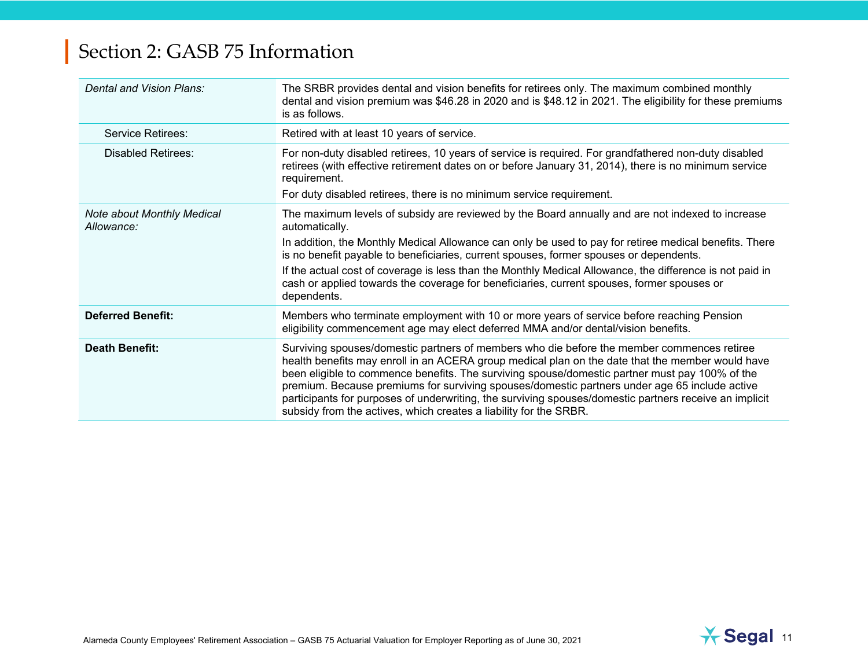| Dental and Vision Plans:                 | The SRBR provides dental and vision benefits for retirees only. The maximum combined monthly<br>dental and vision premium was \$46.28 in 2020 and is \$48.12 in 2021. The eligibility for these premiums<br>is as follows.                                                                                                                                                                                                                                                                                                                                                       |
|------------------------------------------|----------------------------------------------------------------------------------------------------------------------------------------------------------------------------------------------------------------------------------------------------------------------------------------------------------------------------------------------------------------------------------------------------------------------------------------------------------------------------------------------------------------------------------------------------------------------------------|
| Service Retirees:                        | Retired with at least 10 years of service.                                                                                                                                                                                                                                                                                                                                                                                                                                                                                                                                       |
| <b>Disabled Retirees:</b>                | For non-duty disabled retirees, 10 years of service is required. For grandfathered non-duty disabled<br>retirees (with effective retirement dates on or before January 31, 2014), there is no minimum service<br>requirement.<br>For duty disabled retirees, there is no minimum service requirement.                                                                                                                                                                                                                                                                            |
|                                          |                                                                                                                                                                                                                                                                                                                                                                                                                                                                                                                                                                                  |
| Note about Monthly Medical<br>Allowance: | The maximum levels of subsidy are reviewed by the Board annually and are not indexed to increase<br>automatically.                                                                                                                                                                                                                                                                                                                                                                                                                                                               |
|                                          | In addition, the Monthly Medical Allowance can only be used to pay for retiree medical benefits. There<br>is no benefit payable to beneficiaries, current spouses, former spouses or dependents.                                                                                                                                                                                                                                                                                                                                                                                 |
|                                          | If the actual cost of coverage is less than the Monthly Medical Allowance, the difference is not paid in<br>cash or applied towards the coverage for beneficiaries, current spouses, former spouses or<br>dependents.                                                                                                                                                                                                                                                                                                                                                            |
| <b>Deferred Benefit:</b>                 | Members who terminate employment with 10 or more years of service before reaching Pension<br>eligibility commencement age may elect deferred MMA and/or dental/vision benefits.                                                                                                                                                                                                                                                                                                                                                                                                  |
| <b>Death Benefit:</b>                    | Surviving spouses/domestic partners of members who die before the member commences retiree<br>health benefits may enroll in an ACERA group medical plan on the date that the member would have<br>been eligible to commence benefits. The surviving spouse/domestic partner must pay 100% of the<br>premium. Because premiums for surviving spouses/domestic partners under age 65 include active<br>participants for purposes of underwriting, the surviving spouses/domestic partners receive an implicit<br>subsidy from the actives, which creates a liability for the SRBR. |

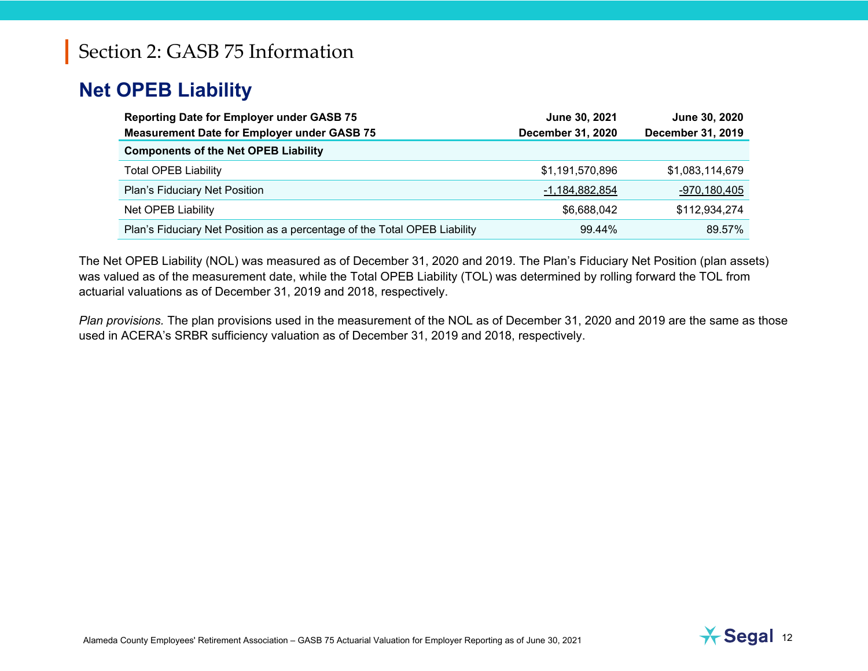# **Net OPEB Liability**

| <b>Reporting Date for Employer under GASB 75</b>                          | June 30, 2021            | June 30, 2020     |  |
|---------------------------------------------------------------------------|--------------------------|-------------------|--|
| <b>Measurement Date for Employer under GASB 75</b>                        | <b>December 31, 2020</b> | December 31, 2019 |  |
| <b>Components of the Net OPEB Liability</b>                               |                          |                   |  |
| <b>Total OPEB Liability</b>                                               | \$1,191,570,896          | \$1,083,114,679   |  |
| Plan's Fiduciary Net Position                                             | -1,184,882,854           | -970,180,405      |  |
| Net OPEB Liability                                                        | \$6,688,042              | \$112,934,274     |  |
| Plan's Fiduciary Net Position as a percentage of the Total OPEB Liability | 99.44%                   | 89.57%            |  |

The Net OPEB Liability (NOL) was measured as of December 31, 2020 and 2019. The Plan's Fiduciary Net Position (plan assets) was valued as of the measurement date, while the Total OPEB Liability (TOL) was determined by rolling forward the TOL from actuarial valuations as of December 31, 2019 and 2018, respectively.

*Plan provisions.* The plan provisions used in the measurement of the NOL as of December 31, 2020 and 2019 are the same as those used in ACERA's SRBR sufficiency valuation as of December 31, 2019 and 2018, respectively.

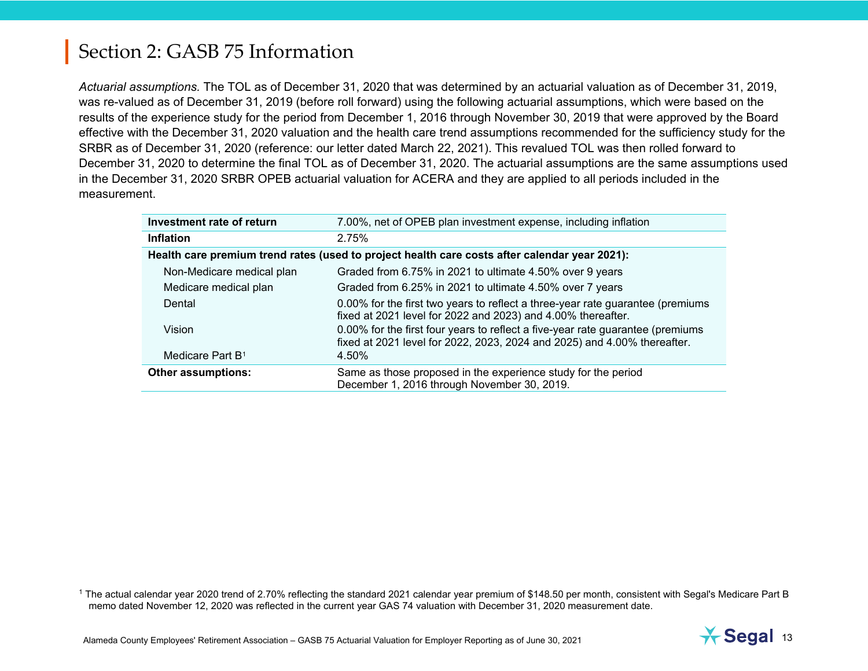*Actuarial assumptions.* The TOL as of December 31, 2020 that was determined by an actuarial valuation as of December 31, 2019, was re-valued as of December 31, 2019 (before roll forward) using the following actuarial assumptions, which were based on the results of the experience study for the period from December 1, 2016 through November 30, 2019 that were approved by the Board effective with the December 31, 2020 valuation and the health care trend assumptions recommended for the sufficiency study for the SRBR as of December 31, 2020 (reference: our letter dated March 22, 2021). This revalued TOL was then rolled forward to December 31, 2020 to determine the final TOL as of December 31, 2020. The actuarial assumptions are the same assumptions used in the December 31, 2020 SRBR OPEB actuarial valuation for ACERA and they are applied to all periods included in the measurement.

| Investment rate of return    | 7.00%, net of OPEB plan investment expense, including inflation                                                                                            |
|------------------------------|------------------------------------------------------------------------------------------------------------------------------------------------------------|
| <b>Inflation</b>             | 2.75%                                                                                                                                                      |
|                              | Health care premium trend rates (used to project health care costs after calendar year 2021):                                                              |
| Non-Medicare medical plan    | Graded from 6.75% in 2021 to ultimate 4.50% over 9 years                                                                                                   |
| Medicare medical plan        | Graded from 6.25% in 2021 to ultimate 4.50% over 7 years                                                                                                   |
| Dental                       | 0.00% for the first two years to reflect a three-year rate guarantee (premiums<br>fixed at 2021 level for 2022 and 2023) and 4.00% thereafter.             |
| Vision                       | 0.00% for the first four years to reflect a five-year rate guarantee (premiums<br>fixed at 2021 level for 2022, 2023, 2024 and 2025) and 4.00% thereafter. |
| Medicare Part B <sup>1</sup> | 4.50%                                                                                                                                                      |
| <b>Other assumptions:</b>    | Same as those proposed in the experience study for the period<br>December 1, 2016 through November 30, 2019.                                               |

1 The actual calendar year 2020 trend of 2.70% reflecting the standard 2021 calendar year premium of \$148.50 per month, consistent with Segal's Medicare Part B memo dated November 12, 2020 was reflected in the current year GAS 74 valuation with December 31, 2020 measurement date.

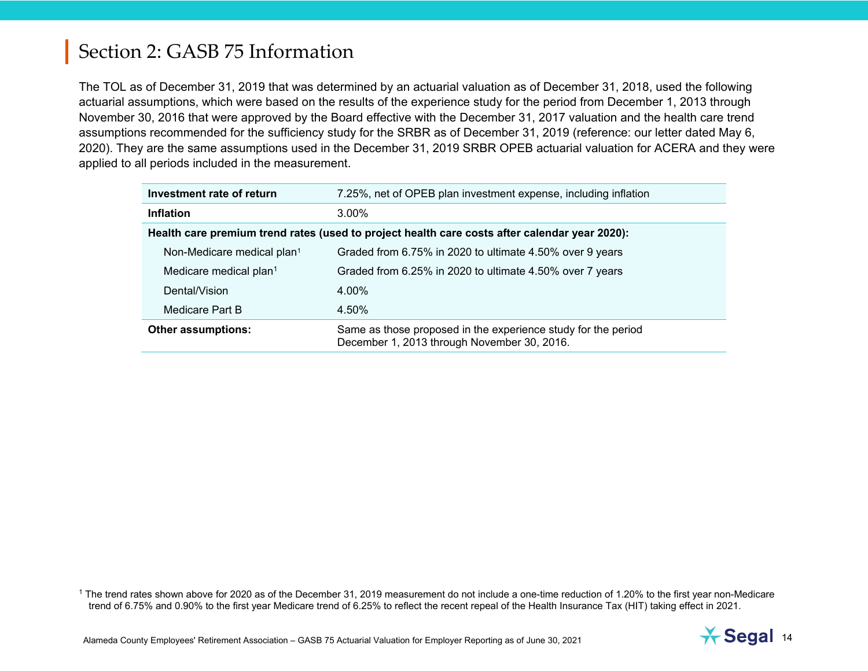The TOL as of December 31, 2019 that was determined by an actuarial valuation as of December 31, 2018, used the following actuarial assumptions, which were based on the results of the experience study for the period from December 1, 2013 through November 30, 2016 that were approved by the Board effective with the December 31, 2017 valuation and the health care trend assumptions recommended for the sufficiency study for the SRBR as of December 31, 2019 (reference: our letter dated May 6, 2020). They are the same assumptions used in the December 31, 2019 SRBR OPEB actuarial valuation for ACERA and they were applied to all periods included in the measurement.

| Investment rate of return              | 7.25%, net of OPEB plan investment expense, including inflation                                              |  |
|----------------------------------------|--------------------------------------------------------------------------------------------------------------|--|
| <b>Inflation</b>                       | $3.00\%$                                                                                                     |  |
|                                        | Health care premium trend rates (used to project health care costs after calendar year 2020):                |  |
| Non-Medicare medical plan <sup>1</sup> | Graded from 6.75% in 2020 to ultimate 4.50% over 9 years                                                     |  |
| Medicare medical plan <sup>1</sup>     | Graded from 6.25% in 2020 to ultimate 4.50% over 7 years                                                     |  |
| Dental/Vision                          | $4.00\%$                                                                                                     |  |
| Medicare Part B                        | 4.50%                                                                                                        |  |
| <b>Other assumptions:</b>              | Same as those proposed in the experience study for the period<br>December 1, 2013 through November 30, 2016. |  |

1 The trend rates shown above for 2020 as of the December 31, 2019 measurement do not include a one-time reduction of 1.20% to the first year non-Medicare trend of 6.75% and 0.90% to the first year Medicare trend of 6.25% to reflect the recent repeal of the Health Insurance Tax (HIT) taking effect in 2021.

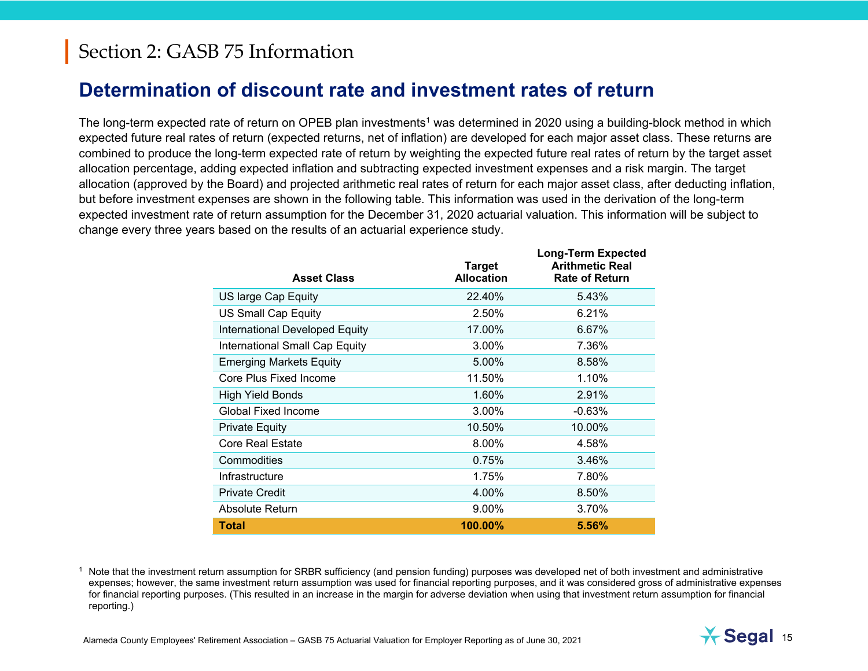# **Determination of discount rate and investment rates of return**

The long-term expected rate of return on OPEB plan investments<sup>1</sup> was determined in 2020 using a building-block method in which expected future real rates of return (expected returns, net of inflation) are developed for each major asset class. These returns are combined to produce the long-term expected rate of return by weighting the expected future real rates of return by the target asset allocation percentage, adding expected inflation and subtracting expected investment expenses and a risk margin. The target allocation (approved by the Board) and projected arithmetic real rates of return for each major asset class, after deducting inflation, but before investment expenses are shown in the following table. This information was used in the derivation of the long-term expected investment rate of return assumption for the December 31, 2020 actuarial valuation. This information will be subject to change every three years based on the results of an actuarial experience study.

| <b>Asset Class</b>             | <b>Target</b><br><b>Allocation</b> | Long-Term Expected<br><b>Arithmetic Real</b><br><b>Rate of Return</b> |
|--------------------------------|------------------------------------|-----------------------------------------------------------------------|
| US large Cap Equity            | 22.40%                             | 5.43%                                                                 |
| <b>US Small Cap Equity</b>     | 2.50%                              | 6.21%                                                                 |
| International Developed Equity | 17.00%                             | 6.67%                                                                 |
| International Small Cap Equity | 3.00%                              | 7.36%                                                                 |
| <b>Emerging Markets Equity</b> | 5.00%                              | 8.58%                                                                 |
| Core Plus Fixed Income         | 11.50%                             | 1.10%                                                                 |
| High Yield Bonds               | 1.60%                              | 2.91%                                                                 |
| <b>Global Fixed Income</b>     | 3.00%                              | $-0.63%$                                                              |
| <b>Private Equity</b>          | 10.50%                             | 10.00%                                                                |
| <b>Core Real Estate</b>        | 8.00%                              | 4.58%                                                                 |
| Commodities                    | 0.75%                              | 3.46%                                                                 |
| Infrastructure                 | 1.75%                              | 7.80%                                                                 |
| <b>Private Credit</b>          | 4.00%                              | 8.50%                                                                 |
| Absolute Return                | 9.00%                              | 3.70%                                                                 |
| <b>Total</b>                   | 100.00%                            | 5.56%                                                                 |

<sup>1</sup> Note that the investment return assumption for SRBR sufficiency (and pension funding) purposes was developed net of both investment and administrative expenses; however, the same investment return assumption was used for financial reporting purposes, and it was considered gross of administrative expenses for financial reporting purposes. (This resulted in an increase in the margin for adverse deviation when using that investment return assumption for financial reporting.)

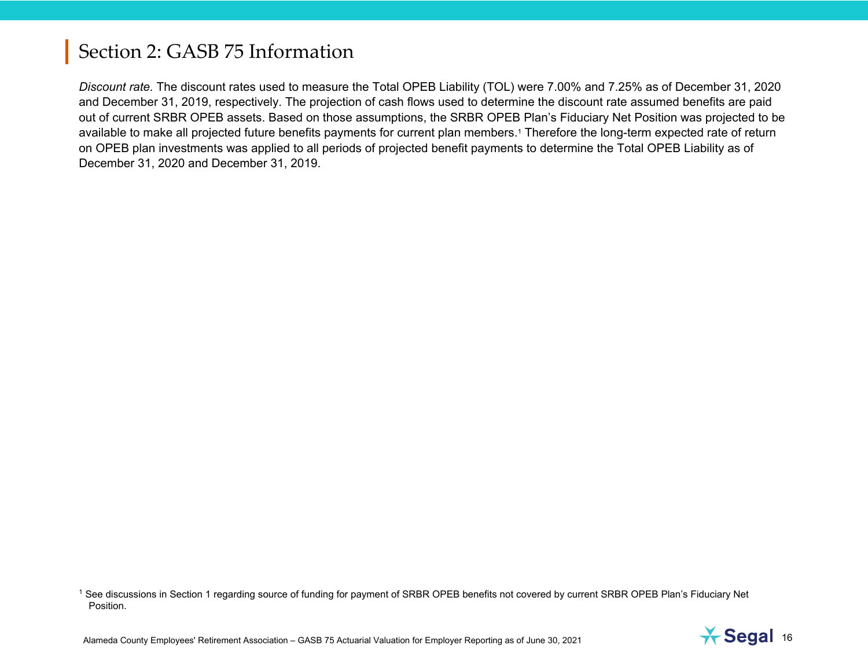*Discount rate.* The discount rates used to measure the Total OPEB Liability (TOL) were 7.00% and 7.25% as of December 31, 2020 and December 31, 2019, respectively. The projection of cash flows used to determine the discount rate assumed benefits are paid out of current SRBR OPEB assets. Based on those assumptions, the SRBR OPEB Plan's Fiduciary Net Position was projected to be available to make all projected future benefits payments for current plan members.1 Therefore the long-term expected rate of return on OPEB plan investments was applied to all periods of projected benefit payments to determine the Total OPEB Liability as of December 31, 2020 and December 31, 2019.

1 See discussions in Section 1 regarding source of funding for payment of SRBR OPEB benefits not covered by current SRBR OPEB Plan's Fiduciary Net Position.

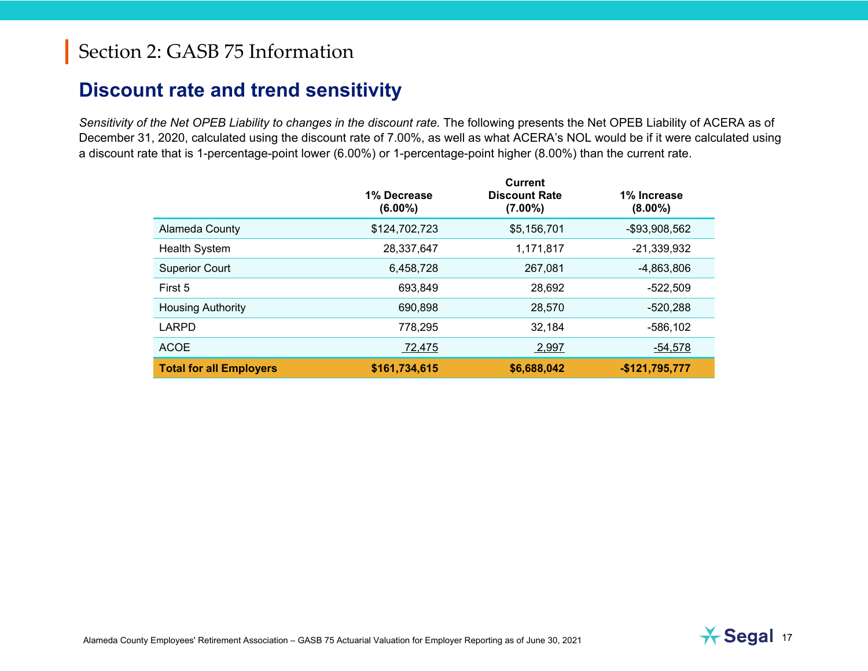# **Discount rate and trend sensitivity**

*Sensitivity of the Net OPEB Liability to changes in the discount rate.* The following presents the Net OPEB Liability of ACERA as of December 31, 2020, calculated using the discount rate of 7.00%, as well as what ACERA's NOL would be if it were calculated using a discount rate that is 1-percentage-point lower (6.00%) or 1-percentage-point higher (8.00%) than the current rate.

|                                | 1% Decrease<br>$(6.00\%)$ | <b>Current</b><br><b>Discount Rate</b><br>$(7.00\%)$ | 1% Increase<br>$(8.00\%)$ |
|--------------------------------|---------------------------|------------------------------------------------------|---------------------------|
| Alameda County                 | \$124,702,723             | \$5,156,701                                          | -\$93,908,562             |
| <b>Health System</b>           | 28,337,647                | 1,171,817                                            | $-21,339,932$             |
| <b>Superior Court</b>          | 6,458,728                 | 267,081                                              | -4,863,806                |
| First 5                        | 693,849                   | 28,692                                               | $-522,509$                |
| <b>Housing Authority</b>       | 690,898                   | 28,570                                               | $-520,288$                |
| <b>LARPD</b>                   | 778,295                   | 32,184                                               | $-586,102$                |
| <b>ACOE</b>                    | 72,475                    | 2,997                                                | -54,578                   |
| <b>Total for all Employers</b> | \$161,734,615             | \$6,688,042                                          | -\$121,795,777            |

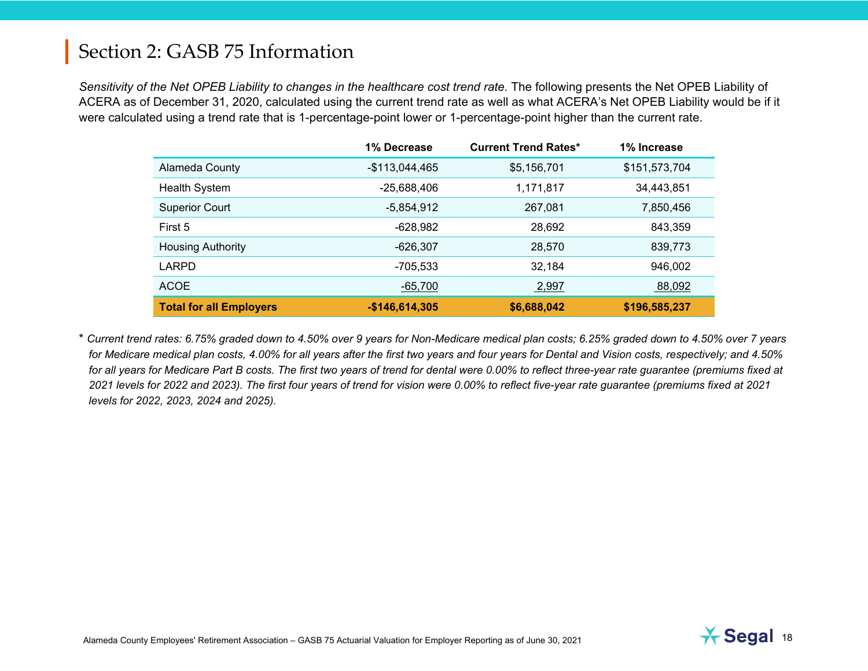*Sensitivity of the Net OPEB Liability to changes in the healthcare cost trend rate.* The following presents the Net OPEB Liability of ACERA as of December 31, 2020, calculated using the current trend rate as well as what ACERA's Net OPEB Liability would be if it were calculated using a trend rate that is 1-percentage-point lower or 1-percentage-point higher than the current rate.

|                                | 1% Decrease     | <b>Current Trend Rates*</b> | 1% Increase   |
|--------------------------------|-----------------|-----------------------------|---------------|
| Alameda County                 | $-$113,044,465$ | \$5,156,701                 | \$151,573,704 |
| <b>Health System</b>           | -25,688,406     | 1,171,817                   | 34,443,851    |
| <b>Superior Court</b>          | $-5,854,912$    | 267,081                     | 7,850,456     |
| First 5                        | $-628,982$      | 28,692                      | 843,359       |
| <b>Housing Authority</b>       | $-626,307$      | 28,570                      | 839,773       |
| <b>LARPD</b>                   | -705,533        | 32,184                      | 946,002       |
| <b>ACOE</b>                    | $-65,700$       | 2,997                       | 88,092        |
| <b>Total for all Employers</b> | $-$146,614,305$ | \$6,688,042                 | \$196,585,237 |

\* *Current trend rates: 6.75% graded down to 4.50% over 9 years for Non-Medicare medical plan costs; 6.25% graded down to 4.50% over 7 years for Medicare medical plan costs, 4.00% for all years after the first two years and four years for Dental and Vision costs, respectively; and 4.50% for all years for Medicare Part B costs. The first two years of trend for dental were 0.00% to reflect three-year rate guarantee (premiums fixed at 2021 levels for 2022 and 2023). The first four years of trend for vision were 0.00% to reflect five-year rate guarantee (premiums fixed at 2021 levels for 2022, 2023, 2024 and 2025).*

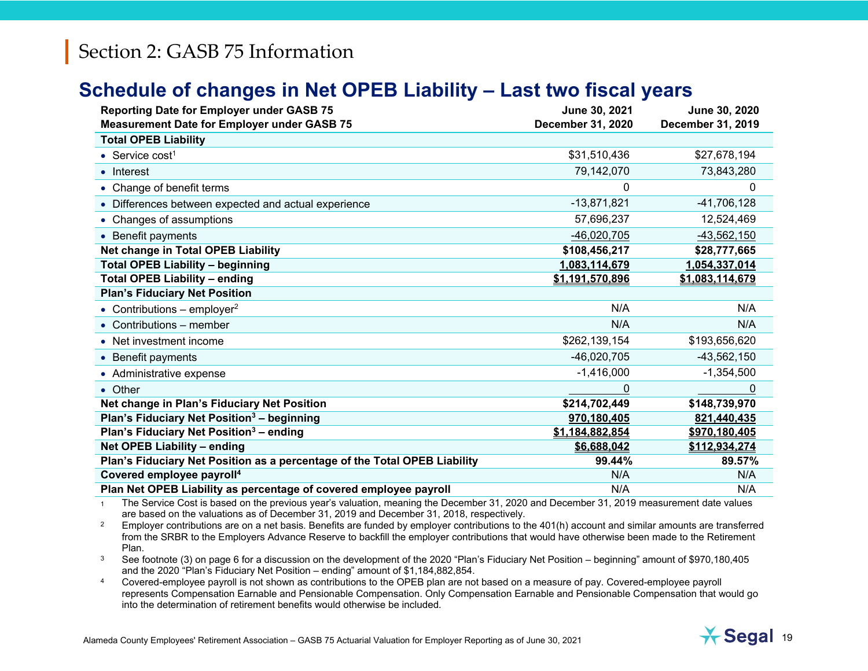## **Schedule of changes in Net OPEB Liability – Last two fiscal years**

| <b>Reporting Date for Employer under GASB 75</b><br><b>Measurement Date for Employer under GASB 75</b> | June 30, 2021<br><b>December 31, 2020</b> | June 30, 2020<br>December 31, 2019 |
|--------------------------------------------------------------------------------------------------------|-------------------------------------------|------------------------------------|
| <b>Total OPEB Liability</b>                                                                            |                                           |                                    |
| • Service cost <sup>1</sup>                                                                            | \$31,510,436                              | \$27,678,194                       |
| • Interest                                                                                             | 79,142,070                                | 73,843,280                         |
| • Change of benefit terms                                                                              | 0                                         | 0                                  |
| • Differences between expected and actual experience                                                   | $-13,871,821$                             | $-41,706,128$                      |
| • Changes of assumptions                                                                               | 57,696,237                                | 12,524,469                         |
| • Benefit payments                                                                                     | -46,020,705                               | $-43,562,150$                      |
| <b>Net change in Total OPEB Liability</b>                                                              | \$108,456,217                             | \$28,777,665                       |
| <b>Total OPEB Liability - beginning</b>                                                                | 1,083,114,679                             | 1,054,337,014                      |
| <b>Total OPEB Liability - ending</b>                                                                   | \$1,191,570,896                           | \$1,083,114,679                    |
| <b>Plan's Fiduciary Net Position</b>                                                                   |                                           |                                    |
| • Contributions – employer <sup>2</sup>                                                                | N/A                                       | N/A                                |
| • Contributions $-$ member                                                                             | N/A                                       | N/A                                |
| • Net investment income                                                                                | \$262,139,154                             | \$193,656,620                      |
| • Benefit payments                                                                                     | -46,020,705                               | $-43,562,150$                      |
| • Administrative expense                                                                               | $-1,416,000$                              | $-1,354,500$                       |
| • Other                                                                                                | 0                                         | 0                                  |
| Net change in Plan's Fiduciary Net Position                                                            | \$214,702,449                             | \$148,739,970                      |
| Plan's Fiduciary Net Position <sup>3</sup> - beginning                                                 | 970,180,405                               | 821,440,435                        |
| Plan's Fiduciary Net Position <sup>3</sup> - ending                                                    | \$1,184,882,854                           | \$970,180,405                      |
| <b>Net OPEB Liability - ending</b>                                                                     | \$6.688.042                               | \$112,934,274                      |
| Plan's Fiduciary Net Position as a percentage of the Total OPEB Liability                              | 99.44%                                    | 89.57%                             |
| Covered employee payroll <sup>4</sup>                                                                  | N/A                                       | N/A                                |
| Plan Net OPEB Liability as percentage of covered employee payroll                                      | N/A                                       | N/A                                |

1The Service Cost is based on the previous year's valuation, meaning the December 31, 2020 and December 31, 2019 measurement date values are based on the valuations as of December 31, 2019 and December 31, 2018, respectively.<br>—

2 Employer contributions are on a net basis. Benefits are funded by employer contributions to the 401(h) account and similar amounts are transferred from the SRBR to the Employers Advance Reserve to backfill the employer contributions that would have otherwise been made to the Retirement<br>Plan Plan.

3 See footnote (3) on page 6 for a discussion on the development of the 2020 "Plan's Fiduciary Net Position – beginning" amount of \$970,180,405 and the 2020 "Plan's Fiduciary Net Position – ending" amount of \$1,184,882,854.

4 Covered-employee payroll is not shown as contributions to the OPEB plan are not based on a measure of pay. Covered-employee payroll represents Compensation Earnable and Pensionable Compensation. Only Compensation Earnable and Pensionable Compensation that would go into the determination of retirement benefits would otherwise be included*.*

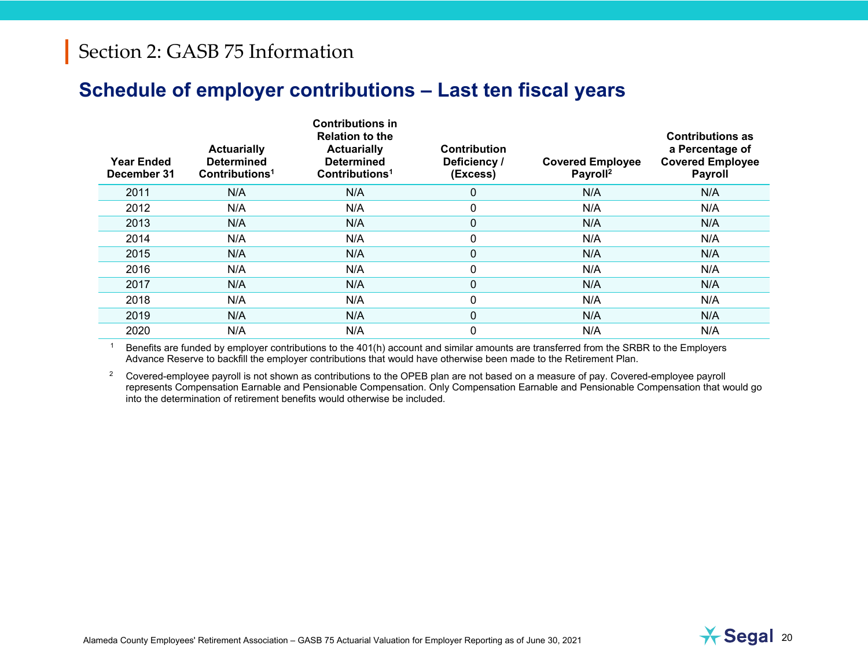# **Schedule of employer contributions – Last ten fiscal years**

| <b>Year Ended</b><br>December 31 | <b>Actuarially</b><br><b>Determined</b><br>Contributions <sup>1</sup> | <b>Contributions in</b><br><b>Relation to the</b><br><b>Actuarially</b><br><b>Determined</b><br>Contributions <sup>1</sup> | <b>Contribution</b><br>Deficiency /<br>(Excess) | <b>Covered Employee</b><br>Payroll <sup>2</sup> | <b>Contributions as</b><br>a Percentage of<br><b>Covered Employee</b><br><b>Payroll</b> |
|----------------------------------|-----------------------------------------------------------------------|----------------------------------------------------------------------------------------------------------------------------|-------------------------------------------------|-------------------------------------------------|-----------------------------------------------------------------------------------------|
| 2011                             | N/A                                                                   | N/A                                                                                                                        | $\mathbf{0}$                                    | N/A                                             | N/A                                                                                     |
| 2012                             | N/A                                                                   | N/A                                                                                                                        | 0                                               | N/A                                             | N/A                                                                                     |
| 2013                             | N/A                                                                   | N/A                                                                                                                        | 0                                               | N/A                                             | N/A                                                                                     |
| 2014                             | N/A                                                                   | N/A                                                                                                                        | $\mathbf{0}$                                    | N/A                                             | N/A                                                                                     |
| 2015                             | N/A                                                                   | N/A                                                                                                                        | $\mathbf{0}$                                    | N/A                                             | N/A                                                                                     |
| 2016                             | N/A                                                                   | N/A                                                                                                                        | $\mathbf{0}$                                    | N/A                                             | N/A                                                                                     |
| 2017                             | N/A                                                                   | N/A                                                                                                                        | $\mathbf{0}$                                    | N/A                                             | N/A                                                                                     |
| 2018                             | N/A                                                                   | N/A                                                                                                                        | $\Omega$                                        | N/A                                             | N/A                                                                                     |
| 2019                             | N/A                                                                   | N/A                                                                                                                        | $\mathbf{0}$                                    | N/A                                             | N/A                                                                                     |
| 2020                             | N/A                                                                   | N/A                                                                                                                        | 0                                               | N/A                                             | N/A                                                                                     |

1 Benefits are funded by employer contributions to the 401(h) account and similar amounts are transferred from the SRBR to the Employers Advance Reserve to backfill the employer contributions that would have otherwise been made to the Retirement Plan.

<sup>2</sup> Covered-employee payroll is not shown as contributions to the OPEB plan are not based on a measure of pay. Covered-employee payroll represents Compensation Earnable and Pensionable Compensation. Only Compensation Earnable and Pensionable Compensation that would go into the determination of retirement benefits would otherwise be included.

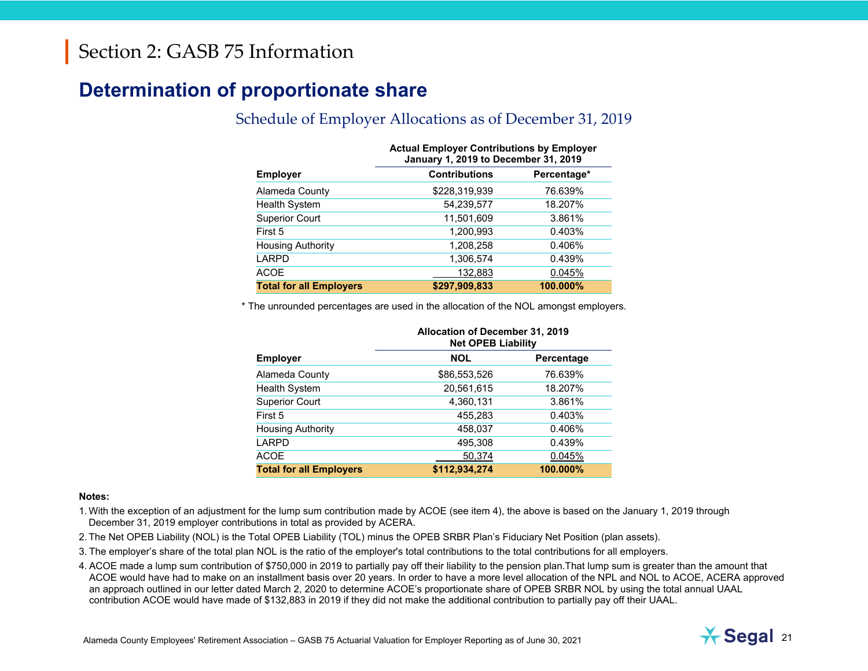## **Determination of proportionate share**

#### Schedule of Employer Allocations as of December 31, 2019

|                                | <b>Actual Employer Contributions by Employer</b><br>January 1, 2019 to December 31, 2019 |             |  |
|--------------------------------|------------------------------------------------------------------------------------------|-------------|--|
| <b>Employer</b>                | <b>Contributions</b>                                                                     | Percentage* |  |
| Alameda County                 | \$228,319,939                                                                            | 76.639%     |  |
| <b>Health System</b>           | 54,239,577                                                                               | 18.207%     |  |
| <b>Superior Court</b>          | 11,501,609                                                                               | 3.861%      |  |
| First 5                        | 1,200,993                                                                                | 0.403%      |  |
| <b>Housing Authority</b>       | 1,208,258                                                                                | 0.406%      |  |
| <b>LARPD</b>                   | 1,306,574                                                                                | 0.439%      |  |
| <b>ACOE</b>                    | 132,883                                                                                  | 0.045%      |  |
| <b>Total for all Employers</b> | \$297,909,833                                                                            | 100.000%    |  |

\* The unrounded percentages are used in the allocation of the NOL amongst employers.

|                                | Allocation of December 31, 2019<br><b>Net OPEB Liability</b> |            |  |
|--------------------------------|--------------------------------------------------------------|------------|--|
| <b>Employer</b>                | <b>NOL</b>                                                   | Percentage |  |
| Alameda County                 | \$86,553,526                                                 | 76.639%    |  |
| <b>Health System</b>           | 20,561,615                                                   | 18.207%    |  |
| <b>Superior Court</b>          | 4,360,131                                                    | 3.861%     |  |
| First 5                        | 455.283                                                      | 0.403%     |  |
| <b>Housing Authority</b>       | 458,037                                                      | 0.406%     |  |
| <b>LARPD</b>                   | 495,308                                                      | 0.439%     |  |
| <b>ACOE</b>                    | 50,374                                                       | 0.045%     |  |
| <b>Total for all Employers</b> | \$112,934,274                                                | 100.000%   |  |

#### **Notes:**

- 1. With the exception of an adjustment for the lump sum contribution made by ACOE (see item 4), the above is based on the January 1, 2019 through December 31, 2019 employer contributions in total as provided by ACERA.
- 2. The Net OPEB Liability (NOL) is the Total OPEB Liability (TOL) minus the OPEB SRBR Plan's Fiduciary Net Position (plan assets).
- 3. The employer's share of the total plan NOL is the ratio of the employer's total contributions to the total contributions for all employers.
- 4. ACOE made a lump sum contribution of \$750,000 in 2019 to partially pay off their liability to the pension plan.That lump sum is greater than the amount that ACOE would have had to make on an installment basis over 20 years. In order to have a more level allocation of the NPL and NOL to ACOE, ACERA approved an approach outlined in our letter dated March 2, 2020 to determine ACOE's proportionate share of OPEB SRBR NOL by using the total annual UAAL contribution ACOE would have made of \$132,883 in 2019 if they did not make the additional contribution to partially pay off their UAAL.

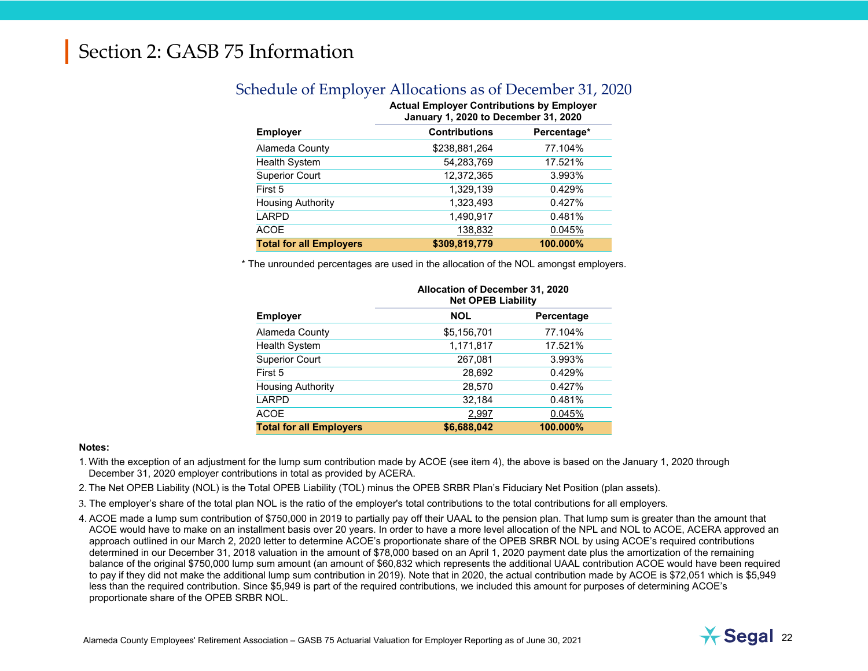|                                | <b>Actual Employer Contributions by Employer</b><br>January 1, 2020 to December 31, 2020 |          |  |  |  |  |
|--------------------------------|------------------------------------------------------------------------------------------|----------|--|--|--|--|
| <b>Employer</b>                | <b>Contributions</b><br>Percentage*                                                      |          |  |  |  |  |
| Alameda County                 | \$238,881,264                                                                            | 77.104%  |  |  |  |  |
| <b>Health System</b>           | 54,283,769                                                                               | 17.521%  |  |  |  |  |
| <b>Superior Court</b>          | 12,372,365                                                                               | 3.993%   |  |  |  |  |
| First 5                        | 1,329,139                                                                                | 0.429%   |  |  |  |  |
| <b>Housing Authority</b>       | 1,323,493                                                                                | 0.427%   |  |  |  |  |
| LARPD                          | 1,490,917                                                                                | 0.481%   |  |  |  |  |
| <b>ACOE</b>                    | 138,832                                                                                  | 0.045%   |  |  |  |  |
| <b>Total for all Employers</b> | \$309,819,779                                                                            | 100.000% |  |  |  |  |

## Schedule of Employer Allocations as of December 31, 2020

\* The unrounded percentages are used in the allocation of the NOL amongst employers.

|                                | Allocation of Deceniber 31, 2020<br><b>Net OPEB Liability</b> |            |  |
|--------------------------------|---------------------------------------------------------------|------------|--|
| <b>Employer</b>                | <b>NOL</b>                                                    | Percentage |  |
| Alameda County                 | \$5,156,701                                                   | 77.104%    |  |
| <b>Health System</b>           | 1,171,817                                                     | 17.521%    |  |
| <b>Superior Court</b>          | 267,081                                                       | 3.993%     |  |
| First 5                        | 28,692                                                        | 0.429%     |  |
| <b>Housing Authority</b>       | 28,570                                                        | 0.427%     |  |
| <b>LARPD</b>                   | 32,184                                                        | 0.481%     |  |
| <b>ACOE</b>                    | 2,997                                                         | 0.045%     |  |
| <b>Total for all Employers</b> | \$6,688,042                                                   | 100.000%   |  |

## **Allocation of December 31, 2020**

#### **Notes:**

- 1. With the exception of an adjustment for the lump sum contribution made by ACOE (see item 4), the above is based on the January 1, 2020 through December 31, 2020 employer contributions in total as provided by ACERA.
- 2. The Net OPEB Liability (NOL) is the Total OPEB Liability (TOL) minus the OPEB SRBR Plan's Fiduciary Net Position (plan assets).
- 3. The employer's share of the total plan NOL is the ratio of the employer's total contributions to the total contributions for all employers.
- 4. ACOE made a lump sum contribution of \$750,000 in 2019 to partially pay off their UAAL to the pension plan. That lump sum is greater than the amount that ACOE would have to make on an installment basis over 20 years. In order to have a more level allocation of the NPL and NOL to ACOE, ACERA approved an approach outlined in our March 2, 2020 letter to determine ACOE's proportionate share of the OPEB SRBR NOL by using ACOE's required contributions determined in our December 31, 2018 valuation in the amount of \$78,000 based on an April 1, 2020 payment date plus the amortization of the remaining balance of the original \$750,000 lump sum amount (an amount of \$60,832 which represents the additional UAAL contribution ACOE would have been required to pay if they did not make the additional lump sum contribution in 2019). Note that in 2020, the actual contribution made by ACOE is \$72,051 which is \$5,949 less than the required contribution. Since \$5,949 is part of the required contributions, we included this amount for purposes of determining ACOE's proportionate share of the OPEB SRBR NOL.

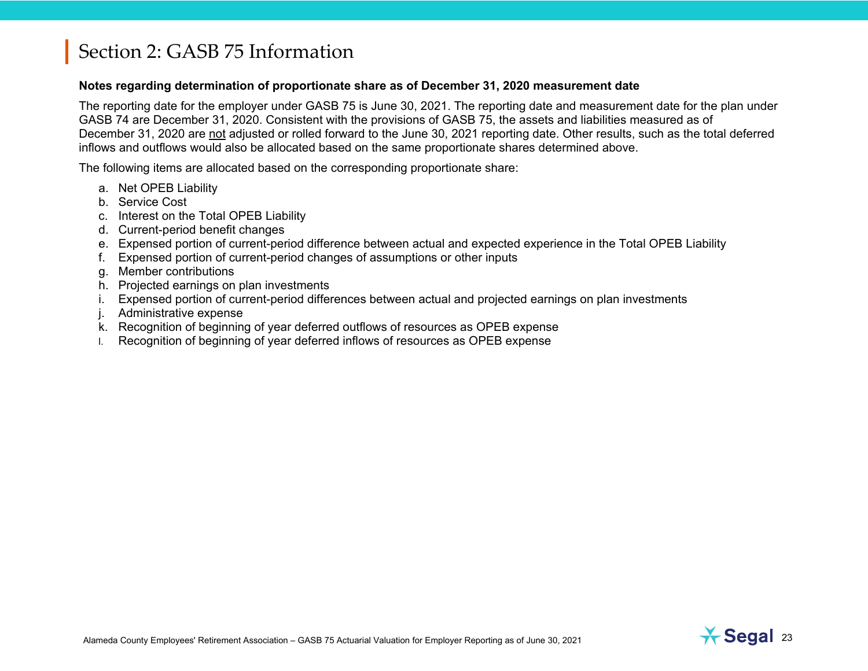#### **Notes regarding determination of proportionate share as of December 31, 2020 measurement date**

The reporting date for the employer under GASB 75 is June 30, 2021. The reporting date and measurement date for the plan under GASB 74 are December 31, 2020. Consistent with the provisions of GASB 75, the assets and liabilities measured as of December 31, 2020 are not adjusted or rolled forward to the June 30, 2021 reporting date. Other results, such as the total deferred inflows and outflows would also be allocated based on the same proportionate shares determined above.

The following items are allocated based on the corresponding proportionate share:

- a. Net OPEB Liability
- b. Service Cost
- c. Interest on the Total OPEB Liability
- d. Current-period benefit changes
- e. Expensed portion of current-period difference between actual and expected experience in the Total OPEB Liability
- f. Expensed portion of current-period changes of assumptions or other inputs
- g. Member contributions
- h. Projected earnings on plan investments
- i. Expensed portion of current-period differences between actual and projected earnings on plan investments
- j. Administrative expense
- k. Recognition of beginning of year deferred outflows of resources as OPEB expense
- l. Recognition of beginning of year deferred inflows of resources as OPEB expense

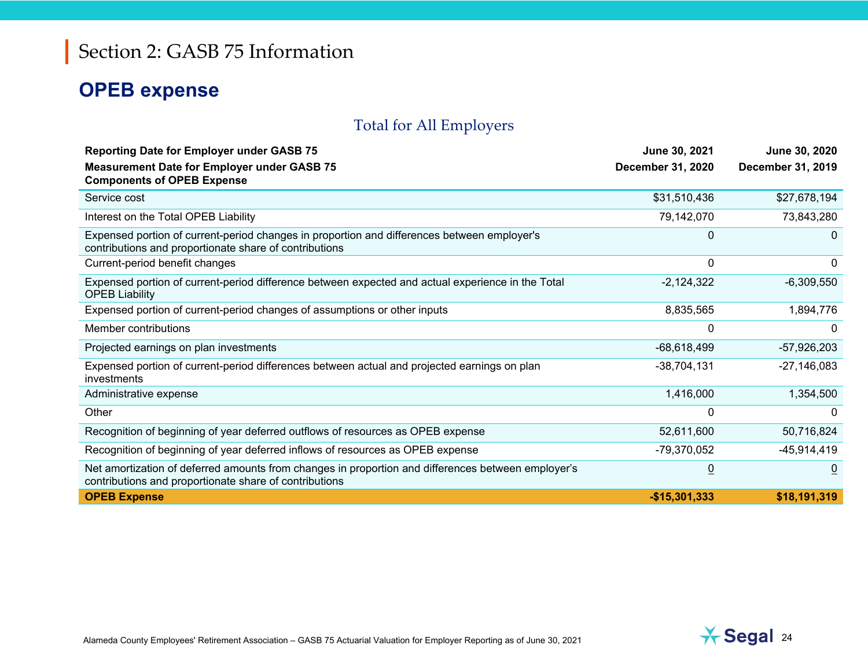# **OPEB expense**

## Total for All Employers

| <b>Reporting Date for Employer under GASB 75</b>                                                                                                             | June 30, 2021            | June 30, 2020            |
|--------------------------------------------------------------------------------------------------------------------------------------------------------------|--------------------------|--------------------------|
| <b>Measurement Date for Employer under GASB 75</b><br><b>Components of OPEB Expense</b>                                                                      | <b>December 31, 2020</b> | <b>December 31, 2019</b> |
| Service cost                                                                                                                                                 | \$31,510,436             | \$27,678,194             |
| Interest on the Total OPEB Liability                                                                                                                         | 79,142,070               | 73,843,280               |
| Expensed portion of current-period changes in proportion and differences between employer's<br>contributions and proportionate share of contributions        | $\Omega$                 | 0                        |
| Current-period benefit changes                                                                                                                               | 0                        | 0                        |
| Expensed portion of current-period difference between expected and actual experience in the Total<br><b>OPEB Liability</b>                                   | $-2,124,322$             | $-6,309,550$             |
| Expensed portion of current-period changes of assumptions or other inputs                                                                                    | 8,835,565                | 1,894,776                |
| Member contributions                                                                                                                                         | 0                        | 0                        |
| Projected earnings on plan investments                                                                                                                       | $-68,618,499$            | $-57,926,203$            |
| Expensed portion of current-period differences between actual and projected earnings on plan<br>investments                                                  | $-38,704,131$            | $-27,146,083$            |
| Administrative expense                                                                                                                                       | 1,416,000                | 1,354,500                |
| Other                                                                                                                                                        | 0                        | 0                        |
| Recognition of beginning of year deferred outflows of resources as OPEB expense                                                                              | 52,611,600               | 50,716,824               |
| Recognition of beginning of year deferred inflows of resources as OPEB expense                                                                               | -79,370,052              | $-45,914,419$            |
| Net amortization of deferred amounts from changes in proportion and differences between employer's<br>contributions and proportionate share of contributions | $\overline{0}$           | $\overline{0}$           |
| <b>OPEB Expense</b>                                                                                                                                          | $-$15,301,333$           | \$18,191,319             |

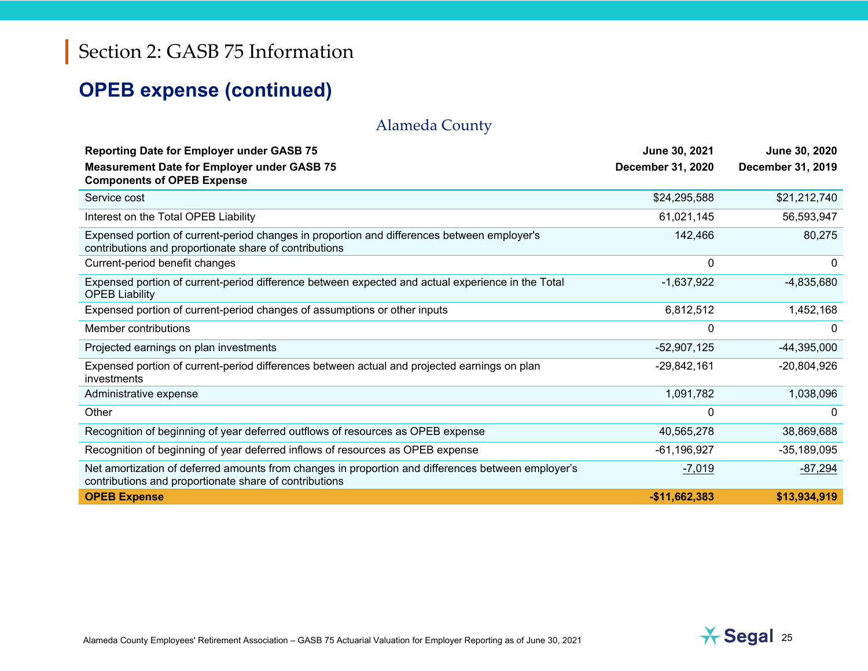# **OPEB expense (continued)**

#### Alameda County

| <b>Reporting Date for Employer under GASB 75</b>                                                                                                             | June 30, 2021     | June 30, 2020     |
|--------------------------------------------------------------------------------------------------------------------------------------------------------------|-------------------|-------------------|
| <b>Measurement Date for Employer under GASB 75</b><br><b>Components of OPEB Expense</b>                                                                      | December 31, 2020 | December 31, 2019 |
| Service cost                                                                                                                                                 | \$24,295,588      | \$21,212,740      |
| Interest on the Total OPEB Liability                                                                                                                         | 61,021,145        | 56,593,947        |
| Expensed portion of current-period changes in proportion and differences between employer's<br>contributions and proportionate share of contributions        | 142,466           | 80,275            |
| Current-period benefit changes                                                                                                                               | 0                 | 0                 |
| Expensed portion of current-period difference between expected and actual experience in the Total<br><b>OPEB Liability</b>                                   | $-1,637,922$      | -4,835,680        |
| Expensed portion of current-period changes of assumptions or other inputs                                                                                    | 6,812,512         | 1,452,168         |
| Member contributions                                                                                                                                         | 0                 | 0                 |
| Projected earnings on plan investments                                                                                                                       | $-52,907,125$     | $-44,395,000$     |
| Expensed portion of current-period differences between actual and projected earnings on plan<br>investments                                                  | $-29,842,161$     | $-20,804,926$     |
| Administrative expense                                                                                                                                       | 1,091,782         | 1,038,096         |
| Other                                                                                                                                                        | 0                 | 0                 |
| Recognition of beginning of year deferred outflows of resources as OPEB expense                                                                              | 40,565,278        | 38,869,688        |
| Recognition of beginning of year deferred inflows of resources as OPEB expense                                                                               | $-61, 196, 927$   | $-35,189,095$     |
| Net amortization of deferred amounts from changes in proportion and differences between employer's<br>contributions and proportionate share of contributions | $-7,019$          | $-87,294$         |
| <b>OPEB Expense</b>                                                                                                                                          | $-$11,662,383$    | \$13,934,919      |

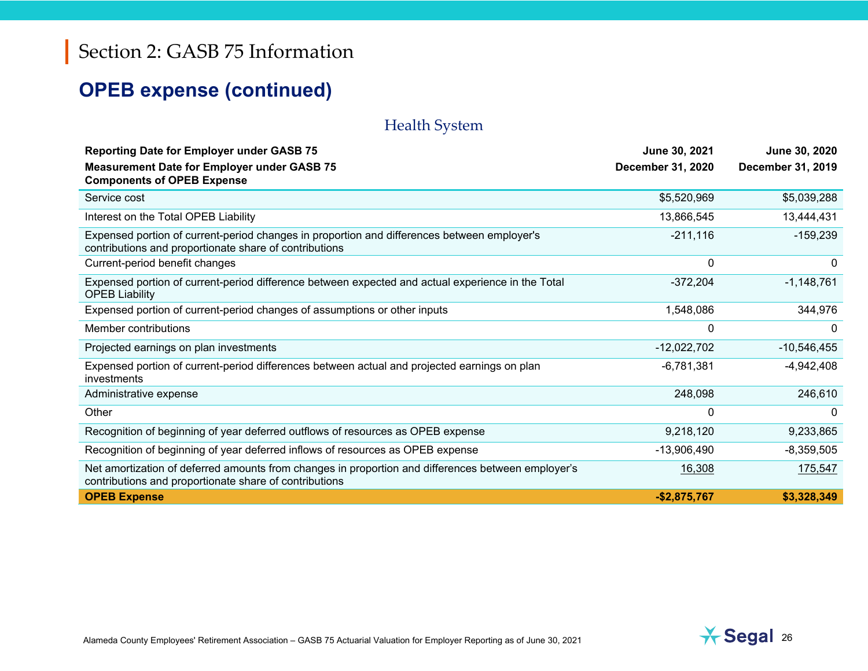# **OPEB expense (continued)**

#### Health System

| <b>Reporting Date for Employer under GASB 75</b>                                                                                                             | June 30, 2021     | June 30, 2020     |
|--------------------------------------------------------------------------------------------------------------------------------------------------------------|-------------------|-------------------|
| <b>Measurement Date for Employer under GASB 75</b><br><b>Components of OPEB Expense</b>                                                                      | December 31, 2020 | December 31, 2019 |
| Service cost                                                                                                                                                 | \$5,520,969       | \$5,039,288       |
| Interest on the Total OPEB Liability                                                                                                                         | 13,866,545        | 13,444,431        |
| Expensed portion of current-period changes in proportion and differences between employer's<br>contributions and proportionate share of contributions        | $-211,116$        | $-159,239$        |
| Current-period benefit changes                                                                                                                               | $\mathbf{0}$      | 0                 |
| Expensed portion of current-period difference between expected and actual experience in the Total<br><b>OPEB Liability</b>                                   | $-372,204$        | $-1,148,761$      |
| Expensed portion of current-period changes of assumptions or other inputs                                                                                    | 1,548,086         | 344,976           |
| Member contributions                                                                                                                                         | 0                 | 0                 |
| Projected earnings on plan investments                                                                                                                       | $-12,022,702$     | $-10,546,455$     |
| Expensed portion of current-period differences between actual and projected earnings on plan<br>investments                                                  | $-6,781,381$      | $-4,942,408$      |
| Administrative expense                                                                                                                                       | 248,098           | 246,610           |
| Other                                                                                                                                                        | $\mathbf{0}$      | 0                 |
| Recognition of beginning of year deferred outflows of resources as OPEB expense                                                                              | 9,218,120         | 9,233,865         |
| Recognition of beginning of year deferred inflows of resources as OPEB expense                                                                               | $-13,906,490$     | $-8,359,505$      |
| Net amortization of deferred amounts from changes in proportion and differences between employer's<br>contributions and proportionate share of contributions | 16,308            | 175,547           |
| <b>OPEB Expense</b>                                                                                                                                          | $-$2,875,767$     | \$3,328,349       |

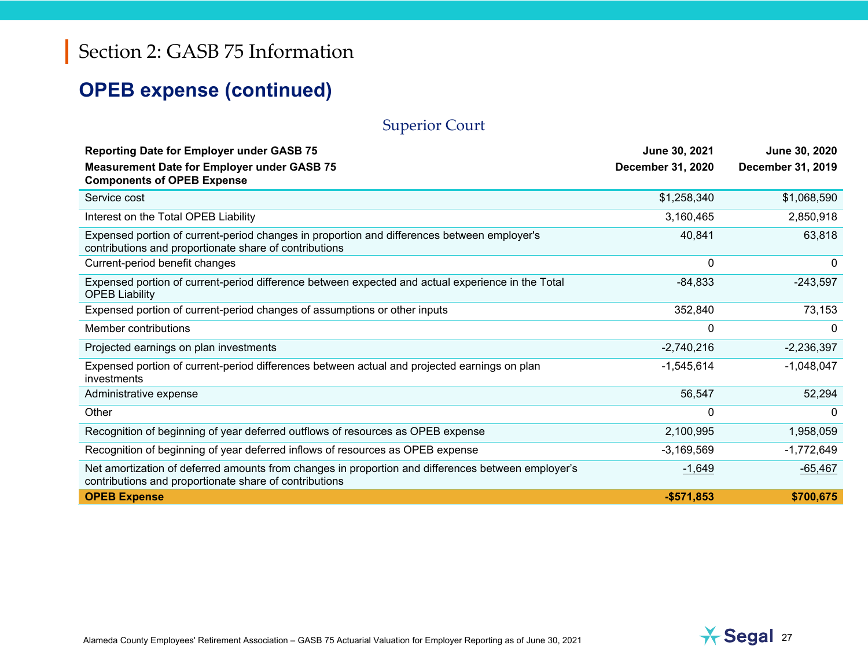# **OPEB expense (continued)**

## Superior Court

| <b>Reporting Date for Employer under GASB 75</b>                                                                                                             | June 30, 2021     | June 30, 2020     |
|--------------------------------------------------------------------------------------------------------------------------------------------------------------|-------------------|-------------------|
| <b>Measurement Date for Employer under GASB 75</b><br><b>Components of OPEB Expense</b>                                                                      | December 31, 2020 | December 31, 2019 |
| Service cost                                                                                                                                                 | \$1,258,340       | \$1,068,590       |
| Interest on the Total OPEB Liability                                                                                                                         | 3,160,465         | 2,850,918         |
| Expensed portion of current-period changes in proportion and differences between employer's<br>contributions and proportionate share of contributions        | 40,841            | 63,818            |
| Current-period benefit changes                                                                                                                               | $\mathbf{0}$      | 0                 |
| Expensed portion of current-period difference between expected and actual experience in the Total<br><b>OPEB Liability</b>                                   | $-84,833$         | $-243,597$        |
| Expensed portion of current-period changes of assumptions or other inputs                                                                                    | 352,840           | 73,153            |
| Member contributions                                                                                                                                         | 0                 | 0                 |
| Projected earnings on plan investments                                                                                                                       | $-2,740,216$      | $-2,236,397$      |
| Expensed portion of current-period differences between actual and projected earnings on plan<br>investments                                                  | $-1,545,614$      | $-1,048,047$      |
| Administrative expense                                                                                                                                       | 56,547            | 52,294            |
| Other                                                                                                                                                        | 0                 | 0                 |
| Recognition of beginning of year deferred outflows of resources as OPEB expense                                                                              | 2,100,995         | 1,958,059         |
| Recognition of beginning of year deferred inflows of resources as OPEB expense                                                                               | $-3,169,569$      | $-1,772,649$      |
| Net amortization of deferred amounts from changes in proportion and differences between employer's<br>contributions and proportionate share of contributions | $-1,649$          | $-65,467$         |
| <b>OPEB Expense</b>                                                                                                                                          | $-$571,853$       | \$700,675         |

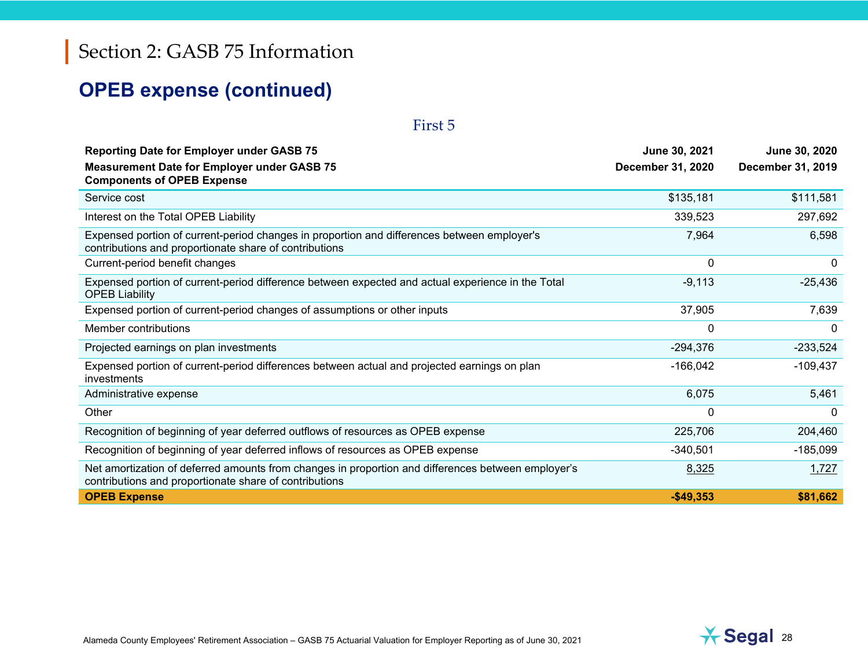# **OPEB expense (continued)**

#### First 5

| <b>Reporting Date for Employer under GASB 75</b><br><b>Measurement Date for Employer under GASB 75</b><br><b>Components of OPEB Expense</b>                  | <b>June 30, 2021</b><br>December 31, 2020 | June 30, 2020<br>December 31, 2019 |
|--------------------------------------------------------------------------------------------------------------------------------------------------------------|-------------------------------------------|------------------------------------|
| Service cost                                                                                                                                                 | \$135,181                                 | \$111,581                          |
| Interest on the Total OPEB Liability                                                                                                                         | 339,523                                   | 297,692                            |
| Expensed portion of current-period changes in proportion and differences between employer's<br>contributions and proportionate share of contributions        | 7,964                                     | 6,598                              |
| Current-period benefit changes                                                                                                                               | 0                                         | $\mathbf 0$                        |
| Expensed portion of current-period difference between expected and actual experience in the Total<br><b>OPEB Liability</b>                                   | $-9,113$                                  | $-25,436$                          |
| Expensed portion of current-period changes of assumptions or other inputs                                                                                    | 37,905                                    | 7,639                              |
| Member contributions                                                                                                                                         | 0                                         | 0                                  |
| Projected earnings on plan investments                                                                                                                       | $-294,376$                                | $-233,524$                         |
| Expensed portion of current-period differences between actual and projected earnings on plan<br>investments                                                  | $-166,042$                                | $-109,437$                         |
| Administrative expense                                                                                                                                       | 6,075                                     | 5,461                              |
| Other                                                                                                                                                        | 0                                         | 0                                  |
| Recognition of beginning of year deferred outflows of resources as OPEB expense                                                                              | 225,706                                   | 204,460                            |
| Recognition of beginning of year deferred inflows of resources as OPEB expense                                                                               | $-340,501$                                | $-185,099$                         |
| Net amortization of deferred amounts from changes in proportion and differences between employer's<br>contributions and proportionate share of contributions | 8,325                                     | 1,727                              |
| <b>OPEB Expense</b>                                                                                                                                          | $-$49,353$                                | \$81,662                           |

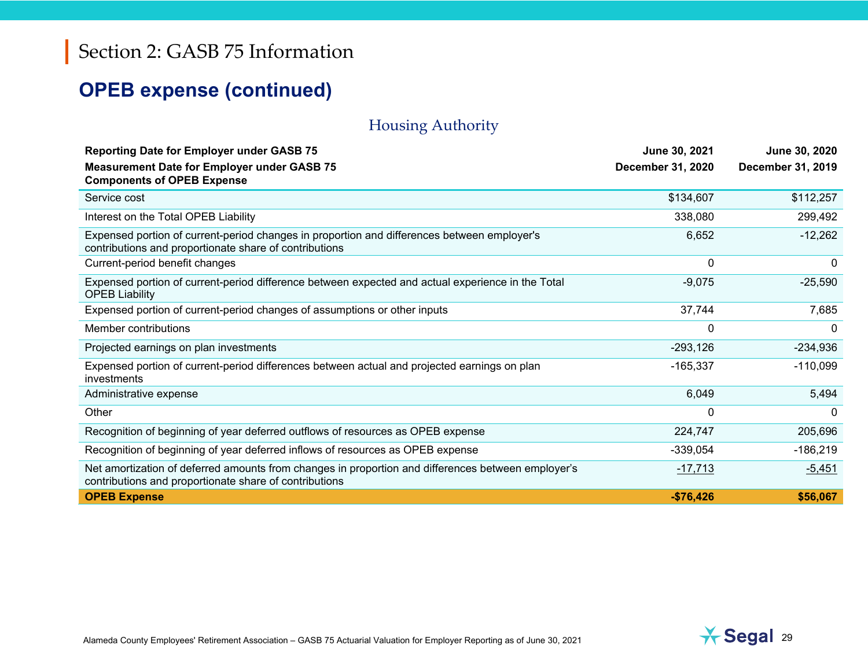# **OPEB expense (continued)**

## Housing Authority

| <b>Reporting Date for Employer under GASB 75</b>                                                                                                             | June 30, 2021     | June 30, 2020     |
|--------------------------------------------------------------------------------------------------------------------------------------------------------------|-------------------|-------------------|
| <b>Measurement Date for Employer under GASB 75</b><br><b>Components of OPEB Expense</b>                                                                      | December 31, 2020 | December 31, 2019 |
| Service cost                                                                                                                                                 | \$134,607         | \$112,257         |
| Interest on the Total OPEB Liability                                                                                                                         | 338,080           | 299,492           |
| Expensed portion of current-period changes in proportion and differences between employer's<br>contributions and proportionate share of contributions        | 6,652             | $-12,262$         |
| Current-period benefit changes                                                                                                                               | 0                 | 0                 |
| Expensed portion of current-period difference between expected and actual experience in the Total<br><b>OPEB Liability</b>                                   | $-9,075$          | $-25,590$         |
| Expensed portion of current-period changes of assumptions or other inputs                                                                                    | 37,744            | 7,685             |
| Member contributions                                                                                                                                         | 0                 | 0                 |
| Projected earnings on plan investments                                                                                                                       | $-293,126$        | $-234,936$        |
| Expensed portion of current-period differences between actual and projected earnings on plan<br>investments                                                  | $-165,337$        | $-110,099$        |
| Administrative expense                                                                                                                                       | 6,049             | 5,494             |
| Other                                                                                                                                                        | 0                 | 0                 |
| Recognition of beginning of year deferred outflows of resources as OPEB expense                                                                              | 224,747           | 205,696           |
| Recognition of beginning of year deferred inflows of resources as OPEB expense                                                                               | $-339,054$        | $-186,219$        |
| Net amortization of deferred amounts from changes in proportion and differences between employer's<br>contributions and proportionate share of contributions | $-17,713$         | $-5,451$          |
| <b>OPEB Expense</b>                                                                                                                                          | $-$76,426$        | \$56,067          |

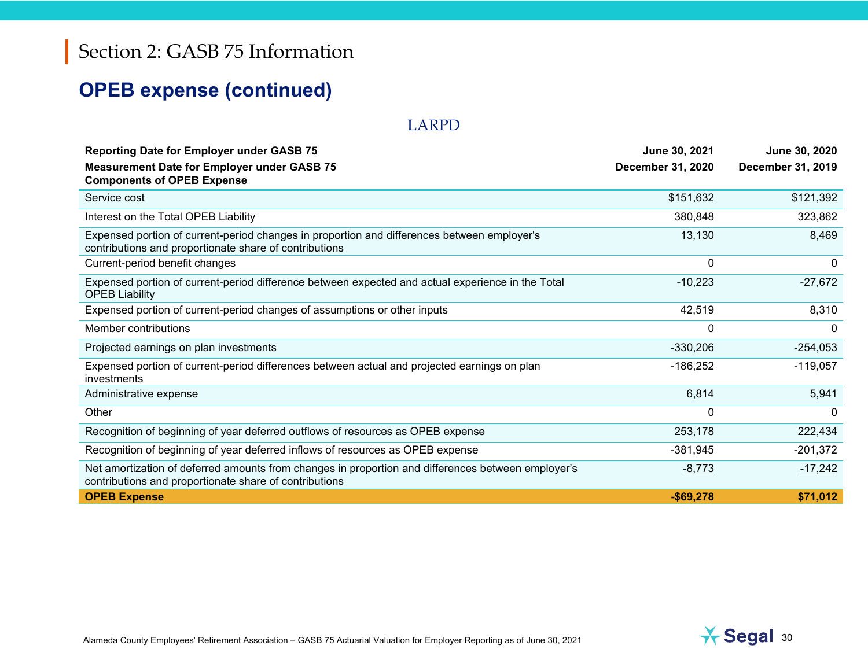# **OPEB expense (continued)**

#### LARPD

| <b>Reporting Date for Employer under GASB 75</b><br><b>Measurement Date for Employer under GASB 75</b>                                                       | June 30, 2021<br>December 31, 2020 | June 30, 2020<br><b>December 31, 2019</b> |
|--------------------------------------------------------------------------------------------------------------------------------------------------------------|------------------------------------|-------------------------------------------|
| <b>Components of OPEB Expense</b>                                                                                                                            |                                    |                                           |
| Service cost                                                                                                                                                 | \$151,632                          | \$121,392                                 |
| Interest on the Total OPEB Liability                                                                                                                         | 380,848                            | 323,862                                   |
| Expensed portion of current-period changes in proportion and differences between employer's<br>contributions and proportionate share of contributions        | 13,130                             | 8,469                                     |
| Current-period benefit changes                                                                                                                               | 0                                  | 0                                         |
| Expensed portion of current-period difference between expected and actual experience in the Total<br><b>OPEB Liability</b>                                   | $-10,223$                          | $-27,672$                                 |
| Expensed portion of current-period changes of assumptions or other inputs                                                                                    | 42,519                             | 8,310                                     |
| Member contributions                                                                                                                                         | 0                                  | 0                                         |
| Projected earnings on plan investments                                                                                                                       | $-330,206$                         | $-254,053$                                |
| Expensed portion of current-period differences between actual and projected earnings on plan<br>investments                                                  | $-186,252$                         | $-119,057$                                |
| Administrative expense                                                                                                                                       | 6,814                              | 5,941                                     |
| Other                                                                                                                                                        | 0                                  | 0                                         |
| Recognition of beginning of year deferred outflows of resources as OPEB expense                                                                              | 253,178                            | 222,434                                   |
| Recognition of beginning of year deferred inflows of resources as OPEB expense                                                                               | $-381,945$                         | $-201,372$                                |
| Net amortization of deferred amounts from changes in proportion and differences between employer's<br>contributions and proportionate share of contributions | $-8,773$                           | $-17,242$                                 |
| <b>OPEB Expense</b>                                                                                                                                          | $-$ \$69,278                       | \$71,012                                  |

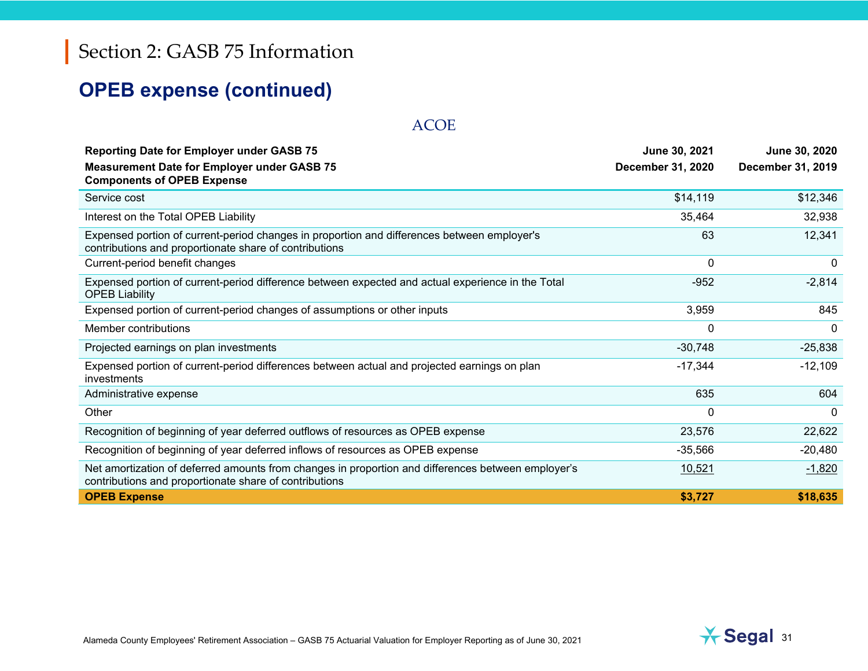# **OPEB expense (continued)**

#### ACOE

| <b>Reporting Date for Employer under GASB 75</b><br><b>Measurement Date for Employer under GASB 75</b><br><b>Components of OPEB Expense</b>                  | June 30, 2021<br><b>December 31, 2020</b> | June 30, 2020<br>December 31, 2019 |
|--------------------------------------------------------------------------------------------------------------------------------------------------------------|-------------------------------------------|------------------------------------|
| Service cost                                                                                                                                                 | \$14,119                                  | \$12,346                           |
| Interest on the Total OPEB Liability                                                                                                                         | 35,464                                    | 32,938                             |
| Expensed portion of current-period changes in proportion and differences between employer's<br>contributions and proportionate share of contributions        | 63                                        | 12,341                             |
| Current-period benefit changes                                                                                                                               | 0                                         | 0                                  |
| Expensed portion of current-period difference between expected and actual experience in the Total<br><b>OPEB Liability</b>                                   | $-952$                                    | $-2,814$                           |
| Expensed portion of current-period changes of assumptions or other inputs                                                                                    | 3,959                                     | 845                                |
| Member contributions                                                                                                                                         | 0                                         | 0                                  |
| Projected earnings on plan investments                                                                                                                       | $-30,748$                                 | $-25,838$                          |
| Expensed portion of current-period differences between actual and projected earnings on plan<br>investments                                                  | $-17,344$                                 | $-12,109$                          |
| Administrative expense                                                                                                                                       | 635                                       | 604                                |
| Other                                                                                                                                                        | $\overline{0}$                            | 0                                  |
| Recognition of beginning of year deferred outflows of resources as OPEB expense                                                                              | 23,576                                    | 22,622                             |
| Recognition of beginning of year deferred inflows of resources as OPEB expense                                                                               | $-35,566$                                 | $-20,480$                          |
| Net amortization of deferred amounts from changes in proportion and differences between employer's<br>contributions and proportionate share of contributions | 10,521                                    | $-1,820$                           |
| <b>OPEB Expense</b>                                                                                                                                          | \$3,727                                   | \$18,635                           |

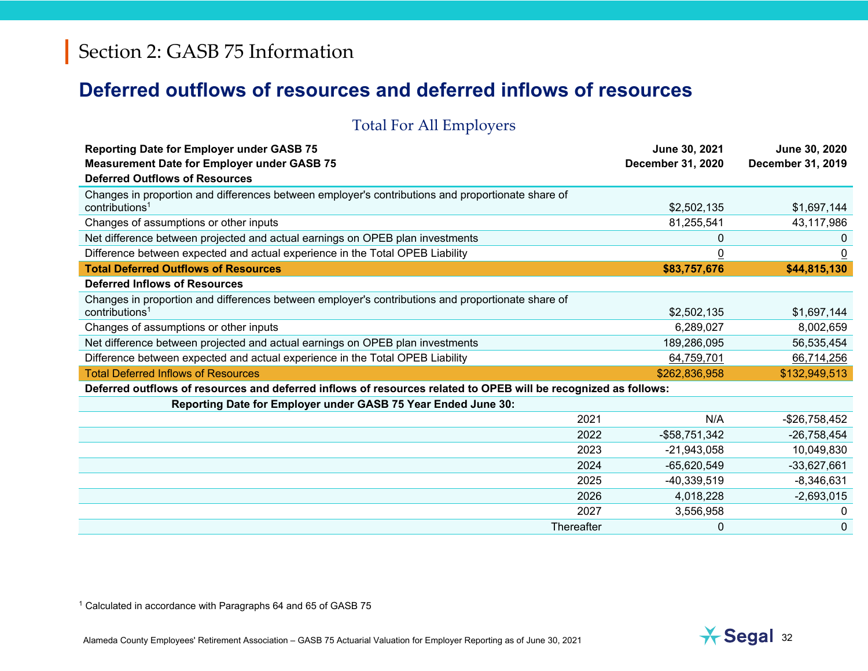## **Deferred outflows of resources and deferred inflows of resources**

### Total For All Employers

| <b>Reporting Date for Employer under GASB 75</b>                                                                | June 30, 2021            | June 30, 2020                    |
|-----------------------------------------------------------------------------------------------------------------|--------------------------|----------------------------------|
| <b>Measurement Date for Employer under GASB 75</b>                                                              | <b>December 31, 2020</b> | December 31, 2019                |
| <b>Deferred Outflows of Resources</b>                                                                           |                          |                                  |
| Changes in proportion and differences between employer's contributions and proportionate share of               |                          |                                  |
| contributions <sup>1</sup>                                                                                      | \$2,502,135              | \$1,697,144                      |
| Changes of assumptions or other inputs                                                                          | 81,255,541               | 43,117,986                       |
| Net difference between projected and actual earnings on OPEB plan investments                                   |                          | 0<br>$\Omega$                    |
| Difference between expected and actual experience in the Total OPEB Liability                                   |                          | $\overline{0}$<br>$\overline{0}$ |
| <b>Total Deferred Outflows of Resources</b>                                                                     | \$83,757,676             | \$44,815,130                     |
| <b>Deferred Inflows of Resources</b>                                                                            |                          |                                  |
| Changes in proportion and differences between employer's contributions and proportionate share of               |                          |                                  |
| contributions <sup>1</sup>                                                                                      | \$2,502,135              | \$1,697,144                      |
| Changes of assumptions or other inputs                                                                          | 6,289,027                | 8,002,659                        |
| Net difference between projected and actual earnings on OPEB plan investments                                   | 189,286,095              | 56,535,454                       |
| Difference between expected and actual experience in the Total OPEB Liability                                   | 64,759,701               | 66,714,256                       |
| <b>Total Deferred Inflows of Resources</b>                                                                      | \$262,836,958            | \$132,949,513                    |
| Deferred outflows of resources and deferred inflows of resources related to OPEB will be recognized as follows: |                          |                                  |
| Reporting Date for Employer under GASB 75 Year Ended June 30:                                                   |                          |                                  |
|                                                                                                                 | 2021<br>N/A              | $-$ \$26,758,452                 |
|                                                                                                                 | -\$58,751,342<br>2022    | $-26,758,454$                    |
|                                                                                                                 | 2023<br>$-21,943,058$    | 10,049,830                       |
|                                                                                                                 | 2024<br>$-65,620,549$    | $-33,627,661$                    |
|                                                                                                                 | 2025<br>$-40,339,519$    | $-8,346,631$                     |
|                                                                                                                 | 2026<br>4,018,228        | $-2,693,015$                     |
|                                                                                                                 | 2027<br>3,556,958        | 0                                |
|                                                                                                                 | Thereafter               | $\mathbf{0}$<br>0                |

1 Calculated in accordance with Paragraphs 64 and 65 of GASB 75

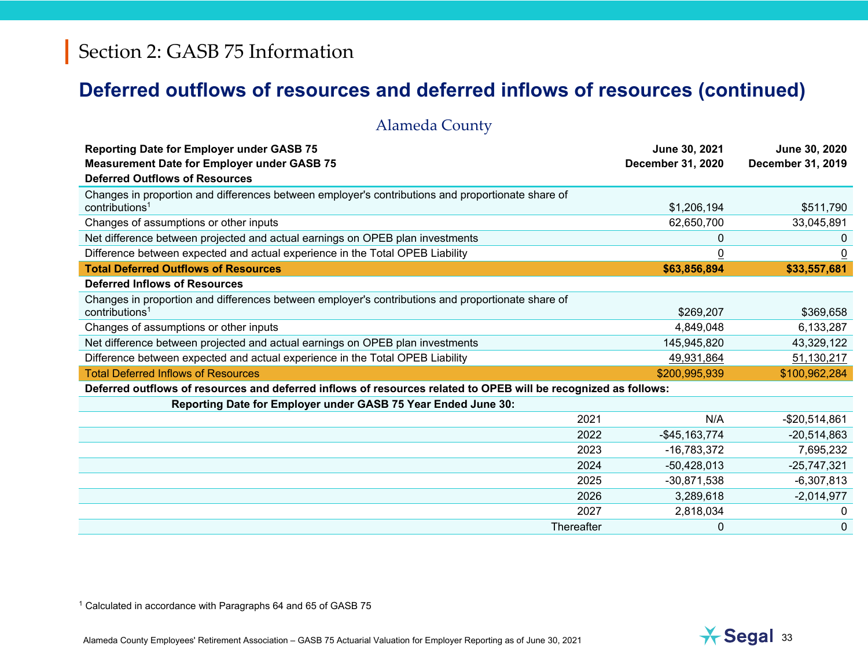## **Deferred outflows of resources and deferred inflows of resources (continued)**

| <b>Alameda County</b>                                                                                                                           |            |                                           |                                    |
|-------------------------------------------------------------------------------------------------------------------------------------------------|------------|-------------------------------------------|------------------------------------|
| <b>Reporting Date for Employer under GASB 75</b><br><b>Measurement Date for Employer under GASB 75</b><br><b>Deferred Outflows of Resources</b> |            | June 30, 2021<br><b>December 31, 2020</b> | June 30, 2020<br>December 31, 2019 |
| Changes in proportion and differences between employer's contributions and proportionate share of<br>contributions <sup>1</sup>                 |            | \$1,206,194                               | \$511,790                          |
| Changes of assumptions or other inputs                                                                                                          |            | 62,650,700                                | 33,045,891                         |
| Net difference between projected and actual earnings on OPEB plan investments                                                                   |            | 0                                         | 0                                  |
| Difference between expected and actual experience in the Total OPEB Liability                                                                   |            | $\overline{0}$                            | $\overline{0}$                     |
| <b>Total Deferred Outflows of Resources</b>                                                                                                     |            | \$63,856,894                              | \$33,557,681                       |
| <b>Deferred Inflows of Resources</b>                                                                                                            |            |                                           |                                    |
| Changes in proportion and differences between employer's contributions and proportionate share of<br>contributions <sup>1</sup>                 |            | \$269,207                                 | \$369,658                          |
| Changes of assumptions or other inputs                                                                                                          |            | 4,849,048                                 | 6,133,287                          |
| Net difference between projected and actual earnings on OPEB plan investments                                                                   |            | 145,945,820                               | 43,329,122                         |
| Difference between expected and actual experience in the Total OPEB Liability                                                                   |            | 49,931,864                                | 51,130,217                         |
| <b>Total Deferred Inflows of Resources</b>                                                                                                      |            | \$200,995,939                             | \$100,962,284                      |
| Deferred outflows of resources and deferred inflows of resources related to OPEB will be recognized as follows:                                 |            |                                           |                                    |
| Reporting Date for Employer under GASB 75 Year Ended June 30:                                                                                   |            |                                           |                                    |
|                                                                                                                                                 | 2021       | N/A                                       | $-$20,514,861$                     |
|                                                                                                                                                 | 2022       | $-$45,163,774$                            | $-20,514,863$                      |
|                                                                                                                                                 | 2023       | $-16,783,372$                             | 7,695,232                          |
|                                                                                                                                                 | 2024       | $-50,428,013$                             | $-25,747,321$                      |
|                                                                                                                                                 | 2025       | $-30,871,538$                             | $-6,307,813$                       |
|                                                                                                                                                 | 2026       | 3,289,618                                 | $-2,014,977$                       |
|                                                                                                                                                 | 2027       | 2,818,034                                 | 0                                  |
|                                                                                                                                                 | Thereafter | 0                                         | 0                                  |

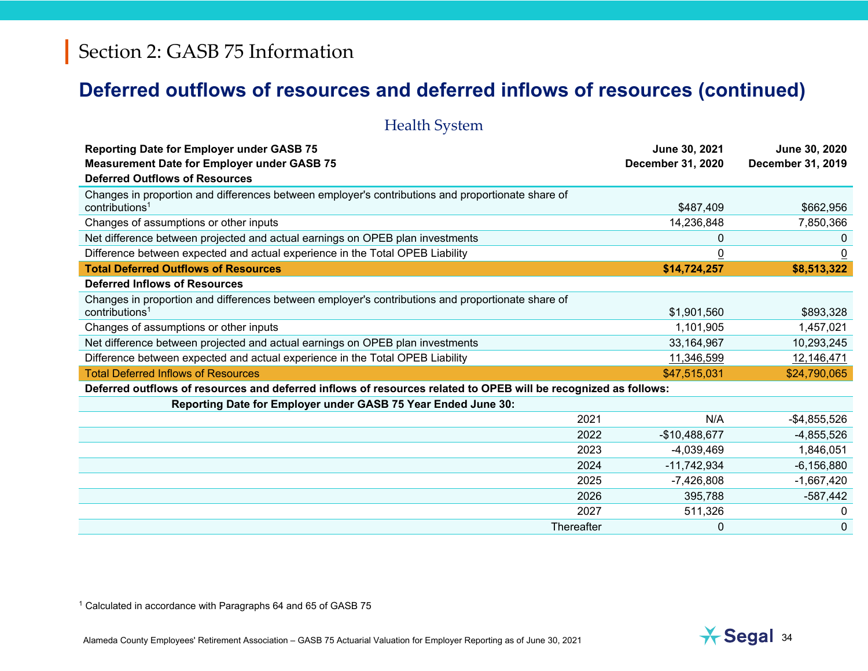### **Deferred outflows of resources and deferred inflows of resources (continued)**

| <b>Health System</b>                                                                                                                            |            |                                           |                                    |
|-------------------------------------------------------------------------------------------------------------------------------------------------|------------|-------------------------------------------|------------------------------------|
| <b>Reporting Date for Employer under GASB 75</b><br><b>Measurement Date for Employer under GASB 75</b><br><b>Deferred Outflows of Resources</b> |            | June 30, 2021<br><b>December 31, 2020</b> | June 30, 2020<br>December 31, 2019 |
| Changes in proportion and differences between employer's contributions and proportionate share of<br>contributions <sup>1</sup>                 |            | \$487,409                                 | \$662,956                          |
| Changes of assumptions or other inputs                                                                                                          |            | 14,236,848                                | 7,850,366                          |
| Net difference between projected and actual earnings on OPEB plan investments                                                                   |            | $\Omega$                                  | 0                                  |
| Difference between expected and actual experience in the Total OPEB Liability                                                                   |            | $\overline{0}$                            | $\underline{0}$                    |
| <b>Total Deferred Outflows of Resources</b>                                                                                                     |            | \$14,724,257                              | \$8,513,322                        |
| <b>Deferred Inflows of Resources</b>                                                                                                            |            |                                           |                                    |
| Changes in proportion and differences between employer's contributions and proportionate share of<br>contributions <sup>1</sup>                 |            | \$1,901,560                               | \$893,328                          |
| Changes of assumptions or other inputs                                                                                                          |            | 1,101,905                                 | 1,457,021                          |
| Net difference between projected and actual earnings on OPEB plan investments                                                                   |            | 33,164,967                                | 10,293,245                         |
| Difference between expected and actual experience in the Total OPEB Liability                                                                   |            | 11,346,599                                | 12,146,471                         |
| <b>Total Deferred Inflows of Resources</b>                                                                                                      |            | \$47,515,031                              | \$24,790,065                       |
| Deferred outflows of resources and deferred inflows of resources related to OPEB will be recognized as follows:                                 |            |                                           |                                    |
| Reporting Date for Employer under GASB 75 Year Ended June 30:                                                                                   |            |                                           |                                    |
|                                                                                                                                                 | 2021       | N/A                                       | $-$4,855,526$                      |
|                                                                                                                                                 | 2022       | $-$10,488,677$                            | $-4,855,526$                       |
|                                                                                                                                                 | 2023       | $-4,039,469$                              | 1,846,051                          |
|                                                                                                                                                 | 2024       | $-11,742,934$                             | $-6, 156, 880$                     |
|                                                                                                                                                 | 2025       | $-7,426,808$                              | $-1,667,420$                       |
|                                                                                                                                                 | 2026       | 395,788                                   | $-587,442$                         |
|                                                                                                                                                 | 2027       | 511,326                                   | 0                                  |
|                                                                                                                                                 | Thereafter | 0                                         | 0                                  |

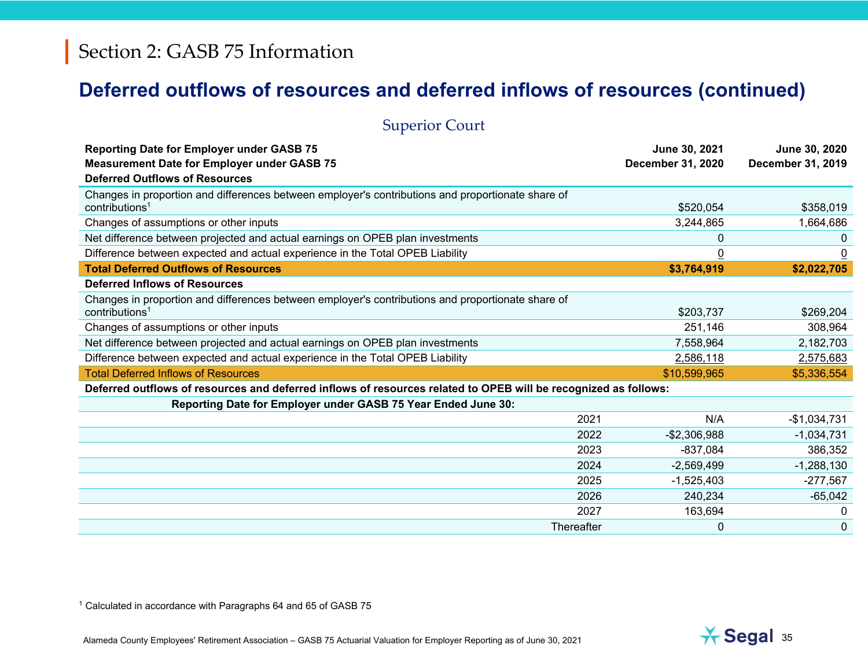### **Deferred outflows of resources and deferred inflows of resources (continued)**

| <b>Superior Court</b>                                                                                                                           |            |                                    |                                    |
|-------------------------------------------------------------------------------------------------------------------------------------------------|------------|------------------------------------|------------------------------------|
| <b>Reporting Date for Employer under GASB 75</b><br><b>Measurement Date for Employer under GASB 75</b><br><b>Deferred Outflows of Resources</b> |            | June 30, 2021<br>December 31, 2020 | June 30, 2020<br>December 31, 2019 |
| Changes in proportion and differences between employer's contributions and proportionate share of<br>contributions <sup>1</sup>                 |            | \$520,054                          | \$358,019                          |
| Changes of assumptions or other inputs                                                                                                          |            | 3,244,865                          | 1,664,686                          |
| Net difference between projected and actual earnings on OPEB plan investments                                                                   |            | 0                                  | 0                                  |
| Difference between expected and actual experience in the Total OPEB Liability                                                                   |            | 0                                  | $\underline{0}$                    |
| <b>Total Deferred Outflows of Resources</b>                                                                                                     |            | \$3,764,919                        | \$2,022,705                        |
| <b>Deferred Inflows of Resources</b>                                                                                                            |            |                                    |                                    |
| Changes in proportion and differences between employer's contributions and proportionate share of<br>contributions <sup>1</sup>                 |            | \$203,737                          | \$269,204                          |
| Changes of assumptions or other inputs                                                                                                          |            | 251,146                            | 308,964                            |
| Net difference between projected and actual earnings on OPEB plan investments                                                                   |            | 7,558,964                          | 2,182,703                          |
| Difference between expected and actual experience in the Total OPEB Liability                                                                   |            | 2,586,118                          | 2,575,683                          |
| <b>Total Deferred Inflows of Resources</b>                                                                                                      |            | \$10,599,965                       | \$5,336,554                        |
| Deferred outflows of resources and deferred inflows of resources related to OPEB will be recognized as follows:                                 |            |                                    |                                    |
| Reporting Date for Employer under GASB 75 Year Ended June 30:                                                                                   |            |                                    |                                    |
|                                                                                                                                                 | 2021       | N/A                                | $-$1,034,731$                      |
|                                                                                                                                                 | 2022       | $-$2,306,988$                      | $-1,034,731$                       |
|                                                                                                                                                 | 2023       | $-837,084$                         | 386,352                            |
|                                                                                                                                                 | 2024       | $-2,569,499$                       | $-1,288,130$                       |
|                                                                                                                                                 | 2025       | $-1,525,403$                       | $-277,567$                         |
|                                                                                                                                                 | 2026       | 240,234                            | $-65,042$                          |
|                                                                                                                                                 | 2027       | 163,694                            | 0                                  |
|                                                                                                                                                 | Thereafter | 0                                  | 0                                  |

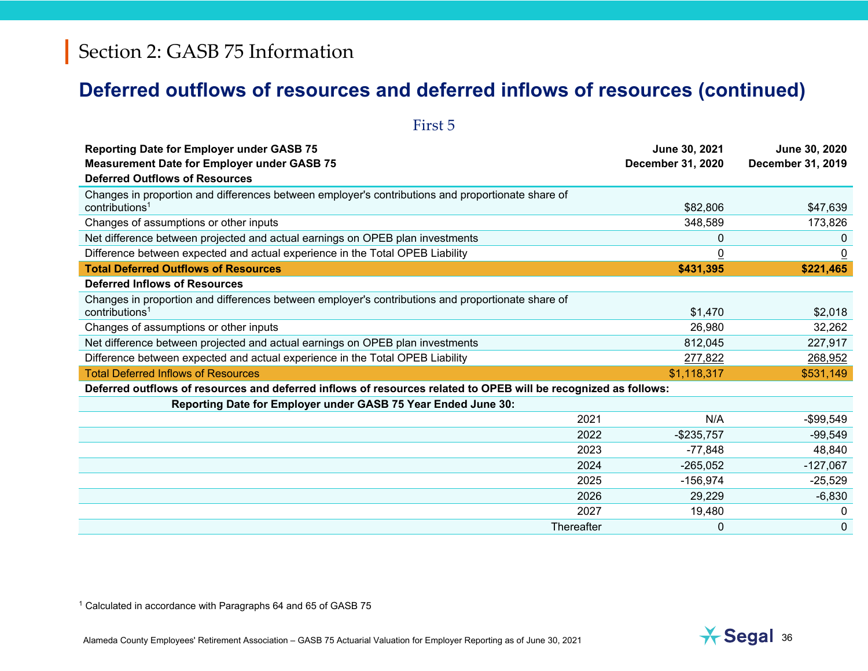## **Deferred outflows of resources and deferred inflows of resources (continued)**

| First 5                                                                                                                                         |            |                                           |                                    |
|-------------------------------------------------------------------------------------------------------------------------------------------------|------------|-------------------------------------------|------------------------------------|
| <b>Reporting Date for Employer under GASB 75</b><br><b>Measurement Date for Employer under GASB 75</b><br><b>Deferred Outflows of Resources</b> |            | June 30, 2021<br><b>December 31, 2020</b> | June 30, 2020<br>December 31, 2019 |
| Changes in proportion and differences between employer's contributions and proportionate share of<br>contributions <sup>1</sup>                 |            | \$82,806                                  | \$47,639                           |
| Changes of assumptions or other inputs                                                                                                          |            | 348,589                                   | 173,826                            |
| Net difference between projected and actual earnings on OPEB plan investments                                                                   |            | 0                                         | 0                                  |
| Difference between expected and actual experience in the Total OPEB Liability                                                                   |            | 0                                         | $\overline{0}$                     |
| <b>Total Deferred Outflows of Resources</b>                                                                                                     |            | \$431,395                                 | \$221,465                          |
| <b>Deferred Inflows of Resources</b>                                                                                                            |            |                                           |                                    |
| Changes in proportion and differences between employer's contributions and proportionate share of<br>contributions <sup>1</sup>                 |            | \$1,470                                   | \$2,018                            |
| Changes of assumptions or other inputs                                                                                                          |            | 26,980                                    | 32,262                             |
| Net difference between projected and actual earnings on OPEB plan investments                                                                   |            | 812,045                                   | 227,917                            |
| Difference between expected and actual experience in the Total OPEB Liability                                                                   |            | 277,822                                   | 268,952                            |
| <b>Total Deferred Inflows of Resources</b>                                                                                                      |            | \$1,118,317                               | \$531,149                          |
| Deferred outflows of resources and deferred inflows of resources related to OPEB will be recognized as follows:                                 |            |                                           |                                    |
| Reporting Date for Employer under GASB 75 Year Ended June 30:                                                                                   |            |                                           |                                    |
|                                                                                                                                                 | 2021       | N/A                                       | $-$99,549$                         |
|                                                                                                                                                 | 2022       | $-$235,757$                               | $-99,549$                          |
|                                                                                                                                                 | 2023       | $-77,848$                                 | 48,840                             |
|                                                                                                                                                 | 2024       | $-265,052$                                | $-127,067$                         |
|                                                                                                                                                 | 2025       | $-156,974$                                | $-25,529$                          |
|                                                                                                                                                 | 2026       | 29,229                                    | $-6,830$                           |
|                                                                                                                                                 | 2027       | 19,480                                    | $\mathbf{0}$                       |
|                                                                                                                                                 | Thereafter | 0                                         | 0                                  |

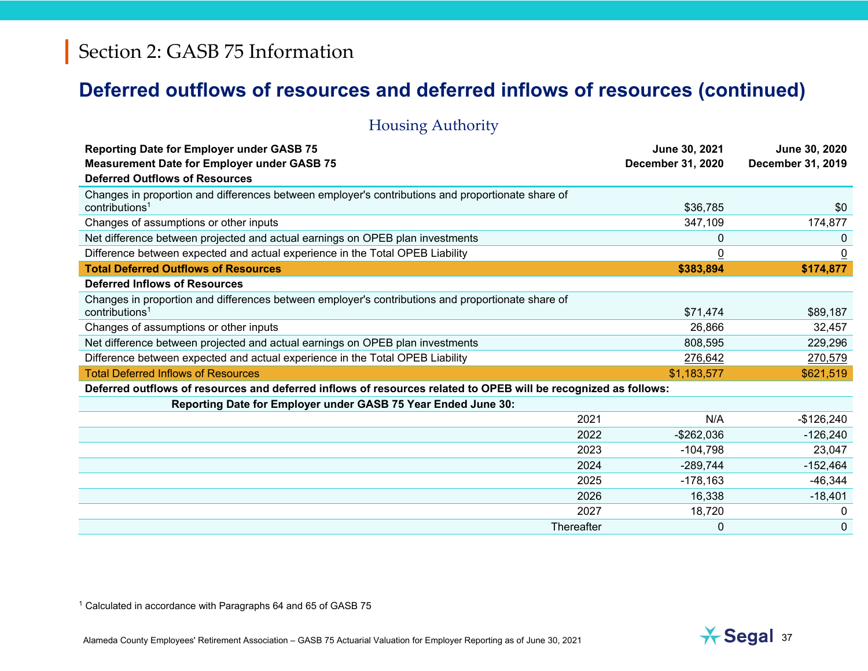#### **Deferred outflows of resources and deferred inflows of resources (continued)**

Housing Authority

| <b>Reporting Date for Employer under GASB 75</b><br><b>Measurement Date for Employer under GASB 75</b><br><b>Deferred Outflows of Resources</b> |            | June 30, 2021<br><b>December 31, 2020</b> | June 30, 2020<br>December 31, 2019 |
|-------------------------------------------------------------------------------------------------------------------------------------------------|------------|-------------------------------------------|------------------------------------|
| Changes in proportion and differences between employer's contributions and proportionate share of<br>contributions <sup>1</sup>                 |            | \$36,785                                  | \$0                                |
| Changes of assumptions or other inputs                                                                                                          |            | 347,109                                   | 174,877                            |
| Net difference between projected and actual earnings on OPEB plan investments                                                                   |            | 0                                         | 0                                  |
| Difference between expected and actual experience in the Total OPEB Liability                                                                   |            | $\overline{0}$                            | $\overline{0}$                     |
| <b>Total Deferred Outflows of Resources</b>                                                                                                     |            | \$383,894                                 | \$174,877                          |
| <b>Deferred Inflows of Resources</b>                                                                                                            |            |                                           |                                    |
| Changes in proportion and differences between employer's contributions and proportionate share of<br>contributions <sup>1</sup>                 |            | \$71,474                                  | \$89,187                           |
| Changes of assumptions or other inputs                                                                                                          |            | 26,866                                    | 32,457                             |
| Net difference between projected and actual earnings on OPEB plan investments                                                                   |            | 808,595                                   | 229,296                            |
| Difference between expected and actual experience in the Total OPEB Liability                                                                   |            | 276,642                                   | 270,579                            |
| <b>Total Deferred Inflows of Resources</b>                                                                                                      |            | \$1,183,577                               | \$621,519                          |
| Deferred outflows of resources and deferred inflows of resources related to OPEB will be recognized as follows:                                 |            |                                           |                                    |
| Reporting Date for Employer under GASB 75 Year Ended June 30:                                                                                   |            |                                           |                                    |
|                                                                                                                                                 | 2021       | N/A                                       | $-$126,240$                        |
|                                                                                                                                                 | 2022       | $-$262,036$                               | $-126,240$                         |
|                                                                                                                                                 | 2023       | $-104,798$                                | 23,047                             |
|                                                                                                                                                 | 2024       | -289,744                                  | $-152,464$                         |
|                                                                                                                                                 | 2025       | $-178,163$                                | $-46,344$                          |
|                                                                                                                                                 | 2026       | 16,338                                    | $-18,401$                          |
|                                                                                                                                                 | 2027       | 18,720                                    | $\Omega$                           |
|                                                                                                                                                 | Thereafter | 0                                         | 0                                  |

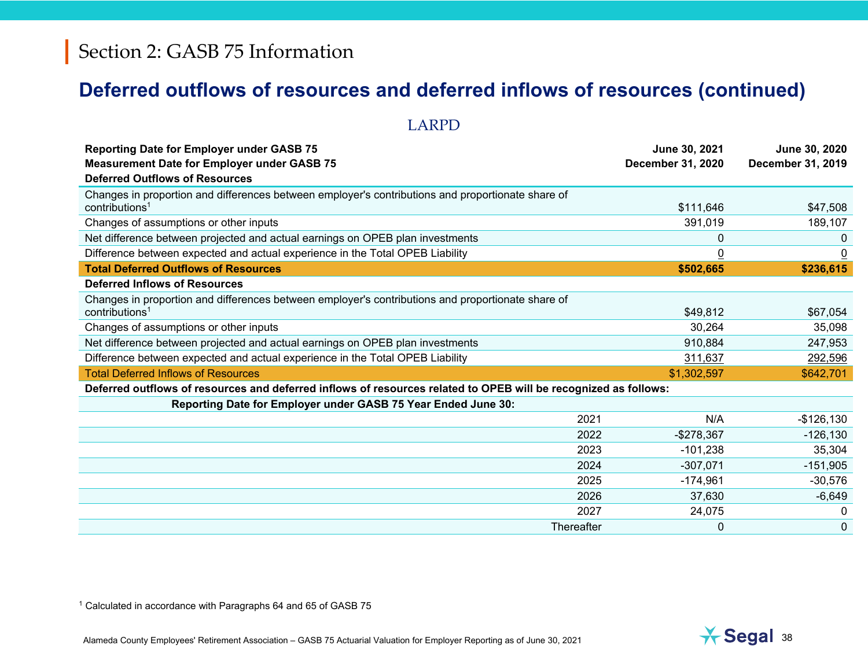### **Deferred outflows of resources and deferred inflows of resources (continued)**

LARPD

| LANI D                                                                                                                                          |            |                                    |                                    |
|-------------------------------------------------------------------------------------------------------------------------------------------------|------------|------------------------------------|------------------------------------|
| <b>Reporting Date for Employer under GASB 75</b><br><b>Measurement Date for Employer under GASB 75</b><br><b>Deferred Outflows of Resources</b> |            | June 30, 2021<br>December 31, 2020 | June 30, 2020<br>December 31, 2019 |
| Changes in proportion and differences between employer's contributions and proportionate share of<br>contributions <sup>1</sup>                 |            | \$111,646                          | \$47,508                           |
| Changes of assumptions or other inputs                                                                                                          |            | 391,019                            | 189,107                            |
| Net difference between projected and actual earnings on OPEB plan investments                                                                   |            | 0                                  | 0                                  |
| Difference between expected and actual experience in the Total OPEB Liability                                                                   |            | $\underline{0}$                    | $\underline{0}$                    |
| <b>Total Deferred Outflows of Resources</b>                                                                                                     |            | \$502,665                          | \$236,615                          |
| <b>Deferred Inflows of Resources</b>                                                                                                            |            |                                    |                                    |
| Changes in proportion and differences between employer's contributions and proportionate share of<br>contributions <sup>1</sup>                 |            | \$49,812                           | \$67,054                           |
| Changes of assumptions or other inputs                                                                                                          |            | 30,264                             | 35,098                             |
| Net difference between projected and actual earnings on OPEB plan investments                                                                   |            | 910,884                            | 247,953                            |
| Difference between expected and actual experience in the Total OPEB Liability                                                                   |            | 311,637                            | 292,596                            |
| <b>Total Deferred Inflows of Resources</b>                                                                                                      |            | \$1,302,597                        | \$642,701                          |
| Deferred outflows of resources and deferred inflows of resources related to OPEB will be recognized as follows:                                 |            |                                    |                                    |
| Reporting Date for Employer under GASB 75 Year Ended June 30:                                                                                   |            |                                    |                                    |
|                                                                                                                                                 | 2021       | N/A                                | $-$126,130$                        |
|                                                                                                                                                 | 2022       | $-$278,367$                        | $-126,130$                         |
|                                                                                                                                                 | 2023       | $-101,238$                         | 35,304                             |
|                                                                                                                                                 | 2024       | $-307,071$                         | $-151,905$                         |
|                                                                                                                                                 | 2025       | -174,961                           | $-30,576$                          |
|                                                                                                                                                 | 2026       | 37,630                             | $-6,649$                           |
|                                                                                                                                                 | 2027       | 24,075                             | 0                                  |
|                                                                                                                                                 | Thereafter | 0                                  | 0                                  |

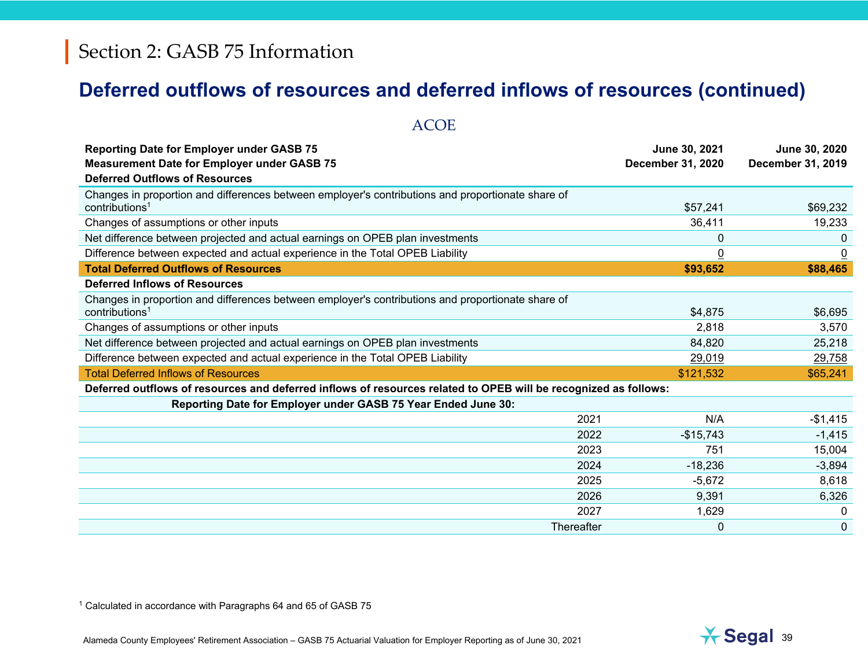### **Deferred outflows of resources and deferred inflows of resources (continued)**

 $\Lambda$   $C$  $\Omega$ <sub>E</sub>

| ACOE                                                                                                                            |            |                                    |                                    |
|---------------------------------------------------------------------------------------------------------------------------------|------------|------------------------------------|------------------------------------|
| <b>Reporting Date for Employer under GASB 75</b><br><b>Measurement Date for Employer under GASB 75</b>                          |            | June 30, 2021<br>December 31, 2020 | June 30, 2020<br>December 31, 2019 |
| <b>Deferred Outflows of Resources</b>                                                                                           |            |                                    |                                    |
| Changes in proportion and differences between employer's contributions and proportionate share of<br>contributions <sup>1</sup> |            | \$57,241                           | \$69,232                           |
| Changes of assumptions or other inputs                                                                                          |            | 36,411                             | 19,233                             |
| Net difference between projected and actual earnings on OPEB plan investments                                                   |            | 0                                  | 0                                  |
| Difference between expected and actual experience in the Total OPEB Liability                                                   |            | $\overline{0}$                     | $\underline{0}$                    |
| <b>Total Deferred Outflows of Resources</b>                                                                                     |            | \$93,652                           | \$88,465                           |
| <b>Deferred Inflows of Resources</b>                                                                                            |            |                                    |                                    |
| Changes in proportion and differences between employer's contributions and proportionate share of<br>contributions <sup>1</sup> |            | \$4,875                            | \$6,695                            |
| Changes of assumptions or other inputs                                                                                          |            | 2,818                              | 3,570                              |
| Net difference between projected and actual earnings on OPEB plan investments                                                   |            | 84,820                             | 25,218                             |
| Difference between expected and actual experience in the Total OPEB Liability                                                   |            | 29,019                             | 29,758                             |
| <b>Total Deferred Inflows of Resources</b>                                                                                      |            | \$121,532                          | \$65,241                           |
| Deferred outflows of resources and deferred inflows of resources related to OPEB will be recognized as follows:                 |            |                                    |                                    |
| Reporting Date for Employer under GASB 75 Year Ended June 30:                                                                   |            |                                    |                                    |
|                                                                                                                                 | 2021       | N/A                                | $-$1,415$                          |
|                                                                                                                                 | 2022       | $-$15,743$                         | $-1,415$                           |
|                                                                                                                                 | 2023       | 751                                | 15,004                             |
|                                                                                                                                 | 2024       | $-18,236$                          | $-3,894$                           |
|                                                                                                                                 | 2025       | $-5,672$                           | 8,618                              |
|                                                                                                                                 | 2026       | 9.391                              | 6,326                              |
|                                                                                                                                 | 2027       | 1,629                              | $\Omega$                           |
|                                                                                                                                 | Thereafter | 0                                  | 0                                  |

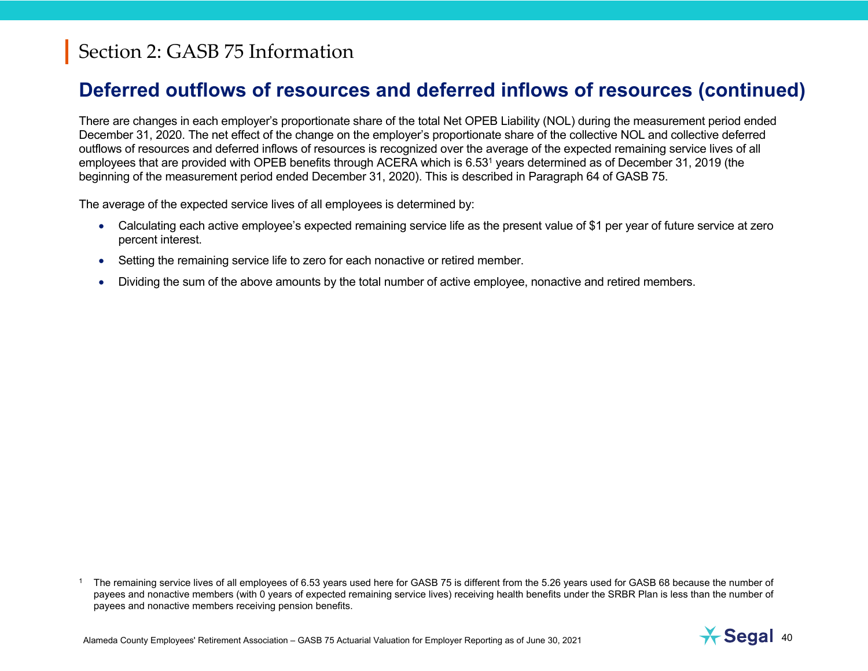#### **Deferred outflows of resources and deferred inflows of resources (continued)**

There are changes in each employer's proportionate share of the total Net OPEB Liability (NOL) during the measurement period ended December 31, 2020. The net effect of the change on the employer's proportionate share of the collective NOL and collective deferred outflows of resources and deferred inflows of resources is recognized over the average of the expected remaining service lives of all employees that are provided with OPEB benefits through ACERA which is 6.531 years determined as of December 31, 2019 (the beginning of the measurement period ended December 31, 2020). This is described in Paragraph 64 of GASB 75.

The average of the expected service lives of all employees is determined by:

- Calculating each active employee's expected remaining service life as the present value of \$1 per year of future service at zero percent interest.
- $\bullet$ Setting the remaining service life to zero for each nonactive or retired member.
- $\bullet$ Dividing the sum of the above amounts by the total number of active employee, nonactive and retired members.

1 The remaining service lives of all employees of 6.53 years used here for GASB 75 is different from the 5.26 years used for GASB 68 because the number of payees and nonactive members (with 0 years of expected remaining service lives) receiving health benefits under the SRBR Plan is less than the number of payees and nonactive members receiving pension benefits.



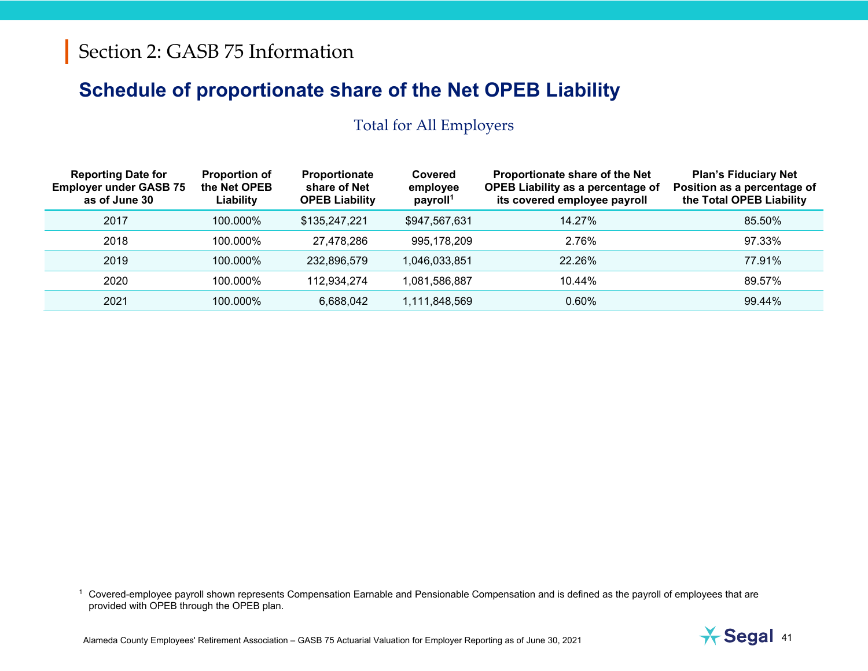#### Total for All Employers

| <b>Reporting Date for</b><br><b>Employer under GASB 75</b><br>as of June 30 | <b>Proportion of</b><br>the Net OPEB<br>Liability | <b>Proportionate</b><br>share of Net<br><b>OPEB Liability</b> | Covered<br>employee<br>payroll <sup>1</sup> | Proportionate share of the Net<br><b>OPEB Liability as a percentage of</b><br>its covered employee payroll | <b>Plan's Fiduciary Net</b><br>Position as a percentage of<br>the Total OPEB Liability |
|-----------------------------------------------------------------------------|---------------------------------------------------|---------------------------------------------------------------|---------------------------------------------|------------------------------------------------------------------------------------------------------------|----------------------------------------------------------------------------------------|
| 2017                                                                        | 100.000%                                          | \$135,247,221                                                 | \$947,567,631                               | 14.27%                                                                                                     | 85.50%                                                                                 |
| 2018                                                                        | 100.000%                                          | 27,478,286                                                    | 995,178,209                                 | 2.76%                                                                                                      | 97.33%                                                                                 |
| 2019                                                                        | 100.000%                                          | 232,896,579                                                   | 1,046,033,851                               | 22.26%                                                                                                     | 77.91%                                                                                 |
| 2020                                                                        | 100.000%                                          | 112,934,274                                                   | 1.081.586.887                               | 10.44%                                                                                                     | 89.57%                                                                                 |
| 2021                                                                        | 100.000%                                          | 6,688,042                                                     | 1,111,848,569                               | 0.60%                                                                                                      | 99.44%                                                                                 |

<sup>1</sup> Covered-employee payroll shown represents Compensation Earnable and Pensionable Compensation and is defined as the payroll of employees that are provided with OPEB through the OPEB plan.

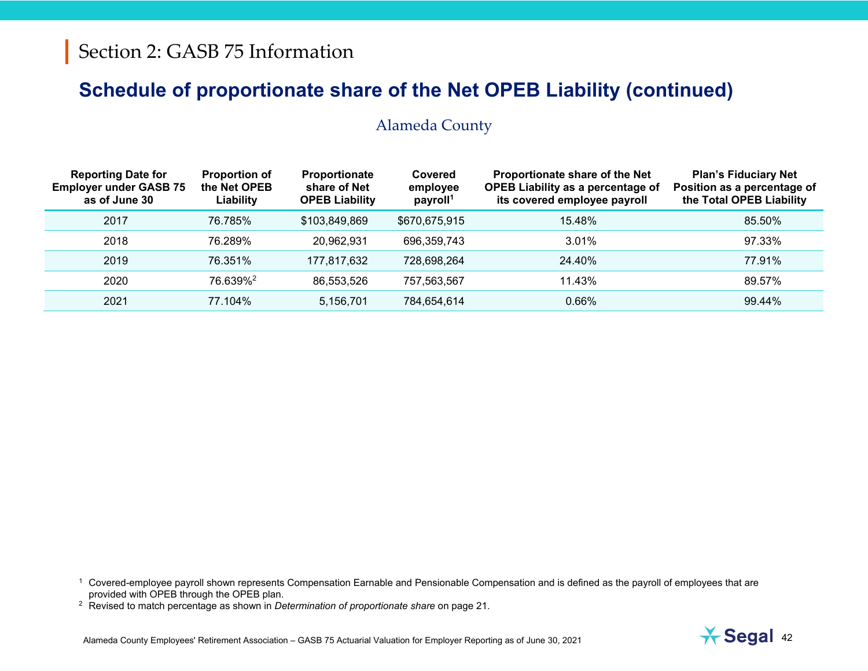#### Alameda County

| <b>Reporting Date for</b><br><b>Employer under GASB 75</b><br>as of June 30 | <b>Proportion of</b><br>the Net OPEB<br>Liability | <b>Proportionate</b><br>share of Net<br><b>OPEB Liability</b> | Covered<br>employee<br>payroll <sup>1</sup> | Proportionate share of the Net<br><b>OPEB Liability as a percentage of</b><br>its covered employee payroll | <b>Plan's Fiduciary Net</b><br>Position as a percentage of<br>the Total OPEB Liability |
|-----------------------------------------------------------------------------|---------------------------------------------------|---------------------------------------------------------------|---------------------------------------------|------------------------------------------------------------------------------------------------------------|----------------------------------------------------------------------------------------|
| 2017                                                                        | 76.785%                                           | \$103,849,869                                                 | \$670,675,915                               | 15.48%                                                                                                     | 85.50%                                                                                 |
| 2018                                                                        | 76.289%                                           | 20,962,931                                                    | 696.359.743                                 | 3.01%                                                                                                      | 97.33%                                                                                 |
| 2019                                                                        | 76.351%                                           | 177,817,632                                                   | 728.698.264                                 | 24.40%                                                                                                     | 77.91%                                                                                 |
| 2020                                                                        | 76.639% <sup>2</sup>                              | 86,553,526                                                    | 757.563.567                                 | 11.43%                                                                                                     | 89.57%                                                                                 |
| 2021                                                                        | 77.104%                                           | 5,156,701                                                     | 784,654,614                                 | 0.66%                                                                                                      | 99.44%                                                                                 |

1 Covered-employee payroll shown represents Compensation Earnable and Pensionable Compensation and is defined as the payroll of employees that are provided with OPEB through the OPEB plan.

2 Revised to match percentage as shown in *Determination of proportionate share* on page 21.

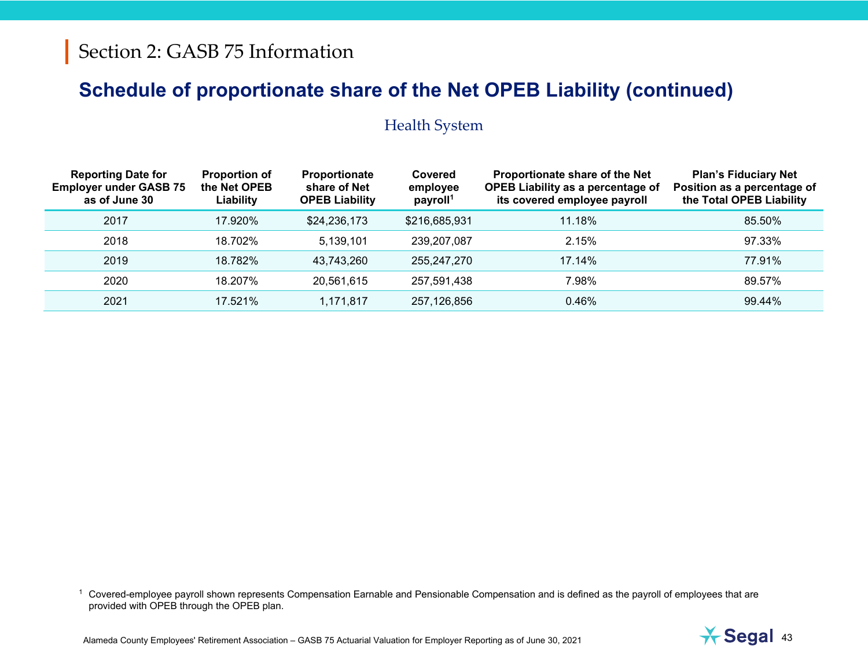#### Health System

| <b>Reporting Date for</b><br><b>Employer under GASB 75</b><br>as of June 30 | <b>Proportion of</b><br>the Net OPEB<br>Liability | <b>Proportionate</b><br>share of Net<br><b>OPEB Liability</b> | Covered<br>employee<br>payroll <sup>1</sup> | Proportionate share of the Net<br><b>OPEB Liability as a percentage of</b><br>its covered employee payroll | <b>Plan's Fiduciary Net</b><br>Position as a percentage of<br>the Total OPEB Liability |
|-----------------------------------------------------------------------------|---------------------------------------------------|---------------------------------------------------------------|---------------------------------------------|------------------------------------------------------------------------------------------------------------|----------------------------------------------------------------------------------------|
| 2017                                                                        | 17.920%                                           | \$24,236,173                                                  | \$216,685,931                               | 11.18%                                                                                                     | 85.50%                                                                                 |
| 2018                                                                        | 18.702%                                           | 5,139,101                                                     | 239,207,087                                 | 2.15%                                                                                                      | 97.33%                                                                                 |
| 2019                                                                        | 18.782%                                           | 43.743.260                                                    | 255,247,270                                 | 17.14%                                                                                                     | 77.91%                                                                                 |
| 2020                                                                        | 18.207%                                           | 20,561,615                                                    | 257,591,438                                 | 7.98%                                                                                                      | 89.57%                                                                                 |
| 2021                                                                        | 17.521%                                           | 1,171,817                                                     | 257,126,856                                 | 0.46%                                                                                                      | 99.44%                                                                                 |

1 Covered-employee payroll shown represents Compensation Earnable and Pensionable Compensation and is defined as the payroll of employees that are provided with OPEB through the OPEB plan.

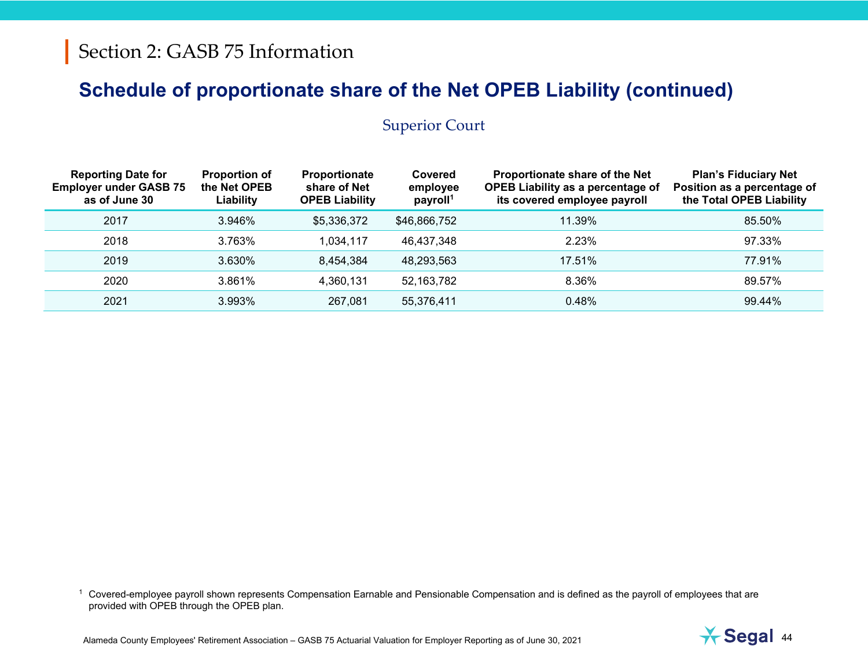#### Superior Court

| <b>Reporting Date for</b><br><b>Employer under GASB 75</b><br>as of June 30 | <b>Proportion of</b><br>the Net OPEB<br>Liability | <b>Proportionate</b><br>share of Net<br><b>OPEB Liability</b> | Covered<br>employee<br>payroll <sup>1</sup> | Proportionate share of the Net<br><b>OPEB Liability as a percentage of</b><br>its covered employee payroll | <b>Plan's Fiduciary Net</b><br>Position as a percentage of<br>the Total OPEB Liability |
|-----------------------------------------------------------------------------|---------------------------------------------------|---------------------------------------------------------------|---------------------------------------------|------------------------------------------------------------------------------------------------------------|----------------------------------------------------------------------------------------|
| 2017                                                                        | 3.946%                                            | \$5,336,372                                                   | \$46,866,752                                | 11.39%                                                                                                     | 85.50%                                                                                 |
| 2018                                                                        | 3.763%                                            | 1.034.117                                                     | 46,437,348                                  | 2.23%                                                                                                      | 97.33%                                                                                 |
| 2019                                                                        | 3.630%                                            | 8.454.384                                                     | 48,293,563                                  | 17.51%                                                                                                     | 77.91%                                                                                 |
| 2020                                                                        | 3.861%                                            | 4,360,131                                                     | 52, 163, 782                                | 8.36%                                                                                                      | 89.57%                                                                                 |
| 2021                                                                        | 3.993%                                            | 267.081                                                       | 55,376,411                                  | 0.48%                                                                                                      | 99.44%                                                                                 |

1 Covered-employee payroll shown represents Compensation Earnable and Pensionable Compensation and is defined as the payroll of employees that are provided with OPEB through the OPEB plan.

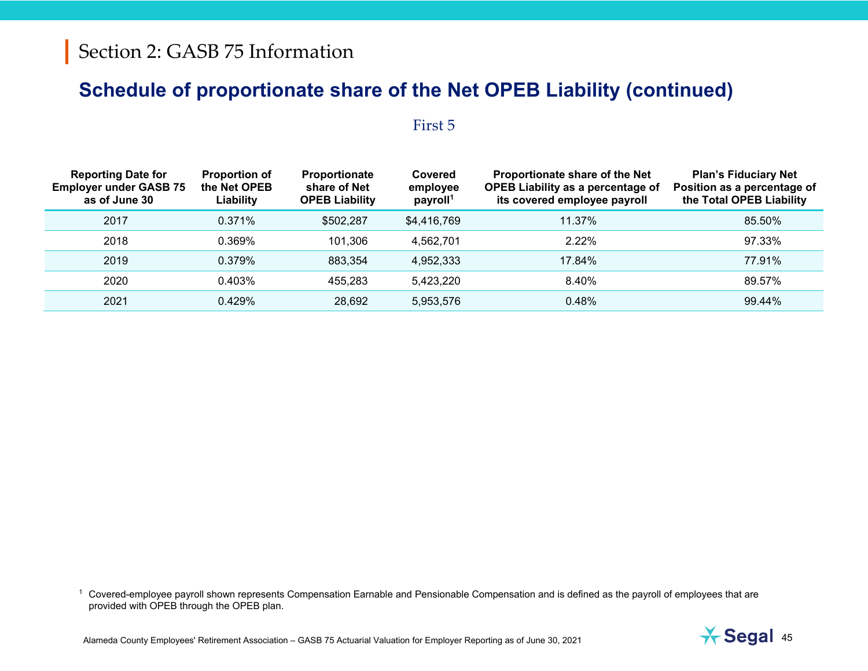#### First 5

| <b>Reporting Date for</b><br><b>Employer under GASB 75</b><br>as of June 30 | <b>Proportion of</b><br>the Net OPEB<br>Liability | <b>Proportionate</b><br>share of Net<br><b>OPEB Liability</b> | Covered<br>employee<br>payroll <sup>1</sup> | Proportionate share of the Net<br><b>OPEB Liability as a percentage of</b><br>its covered employee payroll | <b>Plan's Fiduciary Net</b><br>Position as a percentage of<br>the Total OPEB Liability |
|-----------------------------------------------------------------------------|---------------------------------------------------|---------------------------------------------------------------|---------------------------------------------|------------------------------------------------------------------------------------------------------------|----------------------------------------------------------------------------------------|
| 2017                                                                        | 0.371%                                            | \$502,287                                                     | \$4,416,769                                 | 11.37%                                                                                                     | 85.50%                                                                                 |
| 2018                                                                        | 0.369%                                            | 101,306                                                       | 4.562.701                                   | 2.22%                                                                                                      | 97.33%                                                                                 |
| 2019                                                                        | 0.379%                                            | 883,354                                                       | 4.952.333                                   | 17.84%                                                                                                     | 77.91%                                                                                 |
| 2020                                                                        | 0.403%                                            | 455.283                                                       | 5.423.220                                   | 8.40%                                                                                                      | 89.57%                                                                                 |
| 2021                                                                        | 0.429%                                            | 28,692                                                        | 5.953.576                                   | 0.48%                                                                                                      | 99.44%                                                                                 |

<sup>1</sup> Covered-employee payroll shown represents Compensation Earnable and Pensionable Compensation and is defined as the payroll of employees that are provided with OPEB through the OPEB plan.

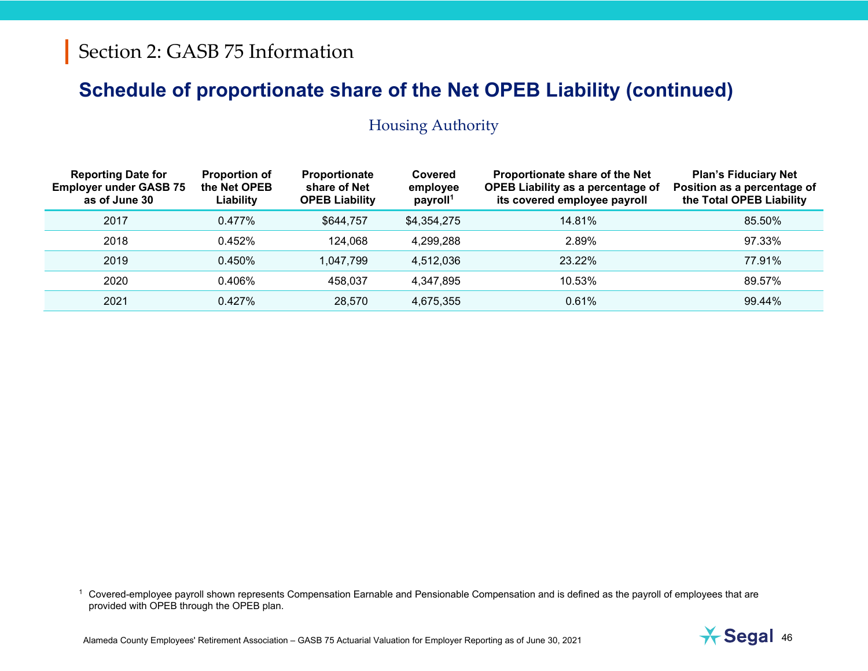#### Housing Authority

| <b>Reporting Date for</b><br><b>Employer under GASB 75</b><br>as of June 30 | <b>Proportion of</b><br>the Net OPEB<br>Liability | <b>Proportionate</b><br>share of Net<br><b>OPEB Liability</b> | Covered<br>employee<br>payroll <sup>1</sup> | Proportionate share of the Net<br><b>OPEB Liability as a percentage of</b><br>its covered employee payroll | <b>Plan's Fiduciary Net</b><br>Position as a percentage of<br>the Total OPEB Liability |
|-----------------------------------------------------------------------------|---------------------------------------------------|---------------------------------------------------------------|---------------------------------------------|------------------------------------------------------------------------------------------------------------|----------------------------------------------------------------------------------------|
| 2017                                                                        | $0.477\%$                                         | \$644,757                                                     | \$4,354,275                                 | 14.81%                                                                                                     | 85.50%                                                                                 |
| 2018                                                                        | 0.452%                                            | 124,068                                                       | 4.299.288                                   | 2.89%                                                                                                      | 97.33%                                                                                 |
| 2019                                                                        | 0.450%                                            | 1.047.799                                                     | 4.512.036                                   | 23.22%                                                                                                     | 77.91%                                                                                 |
| 2020                                                                        | $0.406\%$                                         | 458,037                                                       | 4.347.895                                   | 10.53%                                                                                                     | 89.57%                                                                                 |
| 2021                                                                        | 0.427%                                            | 28.570                                                        | 4,675,355                                   | 0.61%                                                                                                      | 99.44%                                                                                 |

1 Covered-employee payroll shown represents Compensation Earnable and Pensionable Compensation and is defined as the payroll of employees that are provided with OPEB through the OPEB plan.

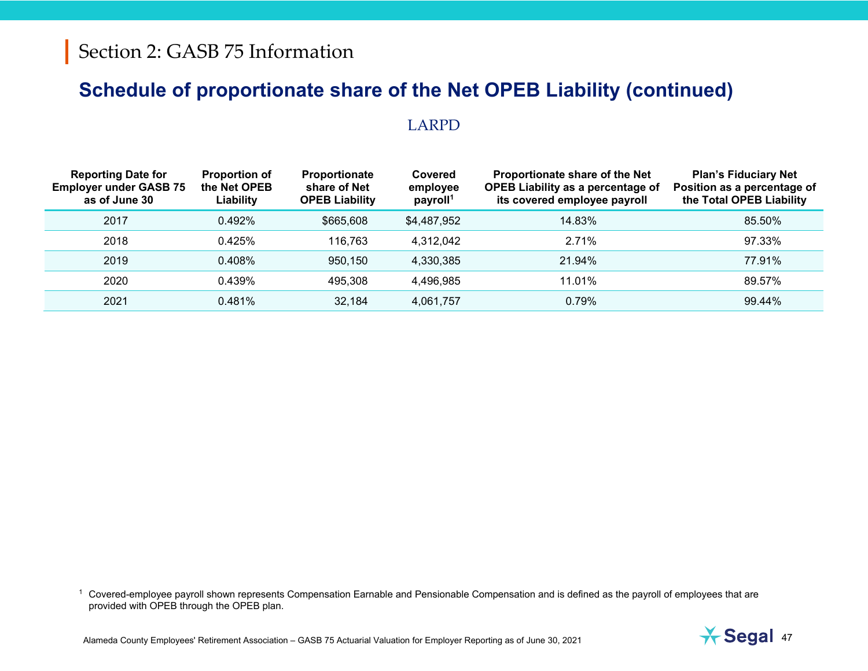#### LARPD

| <b>Reporting Date for</b><br><b>Employer under GASB 75</b><br>as of June 30 | <b>Proportion of</b><br>the Net OPEB<br>Liability | <b>Proportionate</b><br>share of Net<br><b>OPEB Liability</b> | Covered<br>employee<br>payroll <sup>1</sup> | Proportionate share of the Net<br><b>OPEB Liability as a percentage of</b><br>its covered employee payroll | <b>Plan's Fiduciary Net</b><br>Position as a percentage of<br>the Total OPEB Liability |
|-----------------------------------------------------------------------------|---------------------------------------------------|---------------------------------------------------------------|---------------------------------------------|------------------------------------------------------------------------------------------------------------|----------------------------------------------------------------------------------------|
| 2017                                                                        | 0.492%                                            | \$665,608                                                     | \$4.487.952                                 | 14.83%                                                                                                     | 85.50%                                                                                 |
| 2018                                                                        | 0.425%                                            | 116,763                                                       | 4.312.042                                   | 2.71%                                                                                                      | 97.33%                                                                                 |
| 2019                                                                        | 0.408%                                            | 950.150                                                       | 4.330.385                                   | 21.94%                                                                                                     | 77.91%                                                                                 |
| 2020                                                                        | 0.439%                                            | 495.308                                                       | 4.496.985                                   | 11.01%                                                                                                     | 89.57%                                                                                 |
| 2021                                                                        | 0.481%                                            | 32,184                                                        | 4.061.757                                   | 0.79%                                                                                                      | 99.44%                                                                                 |

<sup>1</sup> Covered-employee payroll shown represents Compensation Earnable and Pensionable Compensation and is defined as the payroll of employees that are provided with OPEB through the OPEB plan.

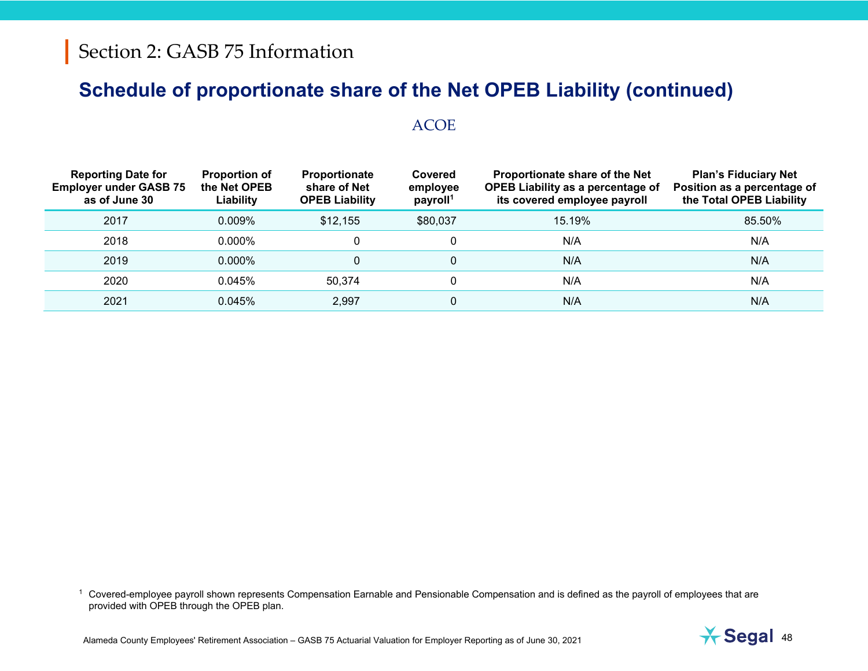#### ACOE

| <b>Reporting Date for</b><br><b>Employer under GASB 75</b><br>as of June 30 | <b>Proportion of</b><br>the Net OPEB<br>Liability | <b>Proportionate</b><br>share of Net<br><b>OPEB Liability</b> | Covered<br>employee<br>payroll <sup>1</sup> | Proportionate share of the Net<br><b>OPEB Liability as a percentage of</b><br>its covered employee payroll | <b>Plan's Fiduciary Net</b><br>Position as a percentage of<br>the Total OPEB Liability |
|-----------------------------------------------------------------------------|---------------------------------------------------|---------------------------------------------------------------|---------------------------------------------|------------------------------------------------------------------------------------------------------------|----------------------------------------------------------------------------------------|
| 2017                                                                        | $0.009\%$                                         | \$12,155                                                      | \$80,037                                    | 15.19%                                                                                                     | 85.50%                                                                                 |
| 2018                                                                        | $0.000\%$                                         |                                                               |                                             | N/A                                                                                                        | N/A                                                                                    |
| 2019                                                                        | $0.000\%$                                         |                                                               |                                             | N/A                                                                                                        | N/A                                                                                    |
| 2020                                                                        | 0.045%                                            | 50,374                                                        |                                             | N/A                                                                                                        | N/A                                                                                    |
| 2021                                                                        | 0.045%                                            | 2,997                                                         |                                             | N/A                                                                                                        | N/A                                                                                    |

<sup>1</sup> Covered-employee payroll shown represents Compensation Earnable and Pensionable Compensation and is defined as the payroll of employees that are provided with OPEB through the OPEB plan.

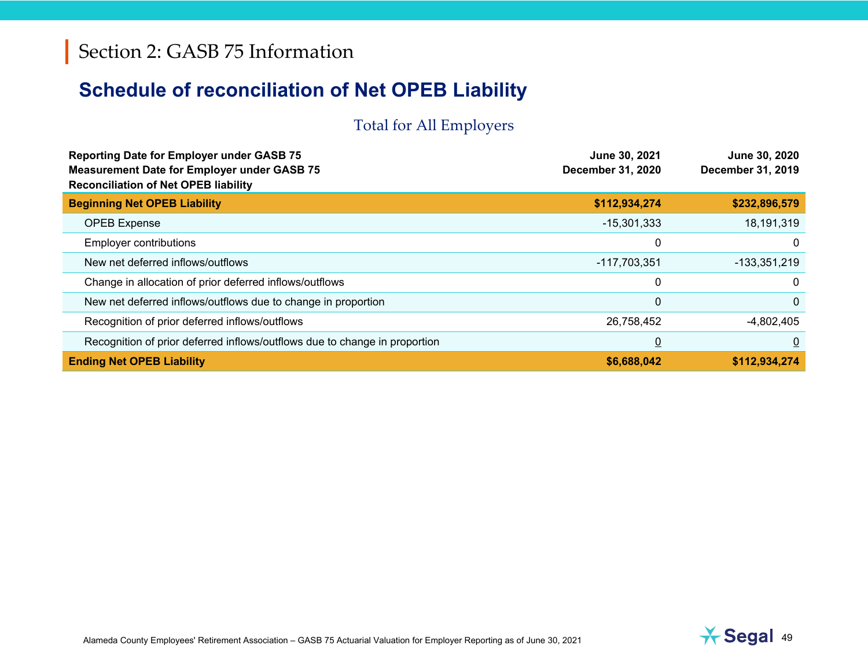## **Schedule of reconciliation of Net OPEB Liability**

#### Total for All Employers

| <b>Reporting Date for Employer under GASB 75</b><br><b>Measurement Date for Employer under GASB 75</b><br><b>Reconciliation of Net OPEB liability</b> | June 30, 2021<br>December 31, 2020 | June 30, 2020<br><b>December 31, 2019</b> |
|-------------------------------------------------------------------------------------------------------------------------------------------------------|------------------------------------|-------------------------------------------|
| <b>Beginning Net OPEB Liability</b>                                                                                                                   | \$112,934,274                      | \$232,896,579                             |
| <b>OPEB Expense</b>                                                                                                                                   | $-15,301,333$                      | 18,191,319                                |
| <b>Employer contributions</b>                                                                                                                         | 0                                  | 0                                         |
| New net deferred inflows/outflows                                                                                                                     | -117,703,351                       | $-133,351,219$                            |
| Change in allocation of prior deferred inflows/outflows                                                                                               | 0                                  | 0                                         |
| New net deferred inflows/outflows due to change in proportion                                                                                         | 0                                  | 0                                         |
| Recognition of prior deferred inflows/outflows                                                                                                        | 26,758,452                         | $-4,802,405$                              |
| Recognition of prior deferred inflows/outflows due to change in proportion                                                                            | <u>0</u>                           | $\overline{0}$                            |
| <b>Ending Net OPEB Liability</b>                                                                                                                      | \$6,688,042                        | \$112,934,274                             |

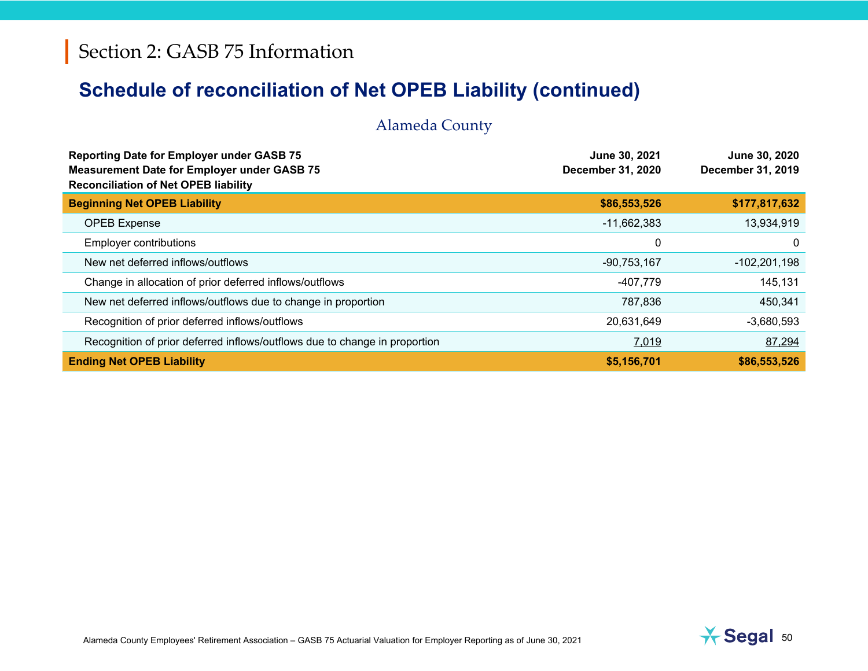#### Alameda County

| <b>Reporting Date for Employer under GASB 75</b><br><b>Measurement Date for Employer under GASB 75</b><br><b>Reconciliation of Net OPEB liability</b> | June 30, 2021<br>December 31, 2020 | June 30, 2020<br><b>December 31, 2019</b> |
|-------------------------------------------------------------------------------------------------------------------------------------------------------|------------------------------------|-------------------------------------------|
| <b>Beginning Net OPEB Liability</b>                                                                                                                   | \$86,553,526                       | \$177,817,632                             |
| <b>OPEB Expense</b>                                                                                                                                   | $-11,662,383$                      | 13,934,919                                |
| <b>Employer contributions</b>                                                                                                                         | 0                                  | 0                                         |
| New net deferred inflows/outflows                                                                                                                     | $-90,753,167$                      | $-102,201,198$                            |
| Change in allocation of prior deferred inflows/outflows                                                                                               | -407,779                           | 145,131                                   |
| New net deferred inflows/outflows due to change in proportion                                                                                         | 787,836                            | 450,341                                   |
| Recognition of prior deferred inflows/outflows                                                                                                        | 20,631,649                         | $-3,680,593$                              |
| Recognition of prior deferred inflows/outflows due to change in proportion                                                                            | 7,019                              | 87,294                                    |
| <b>Ending Net OPEB Liability</b>                                                                                                                      | \$5,156,701                        | \$86,553,526                              |

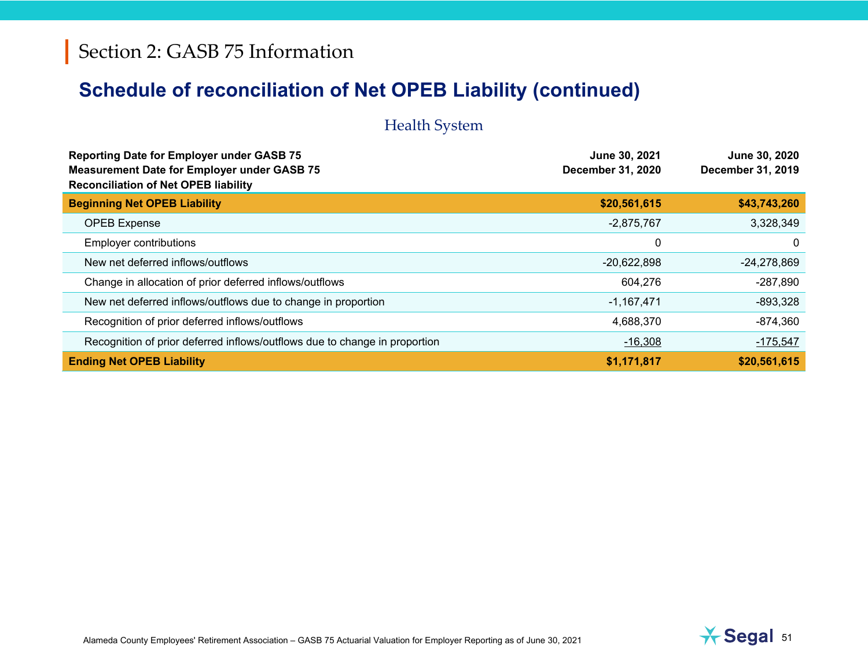Health System

| <b>Reporting Date for Employer under GASB 75</b><br><b>Measurement Date for Employer under GASB 75</b><br><b>Reconciliation of Net OPEB liability</b> | June 30, 2021<br><b>December 31, 2020</b> | June 30, 2020<br><b>December 31, 2019</b> |
|-------------------------------------------------------------------------------------------------------------------------------------------------------|-------------------------------------------|-------------------------------------------|
| <b>Beginning Net OPEB Liability</b>                                                                                                                   | \$20,561,615                              | \$43,743,260                              |
| <b>OPEB Expense</b>                                                                                                                                   | $-2,875,767$                              | 3,328,349                                 |
| <b>Employer contributions</b>                                                                                                                         | 0                                         | 0                                         |
| New net deferred inflows/outflows                                                                                                                     | $-20,622,898$                             | $-24,278,869$                             |
| Change in allocation of prior deferred inflows/outflows                                                                                               | 604,276                                   | $-287,890$                                |
| New net deferred inflows/outflows due to change in proportion                                                                                         | $-1,167,471$                              | $-893,328$                                |
| Recognition of prior deferred inflows/outflows                                                                                                        | 4,688,370                                 | $-874,360$                                |
| Recognition of prior deferred inflows/outflows due to change in proportion                                                                            | $-16,308$                                 | $-175,547$                                |
| <b>Ending Net OPEB Liability</b>                                                                                                                      | \$1,171,817                               | \$20,561,615                              |

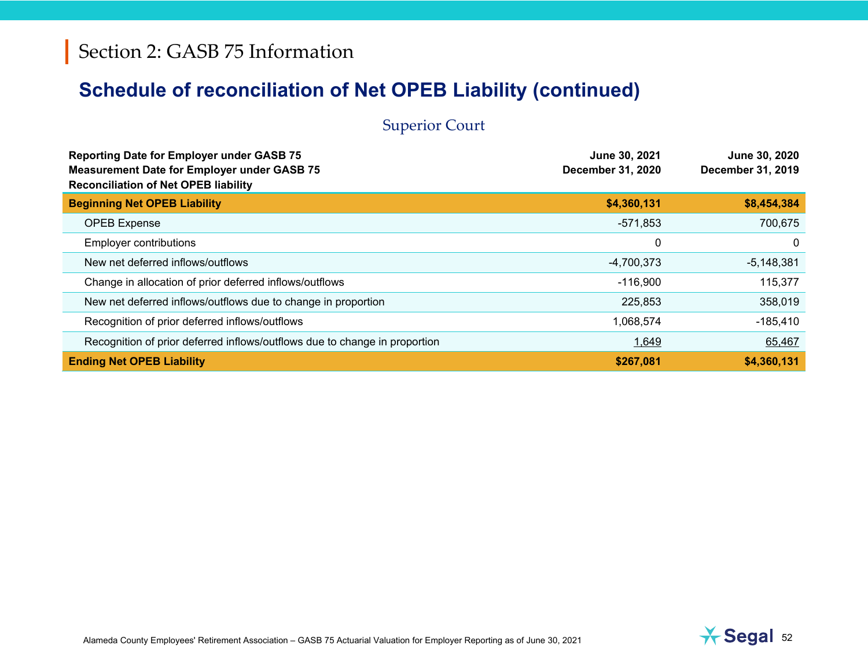Superior Court

| <b>Reporting Date for Employer under GASB 75</b><br><b>Measurement Date for Employer under GASB 75</b><br><b>Reconciliation of Net OPEB liability</b> | June 30, 2021<br>December 31, 2020 | June 30, 2020<br><b>December 31, 2019</b> |
|-------------------------------------------------------------------------------------------------------------------------------------------------------|------------------------------------|-------------------------------------------|
| <b>Beginning Net OPEB Liability</b>                                                                                                                   | \$4,360,131                        | \$8,454,384                               |
| <b>OPEB Expense</b>                                                                                                                                   | -571,853                           | 700,675                                   |
| <b>Employer contributions</b>                                                                                                                         | 0                                  | 0                                         |
| New net deferred inflows/outflows                                                                                                                     | -4,700,373                         | $-5,148,381$                              |
| Change in allocation of prior deferred inflows/outflows                                                                                               | $-116,900$                         | 115,377                                   |
| New net deferred inflows/outflows due to change in proportion                                                                                         | 225,853                            | 358,019                                   |
| Recognition of prior deferred inflows/outflows                                                                                                        | 1,068,574                          | $-185,410$                                |
| Recognition of prior deferred inflows/outflows due to change in proportion                                                                            | 1,649                              | 65,467                                    |
| <b>Ending Net OPEB Liability</b>                                                                                                                      | \$267,081                          | \$4,360,131                               |

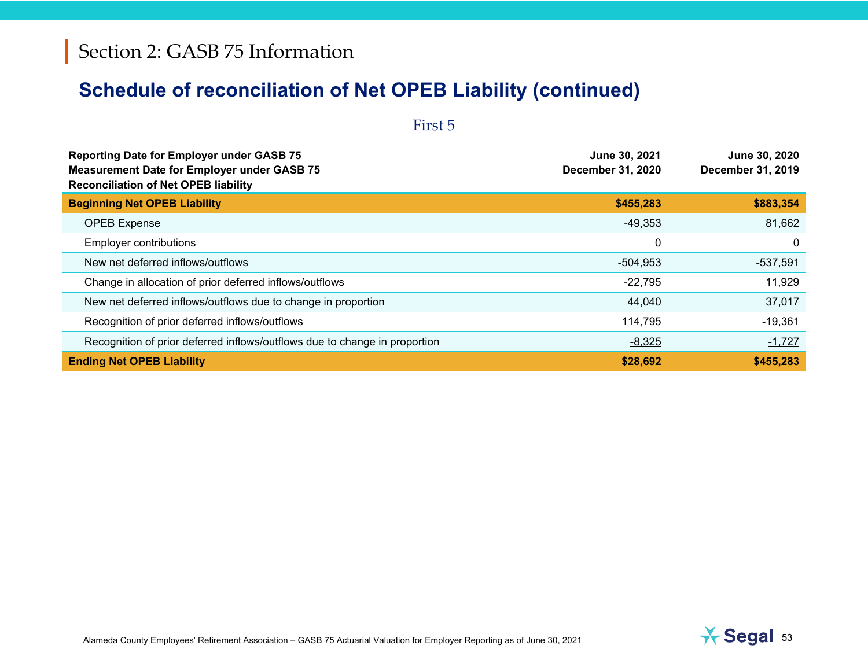First 5

| <b>Reporting Date for Employer under GASB 75</b><br><b>Measurement Date for Employer under GASB 75</b><br><b>Reconciliation of Net OPEB liability</b> | June 30, 2021<br>December 31, 2020 | June 30, 2020<br>December 31, 2019 |
|-------------------------------------------------------------------------------------------------------------------------------------------------------|------------------------------------|------------------------------------|
| <b>Beginning Net OPEB Liability</b>                                                                                                                   | \$455,283                          | \$883,354                          |
| <b>OPEB Expense</b>                                                                                                                                   | $-49,353$                          | 81,662                             |
| <b>Employer contributions</b>                                                                                                                         | 0                                  | 0                                  |
| New net deferred inflows/outflows                                                                                                                     | $-504,953$                         | $-537,591$                         |
| Change in allocation of prior deferred inflows/outflows                                                                                               | $-22,795$                          | 11,929                             |
| New net deferred inflows/outflows due to change in proportion                                                                                         | 44,040                             | 37,017                             |
| Recognition of prior deferred inflows/outflows                                                                                                        | 114,795                            | $-19,361$                          |
| Recognition of prior deferred inflows/outflows due to change in proportion                                                                            | $-8,325$                           | $-1,727$                           |
| <b>Ending Net OPEB Liability</b>                                                                                                                      | \$28,692                           | \$455,283                          |

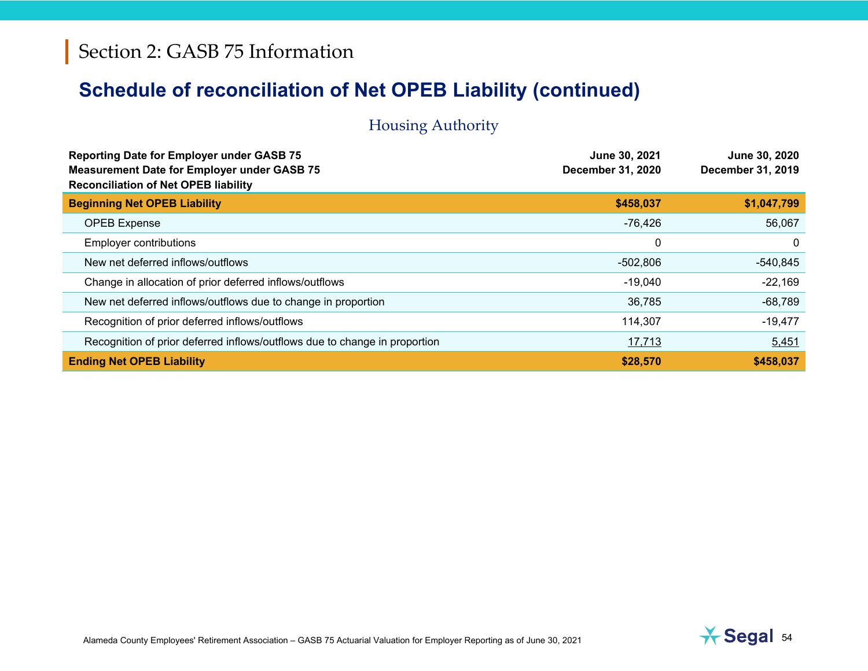#### Housing Authority

| <b>Reporting Date for Employer under GASB 75</b><br><b>Measurement Date for Employer under GASB 75</b><br><b>Reconciliation of Net OPEB liability</b> | June 30, 2021<br><b>December 31, 2020</b> | June 30, 2020<br><b>December 31, 2019</b> |
|-------------------------------------------------------------------------------------------------------------------------------------------------------|-------------------------------------------|-------------------------------------------|
| <b>Beginning Net OPEB Liability</b>                                                                                                                   | \$458,037                                 | \$1,047,799                               |
| <b>OPEB Expense</b>                                                                                                                                   | $-76,426$                                 | 56,067                                    |
| <b>Employer contributions</b>                                                                                                                         | 0                                         | 0                                         |
| New net deferred inflows/outflows                                                                                                                     | $-502.806$                                | $-540,845$                                |
| Change in allocation of prior deferred inflows/outflows                                                                                               | $-19,040$                                 | $-22,169$                                 |
| New net deferred inflows/outflows due to change in proportion                                                                                         | 36,785                                    | $-68,789$                                 |
| Recognition of prior deferred inflows/outflows                                                                                                        | 114,307                                   | $-19,477$                                 |
| Recognition of prior deferred inflows/outflows due to change in proportion                                                                            | 17,713                                    | 5,451                                     |
| <b>Ending Net OPEB Liability</b>                                                                                                                      | \$28,570                                  | \$458,037                                 |

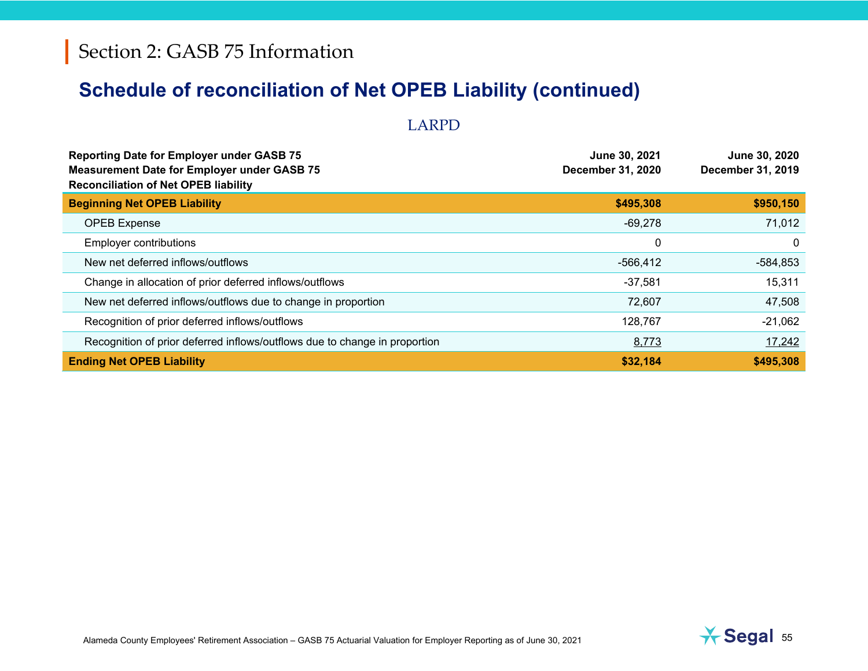#### LARPD

| <b>Reporting Date for Employer under GASB 75</b><br><b>Measurement Date for Employer under GASB 75</b><br><b>Reconciliation of Net OPEB liability</b> | June 30, 2021<br><b>December 31, 2020</b> | June 30, 2020<br>December 31, 2019 |
|-------------------------------------------------------------------------------------------------------------------------------------------------------|-------------------------------------------|------------------------------------|
| <b>Beginning Net OPEB Liability</b>                                                                                                                   | \$495,308                                 | \$950,150                          |
| <b>OPEB Expense</b>                                                                                                                                   | -69,278                                   | 71,012                             |
| Employer contributions                                                                                                                                | 0                                         | 0                                  |
| New net deferred inflows/outflows                                                                                                                     | $-566,412$                                | $-584,853$                         |
| Change in allocation of prior deferred inflows/outflows                                                                                               | $-37,581$                                 | 15,311                             |
| New net deferred inflows/outflows due to change in proportion                                                                                         | 72,607                                    | 47,508                             |
| Recognition of prior deferred inflows/outflows                                                                                                        | 128,767                                   | $-21,062$                          |
| Recognition of prior deferred inflows/outflows due to change in proportion                                                                            | 8,773                                     | 17,242                             |
| <b>Ending Net OPEB Liability</b>                                                                                                                      | \$32,184                                  | \$495,308                          |

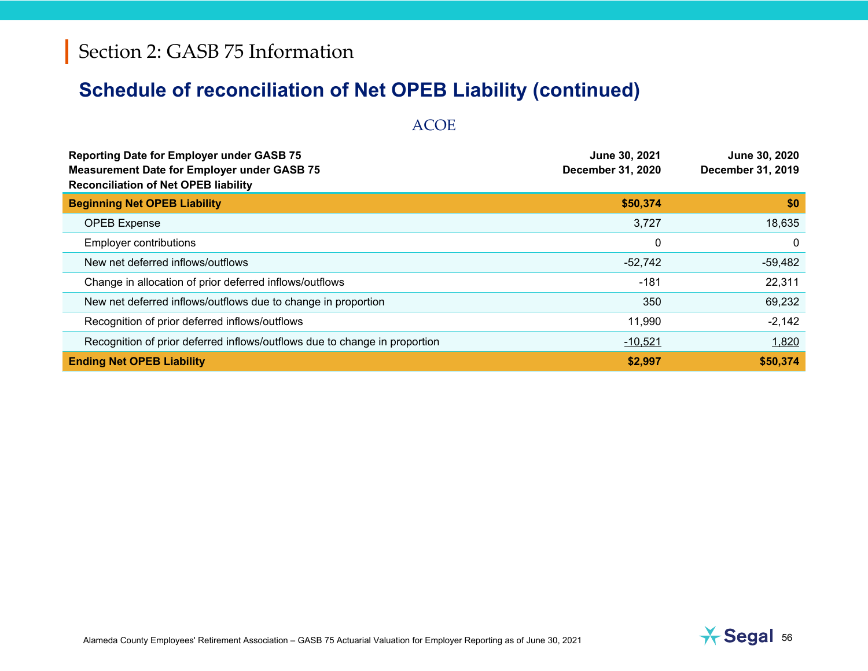#### ACOE

| <b>Reporting Date for Employer under GASB 75</b><br><b>Measurement Date for Employer under GASB 75</b><br><b>Reconciliation of Net OPEB liability</b> | June 30, 2021<br><b>December 31, 2020</b> | June 30, 2020<br><b>December 31, 2019</b> |
|-------------------------------------------------------------------------------------------------------------------------------------------------------|-------------------------------------------|-------------------------------------------|
| <b>Beginning Net OPEB Liability</b>                                                                                                                   | \$50,374                                  | \$0                                       |
| <b>OPEB Expense</b>                                                                                                                                   | 3,727                                     | 18,635                                    |
| Employer contributions                                                                                                                                | 0                                         | $\mathbf 0$                               |
| New net deferred inflows/outflows                                                                                                                     | $-52,742$                                 | $-59,482$                                 |
| Change in allocation of prior deferred inflows/outflows                                                                                               | $-181$                                    | 22,311                                    |
| New net deferred inflows/outflows due to change in proportion                                                                                         | 350                                       | 69,232                                    |
| Recognition of prior deferred inflows/outflows                                                                                                        | 11,990                                    | $-2,142$                                  |
| Recognition of prior deferred inflows/outflows due to change in proportion                                                                            | $-10,521$                                 | 1,820                                     |
| <b>Ending Net OPEB Liability</b>                                                                                                                      | \$2,997                                   | \$50,374                                  |

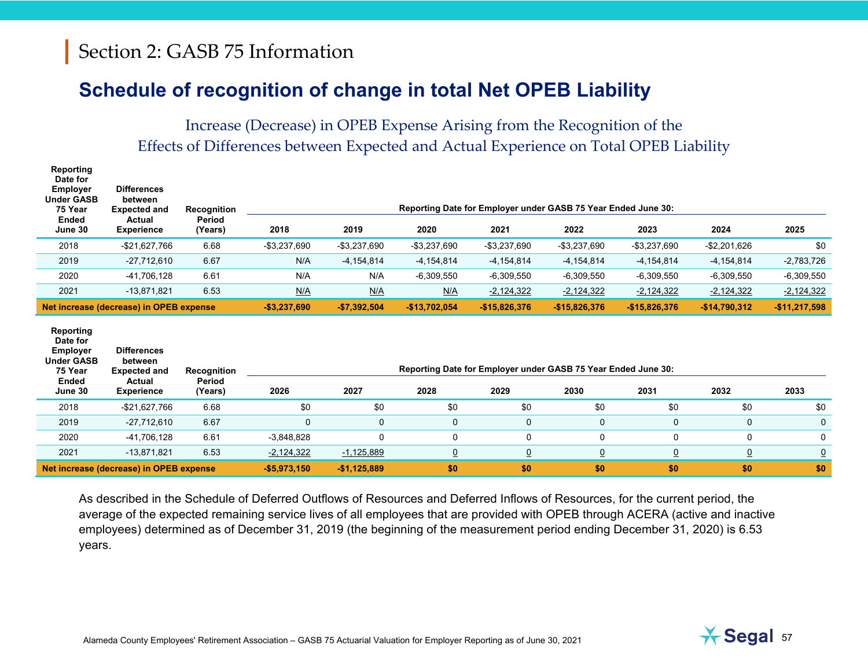#### **Schedule of recognition of change in total Net OPEB Liability**

Increase (Decrease) in OPEB Expense Arising from the Recognition of the Effects of Differences between Expected and Actual Experience on Total OPEB Liability

| Date for<br><b>Employer</b><br><b>Under GASB</b><br>75 Year<br>Ended     | <b>Differences</b><br>between<br><b>Expected and</b><br><b>Actual</b> | Recognition<br>Period |                 |                |                 |                 | Reporting Date for Employer under GASB 75 Year Ended June 30: |                 |                |                |
|--------------------------------------------------------------------------|-----------------------------------------------------------------------|-----------------------|-----------------|----------------|-----------------|-----------------|---------------------------------------------------------------|-----------------|----------------|----------------|
| June 30                                                                  | <b>Experience</b>                                                     | (Years)               | 2018            | 2019           | 2020            | 2021            | 2022                                                          | 2023            | 2024           | 2025           |
| 2018                                                                     | -\$21,627,766                                                         | 6.68                  | $-$ \$3,237,690 | -\$3,237,690   | -\$3,237,690    | $-$ \$3,237,690 | $-$ \$3,237,690                                               | -\$3,237,690    | $-$2,201,626$  | \$0            |
| 2019                                                                     | $-27,712,610$                                                         | 6.67                  | N/A             | $-4, 154, 814$ | $-4, 154, 814$  | $-4, 154, 814$  | $-4, 154, 814$                                                | $-4,154,814$    | $-4, 154, 814$ | $-2,783,726$   |
| 2020                                                                     | -41,706,128                                                           | 6.61                  | N/A             | N/A            | $-6,309,550$    | $-6,309,550$    | $-6,309,550$                                                  | $-6,309,550$    | $-6,309,550$   | $-6,309,550$   |
| 2021                                                                     | $-13,871,821$                                                         | 6.53                  | N/A             | N/A            | N/A             | $-2,124,322$    | $-2,124,322$                                                  | $-2,124,322$    | $-2,124,322$   | $-2,124,322$   |
|                                                                          | Net increase (decrease) in OPEB expense                               |                       | $-$3,237,690$   | $-$7,392,504$  | $-$13,702,054$  | $-$15,826,376$  | $-$15,826,376$                                                | $-$15,826,376$  | $-$14,790,312$ | $-$11,217,598$ |
|                                                                          |                                                                       |                       |                 |                |                 |                 |                                                               |                 |                |                |
| Reporting<br>Date for<br><b>Employer</b><br><b>Under GASB</b><br>75 Year | <b>Differences</b><br>between<br><b>Expected and</b>                  | Recognition           |                 |                |                 |                 | Reporting Date for Employer under GASB 75 Year Ended June 30: |                 |                |                |
| Ended<br>June 30                                                         | <b>Actual</b><br><b>Experience</b>                                    | Period<br>(Years)     | 2026            | 2027           | 2028            | 2029            | 2030                                                          | 2031            | 2032           | 2033           |
| 2018                                                                     | -\$21.627.766                                                         | 6.68                  | \$0             | \$0            | \$0             | \$0             | \$0                                                           | \$0             | \$0            | \$0            |
| 2019                                                                     | $-27.712.610$                                                         | 6.67                  | $\Omega$        | $\mathbf{0}$   | $\mathbf 0$     | $\mathbf 0$     | $\mathbf 0$                                                   | $\mathbf 0$     | $\mathbf 0$    | $\mathbf{0}$   |
| 2020                                                                     | -41,706,128                                                           | 6.61                  | $-3,848,828$    | $\Omega$       | $\mathbf 0$     | 0               | $\mathbf 0$                                                   | 0               | 0              | 0              |
| 2021                                                                     | $-13,871,821$                                                         | 6.53                  | $-2,124,322$    | $-1,125,889$   | $\underline{0}$ | $\overline{0}$  | $\overline{0}$                                                | $\underline{0}$ | $\overline{0}$ | $\overline{0}$ |

As described in the Schedule of Deferred Outflows of Resources and Deferred Inflows of Resources, for the current period, the average of the expected remaining service lives of all employees that are provided with OPEB through ACERA (active and inactive employees) determined as of December 31, 2019 (the beginning of the measurement period ending December 31, 2020) is 6.53 years.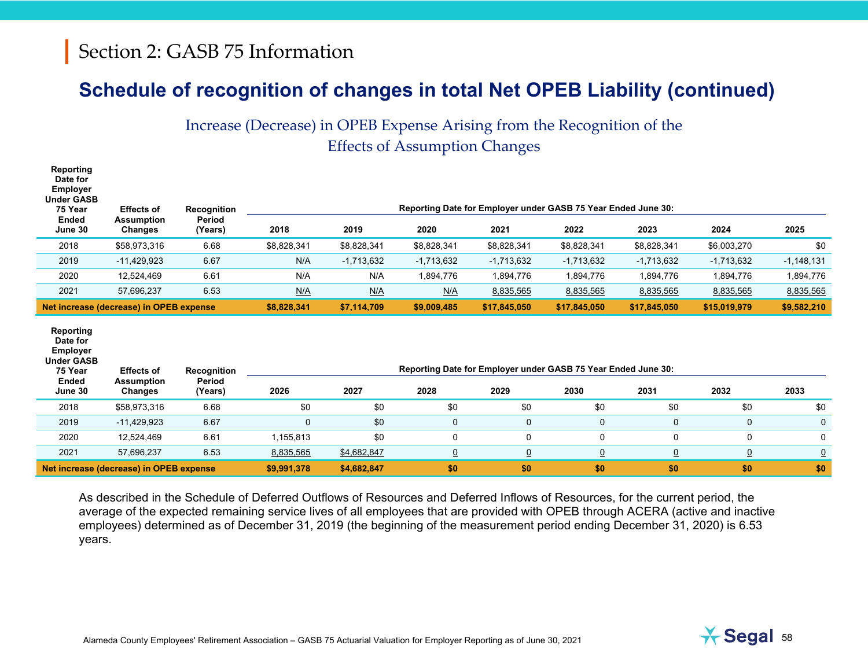#### **Schedule of recognition of changes in total Net OPEB Liability (continued)**

Increase (Decrease) in OPEB Expense Arising from the Recognition of the Effects of Assumption Changes

| Reporting<br>Date for<br><b>Employer</b><br><b>Under GASB</b><br>75 Year<br><b>Ended</b><br>June 30 | <b>Effects of</b><br><b>Assumption</b><br>Changes | <b>Recognition</b><br>Period<br>(Years) | 2018        | 2019         | 2020            | 2021            | Reporting Date for Employer under GASB 75 Year Ended June 30:<br>2022 | 2023           | 2024            | 2025           |
|-----------------------------------------------------------------------------------------------------|---------------------------------------------------|-----------------------------------------|-------------|--------------|-----------------|-----------------|-----------------------------------------------------------------------|----------------|-----------------|----------------|
| 2018                                                                                                | \$58,973,316                                      | 6.68                                    | \$8,828,341 | \$8,828,341  | \$8,828,341     | \$8,828,341     | \$8,828,341                                                           | \$8,828,341    | \$6,003,270     | \$0            |
| 2019                                                                                                | $-11,429,923$                                     | 6.67                                    | N/A         | $-1,713,632$ | $-1,713,632$    | $-1,713,632$    | $-1,713,632$                                                          | $-1,713,632$   | $-1,713,632$    | $-1,148,131$   |
| 2020                                                                                                | 12,524,469                                        | 6.61                                    | N/A         | N/A          | 1,894,776       | 1,894,776       | 1,894,776                                                             | 1,894,776      | 1,894,776       | 1,894,776      |
| 2021                                                                                                | 57,696,237                                        | 6.53                                    | N/A         | N/A          | N/A             | 8,835,565       | 8,835,565                                                             | 8,835,565      | 8,835,565       | 8,835,565      |
|                                                                                                     | Net increase (decrease) in OPEB expense           |                                         | \$8,828,341 | \$7,114,709  | \$9,009,485     | \$17,845,050    | \$17,845,050                                                          | \$17,845,050   | \$15,019,979    | \$9,582,210    |
|                                                                                                     |                                                   |                                         |             |              |                 |                 |                                                                       |                |                 |                |
| Reporting<br>Date for<br><b>Employer</b><br><b>Under GASB</b><br>75 Year                            | <b>Effects of</b>                                 | Recognition                             |             |              |                 |                 | Reporting Date for Employer under GASB 75 Year Ended June 30:         |                |                 |                |
| <b>Ended</b><br>June 30                                                                             | <b>Assumption</b><br>Changes                      | Period<br>(Years)                       | 2026        | 2027         | 2028            | 2029            | 2030                                                                  | 2031           | 2032            | 2033           |
| 2018                                                                                                | \$58,973,316                                      | 6.68                                    | \$0         | \$0          | \$0             | \$0             | \$0                                                                   | \$0            | \$0             | \$0            |
| 2019                                                                                                | $-11,429,923$                                     | 6.67                                    | $\mathbf 0$ | \$0          | $\mathbf 0$     | 0               | $\mathbf 0$                                                           | $\mathbf 0$    | $\mathbf 0$     | $\mathbf 0$    |
| 2020                                                                                                | 12,524,469                                        | 6.61                                    | 1,155,813   | \$0          | 0               | 0               | 0                                                                     | 0              | 0               | 0              |
| 2021                                                                                                | 57,696,237                                        | 6.53                                    | 8,835,565   | \$4,682,847  | $\underline{0}$ | $\underline{0}$ | $\overline{0}$                                                        | $\overline{0}$ | $\underline{0}$ | $\overline{0}$ |

As described in the Schedule of Deferred Outflows of Resources and Deferred Inflows of Resources, for the current period, the average of the expected remaining service lives of all employees that are provided with OPEB through ACERA (active and inactive employees) determined as of December 31, 2019 (the beginning of the measurement period ending December 31, 2020) is 6.53 years.

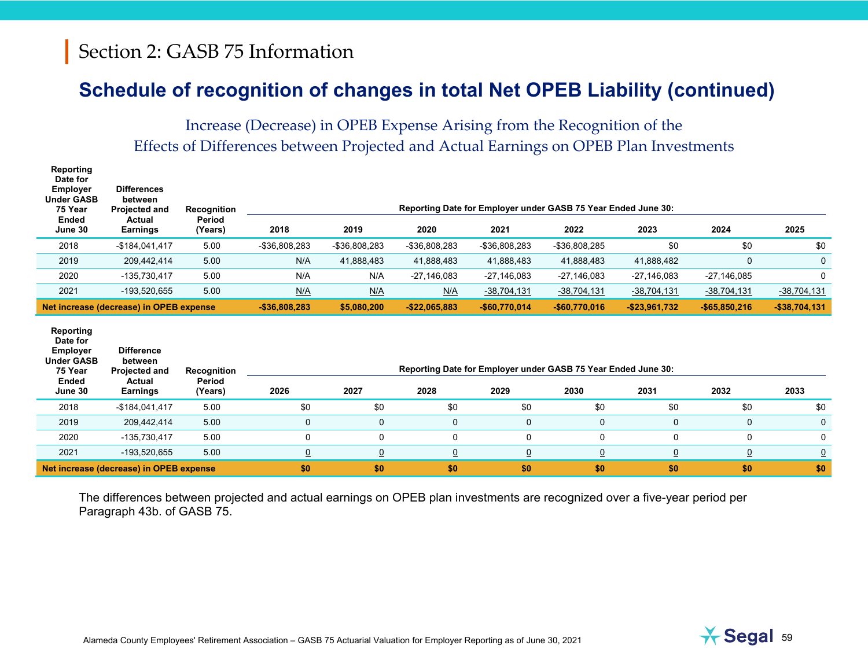#### **Schedule of recognition of changes in total Net OPEB Liability (continued)**

Increase (Decrease) in OPEB Expense Arising from the Recognition of the Effects of Differences between Projected and Actual Earnings on OPEB Plan Investments

| Reporting<br>Date for<br><b>Employer</b><br><b>Under GASB</b><br>75 Year<br><b>Ended</b><br>June 30 | <b>Differences</b><br>between<br><b>Projected and</b><br>Actual<br><b>Earnings</b> | Recognition<br>Period<br>(Years) | 2018           | 2019            | 2020           | 2021            | Reporting Date for Employer under GASB 75 Year Ended June 30:<br>2022 | 2023            | 2024           | 2025            |
|-----------------------------------------------------------------------------------------------------|------------------------------------------------------------------------------------|----------------------------------|----------------|-----------------|----------------|-----------------|-----------------------------------------------------------------------|-----------------|----------------|-----------------|
| 2018                                                                                                | $-$184,041,417$                                                                    | 5.00                             | -\$36,808,283  | -\$36,808,283   | -\$36,808,283  | -\$36,808,283   | -\$36,808,285                                                         | \$0             | \$0            | \$0             |
| 2019                                                                                                | 209,442,414                                                                        | 5.00                             | N/A            | 41,888,483      | 41,888,483     | 41,888,483      | 41,888,483                                                            | 41,888,482      | $\mathbf 0$    | $\mathbf 0$     |
| 2020                                                                                                | $-135,730,417$                                                                     | 5.00                             | N/A            | N/A             | $-27,146,083$  | $-27,146,083$   | $-27,146,083$                                                         | $-27,146,083$   | $-27,146,085$  | 0               |
| 2021                                                                                                | -193,520,655                                                                       | 5.00                             | N/A            | N/A             | N/A            | $-38,704,131$   | $-38,704,131$                                                         | $-38,704,131$   | $-38,704,131$  | $-38,704,131$   |
|                                                                                                     | Net increase (decrease) in OPEB expense                                            |                                  | $-$36,808,283$ | \$5,080,200     | $-$22,065,883$ | $-$60,770,014$  | $-$60,770,016$                                                        | $-$23,961,732$  | $-$65,850,216$ | $-$38,704,131$  |
| Reporting<br>Date for<br><b>Employer</b><br><b>Under GASB</b><br>75 Year                            | <b>Difference</b><br>between<br><b>Projected and</b>                               |                                  |                |                 |                |                 |                                                                       |                 |                |                 |
| <b>Ended</b>                                                                                        |                                                                                    | Recognition                      |                |                 |                |                 | Reporting Date for Employer under GASB 75 Year Ended June 30:         |                 |                |                 |
| June 30                                                                                             | Actual<br><b>Earnings</b>                                                          | Period<br>(Years)                | 2026           | 2027            | 2028           | 2029            | 2030                                                                  | 2031            | 2032           | 2033            |
| 2018                                                                                                | $-$184,041,417$                                                                    | 5.00                             | \$0            | \$0             | \$0            | \$0             | \$0                                                                   | \$0             | \$0            | \$0             |
| 2019                                                                                                | 209,442,414                                                                        | 5.00                             | $\mathbf 0$    | $\mathbf 0$     | 0              | 0               | $\mathbf 0$                                                           | 0               | $\mathbf 0$    | 0               |
| 2020                                                                                                | $-135,730,417$                                                                     | 5.00                             | $\mathbf 0$    | 0               | $\mathbf 0$    | 0               | 0                                                                     | 0               | 0              | 0               |
| 2021                                                                                                | -193,520,655                                                                       | 5.00                             | $\overline{0}$ | $\underline{0}$ | $\overline{0}$ | $\underline{0}$ | $\overline{0}$                                                        | $\underline{0}$ | $\overline{0}$ | $\underline{0}$ |

The differences between projected and actual earnings on OPEB plan investments are recognized over a five-year period per Paragraph 43b. of GASB 75.

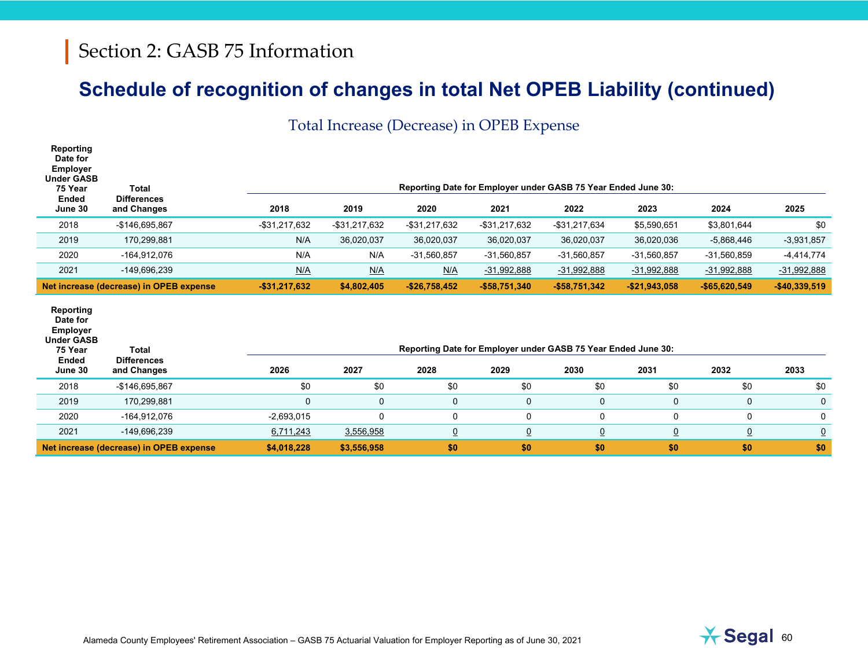#### **Schedule of recognition of changes in total Net OPEB Liability (continued)**

Total Increase (Decrease) in OPEB Expense

| Reporting<br>Date for<br><b>Employer</b><br><b>Under GASB</b><br>75 Year<br><b>Ended</b><br>June 30 | <b>Total</b><br><b>Differences</b><br>and Changes | 2018             | 2019          | 2020             | Reporting Date for Employer under GASB 75 Year Ended June 30:<br>2021 | 2022             | 2023            | 2024           | 2025            |
|-----------------------------------------------------------------------------------------------------|---------------------------------------------------|------------------|---------------|------------------|-----------------------------------------------------------------------|------------------|-----------------|----------------|-----------------|
| 2018                                                                                                | -\$146,695,867                                    | -\$31,217,632    | -\$31,217,632 | -\$31,217,632    | -\$31,217,632                                                         | $-$ \$31,217,634 | \$5,590,651     | \$3,801,644    | \$0             |
| 2019                                                                                                | 170,299,881                                       | N/A              | 36,020,037    | 36,020,037       | 36,020,037                                                            | 36,020,037       | 36,020,036      | $-5.868.446$   | $-3,931,857$    |
| 2020                                                                                                | $-164,912,076$                                    | N/A              | N/A           | $-31,560,857$    | $-31,560,857$                                                         | $-31,560,857$    | $-31,560,857$   | $-31,560,859$  | $-4,414,774$    |
| 2021                                                                                                | -149,696,239                                      | N/A              | N/A           | N/A              | $-31,992,888$                                                         | $-31,992,888$    | $-31,992,888$   | $-31,992,888$  | $-31,992,888$   |
|                                                                                                     | Net increase (decrease) in OPEB expense           | $-$ \$31,217,632 | \$4,802,405   | $-$ \$26,758,452 | $-$58,751,340$                                                        | $-$58,751,342$   | $-$21,943,058$  | $-$65,620,549$ | $-$40,339,519$  |
|                                                                                                     |                                                   |                  |               |                  |                                                                       |                  |                 |                |                 |
| Reporting<br>Date for<br><b>Employer</b><br><b>Under GASB</b><br>75 Year                            | Total                                             |                  |               |                  | Reporting Date for Employer under GASB 75 Year Ended June 30:         |                  |                 |                |                 |
| <b>Ended</b><br>June 30                                                                             | <b>Differences</b><br>and Changes                 | 2026             | 2027          | 2028             | 2029                                                                  | 2030             | 2031            | 2032           | 2033            |
| 2018                                                                                                | -\$146,695,867                                    | \$0              | \$0           | \$0              | \$0                                                                   | \$0              | \$0             | \$0            | \$0             |
| 2019                                                                                                | 170,299,881                                       | 0                | $\mathbf 0$   | $\mathbf 0$      | $\mathbf 0$                                                           | $\mathbf 0$      | $\mathbf 0$     | $\mathbf 0$    | $\mathbf 0$     |
| 2020                                                                                                | $-164,912,076$                                    | $-2,693,015$     | $\mathbf 0$   | $\mathbf 0$      | 0                                                                     | 0                | 0               | $\mathbf 0$    | $\mathbf 0$     |
| 2021                                                                                                | -149,696,239                                      | 6,711,243        | 3,556,958     | $\overline{0}$   | $\underline{0}$                                                       | $\underline{0}$  | $\underline{0}$ | $\overline{0}$ | $\underline{0}$ |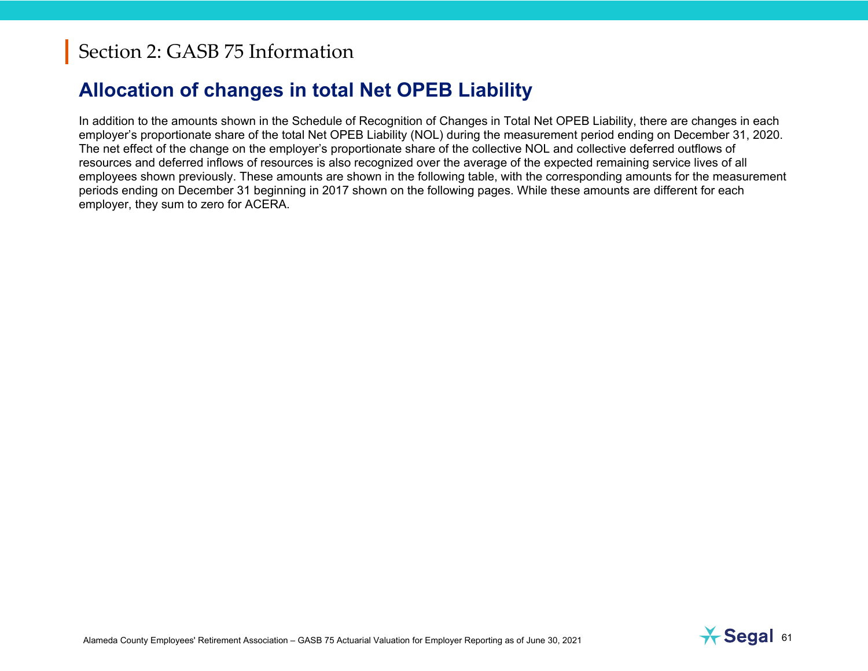#### **Allocation of changes in total Net OPEB Liability**

In addition to the amounts shown in the Schedule of Recognition of Changes in Total Net OPEB Liability, there are changes in each employer's proportionate share of the total Net OPEB Liability (NOL) during the measurement period ending on December 31, 2020. The net effect of the change on the employer's proportionate share of the collective NOL and collective deferred outflows of resources and deferred inflows of resources is also recognized over the average of the expected remaining service lives of all employees shown previously. These amounts are shown in the following table, with the corresponding amounts for the measurement periods ending on December 31 beginning in 2017 shown on the following pages. While these amounts are different for each employer, they sum to zero for ACERA.

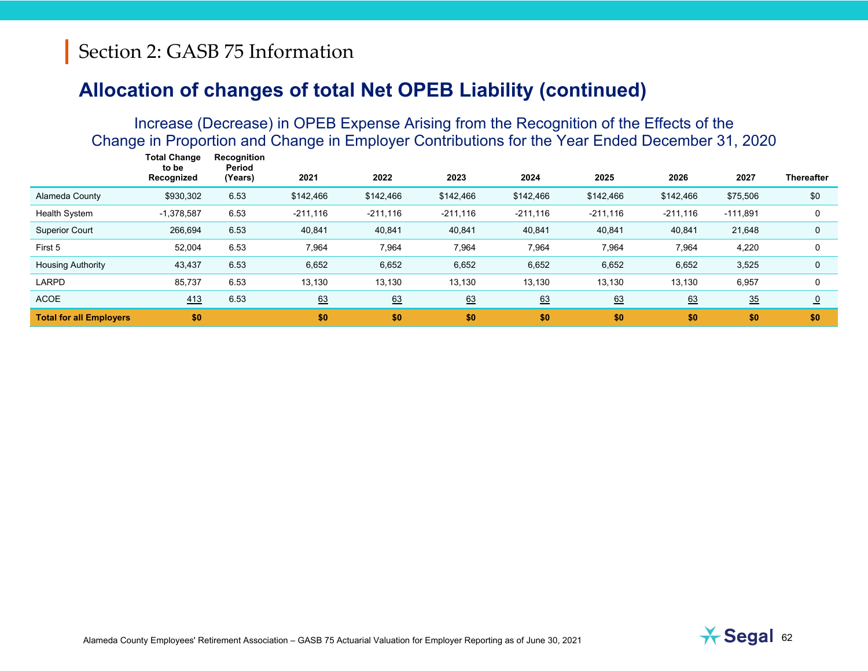|                                | <b>Total Change</b><br>to be<br>Recognized | Recognition<br>Period<br>(Years) | 2021       | 2022       | 2023       | 2024       | 2025       | 2026       | 2027       | <b>Thereafter</b> |
|--------------------------------|--------------------------------------------|----------------------------------|------------|------------|------------|------------|------------|------------|------------|-------------------|
| Alameda County                 | \$930,302                                  | 6.53                             | \$142,466  | \$142,466  | \$142,466  | \$142,466  | \$142,466  | \$142,466  | \$75,506   | \$0               |
| <b>Health System</b>           | $-1,378,587$                               | 6.53                             | $-211,116$ | $-211,116$ | $-211,116$ | $-211,116$ | $-211,116$ | $-211,116$ | $-111,891$ |                   |
| <b>Superior Court</b>          | 266,694                                    | 6.53                             | 40,841     | 40,841     | 40,841     | 40,841     | 40,841     | 40,841     | 21,648     | 0                 |
| First 5                        | 52,004                                     | 6.53                             | 7,964      | 7,964      | 7,964      | 7,964      | 7,964      | 7,964      | 4,220      |                   |
| <b>Housing Authority</b>       | 43,437                                     | 6.53                             | 6,652      | 6,652      | 6,652      | 6,652      | 6,652      | 6,652      | 3,525      |                   |
| <b>LARPD</b>                   | 85,737                                     | 6.53                             | 13,130     | 13,130     | 13,130     | 13,130     | 13,130     | 13,130     | 6,957      |                   |
| <b>ACOE</b>                    | 413                                        | 6.53                             | 63         | 63         | 63         | 63         | 63         | 63         | 35         | $\overline{0}$    |
| <b>Total for all Employers</b> | \$0                                        |                                  | \$0        | \$0        | \$0        | \$0        | \$0        | \$0        | \$0        | \$0               |

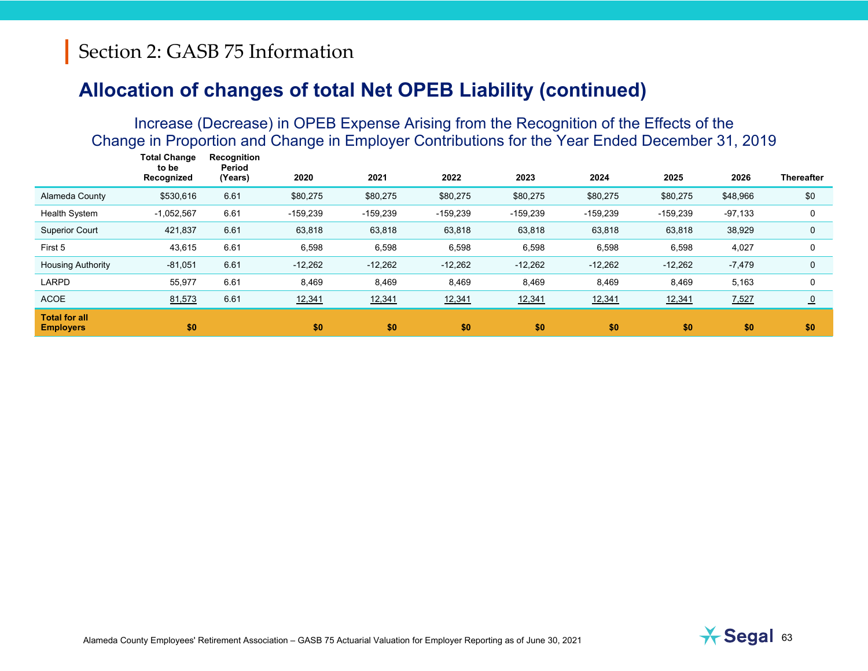|                                          | Total Change<br>to be<br>Recognized | Recognition<br>Period<br>(Years) | 2020       | 2021       | 2022       | 2023       | 2024       | 2025       | 2026      | <b>Thereafter</b> |
|------------------------------------------|-------------------------------------|----------------------------------|------------|------------|------------|------------|------------|------------|-----------|-------------------|
| Alameda County                           | \$530,616                           | 6.61                             | \$80,275   | \$80,275   | \$80,275   | \$80,275   | \$80,275   | \$80,275   | \$48,966  | \$0               |
| <b>Health System</b>                     | $-1,052,567$                        | 6.61                             | $-159,239$ | $-159,239$ | $-159,239$ | $-159,239$ | $-159,239$ | $-159,239$ | $-97,133$ | 0                 |
| <b>Superior Court</b>                    | 421,837                             | 6.61                             | 63,818     | 63,818     | 63,818     | 63,818     | 63,818     | 63,818     | 38,929    | 0                 |
| First 5                                  | 43,615                              | 6.61                             | 6,598      | 6,598      | 6,598      | 6,598      | 6,598      | 6,598      | 4,027     | 0                 |
| <b>Housing Authority</b>                 | $-81,051$                           | 6.61                             | $-12,262$  | $-12,262$  | $-12,262$  | $-12,262$  | $-12,262$  | $-12,262$  | $-7,479$  | 0                 |
| <b>LARPD</b>                             | 55,977                              | 6.61                             | 8,469      | 8,469      | 8,469      | 8,469      | 8,469      | 8,469      | 5,163     | 0                 |
| <b>ACOE</b>                              | 81,573                              | 6.61                             | 12,341     | 12,341     | 12,341     | 12,341     | 12,341     | 12,341     | 7,527     | $\overline{0}$    |
| <b>Total for all</b><br><b>Employers</b> | \$0                                 |                                  | \$0        | \$0        | \$0        | \$0        | \$0        | \$0        | \$0       | \$0               |

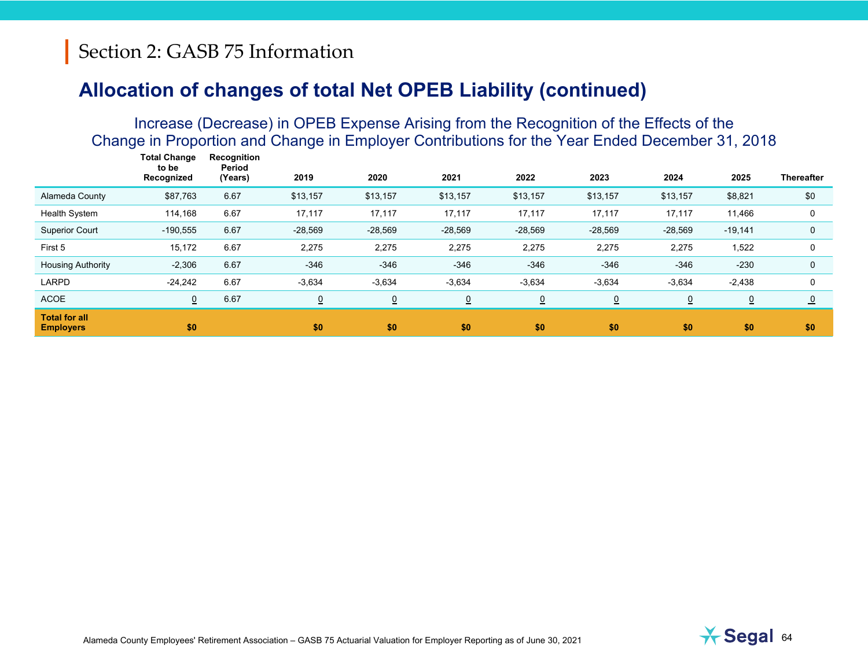|                                          | Total Change<br>to be<br>Recognized | Recognition<br>Period<br>(Years) | 2019           | 2020           | 2021           | 2022           | 2023           | 2024      | 2025           | <b>Thereafter</b>       |
|------------------------------------------|-------------------------------------|----------------------------------|----------------|----------------|----------------|----------------|----------------|-----------|----------------|-------------------------|
| Alameda County                           | \$87,763                            | 6.67                             | \$13,157       | \$13,157       | \$13,157       | \$13,157       | \$13,157       | \$13,157  | \$8,821        | \$0                     |
| <b>Health System</b>                     | 114,168                             | 6.67                             | 17,117         | 17,117         | 17,117         | 17,117         | 17,117         | 17,117    | 11,466         |                         |
| <b>Superior Court</b>                    | $-190,555$                          | 6.67                             | $-28,569$      | $-28,569$      | $-28,569$      | $-28,569$      | $-28,569$      | $-28,569$ | $-19,141$      | $\mathbf{0}$            |
| First 5                                  | 15,172                              | 6.67                             | 2,275          | 2,275          | 2,275          | 2,275          | 2,275          | 2,275     | 1,522          |                         |
| <b>Housing Authority</b>                 | $-2,306$                            | 6.67                             | $-346$         | $-346$         | $-346$         | $-346$         | $-346$         | $-346$    | $-230$         | $\mathbf{0}$            |
| <b>LARPD</b>                             | $-24,242$                           | 6.67                             | $-3,634$       | $-3,634$       | $-3,634$       | $-3,634$       | $-3,634$       | $-3,634$  | $-2,438$       | 0                       |
| <b>ACOE</b>                              | $\overline{0}$                      | 6.67                             | $\overline{0}$ | $\overline{0}$ | $\overline{0}$ | $\overline{0}$ | $\overline{0}$ | $\Omega$  | $\overline{0}$ | $\overline{\mathbf{0}}$ |
| <b>Total for all</b><br><b>Employers</b> | \$0                                 |                                  | \$0            | \$0            | \$0            | \$0            | \$0            | \$0       | \$0            | \$0                     |

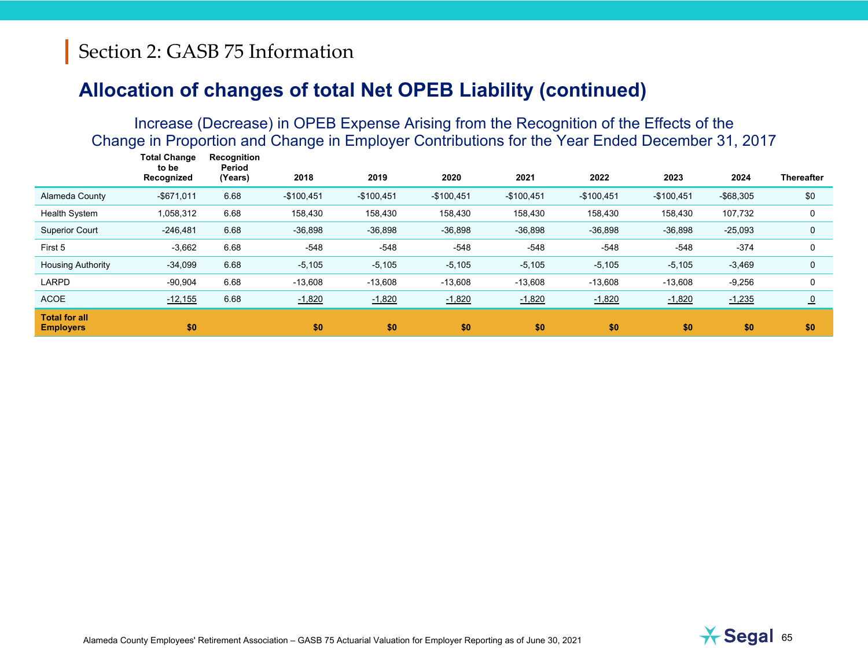|                                          | Total Change<br>to be<br>Recognized | Recognition<br>Period<br>(Years) | 2018        | 2019        | 2020        | 2021        | 2022        | 2023        | 2024         | <b>Thereafter</b> |
|------------------------------------------|-------------------------------------|----------------------------------|-------------|-------------|-------------|-------------|-------------|-------------|--------------|-------------------|
| Alameda County                           | $-$ \$671,011                       | 6.68                             | $-$100,451$ | $-$100,451$ | $-$100,451$ | $-$100,451$ | $-$100,451$ | $-$100,451$ | $-$ \$68,305 | \$0               |
| <b>Health System</b>                     | 1,058,312                           | 6.68                             | 158,430     | 158,430     | 158,430     | 158,430     | 158,430     | 158,430     | 107,732      |                   |
| <b>Superior Court</b>                    | $-246,481$                          | 6.68                             | $-36,898$   | $-36,898$   | $-36,898$   | $-36,898$   | $-36,898$   | $-36,898$   | $-25,093$    |                   |
| First 5                                  | $-3,662$                            | 6.68                             | -548        | $-548$      | $-548$      | $-548$      | $-548$      | $-548$      | $-374$       |                   |
| <b>Housing Authority</b>                 | $-34,099$                           | 6.68                             | $-5,105$    | $-5,105$    | $-5,105$    | $-5,105$    | $-5,105$    | $-5,105$    | $-3,469$     | 0                 |
| <b>LARPD</b>                             | $-90,904$                           | 6.68                             | $-13,608$   | $-13,608$   | $-13,608$   | $-13,608$   | $-13,608$   | $-13,608$   | $-9,256$     |                   |
| <b>ACOE</b>                              | $-12,155$                           | 6.68                             | $-1,820$    | $-1,820$    | $-1,820$    | $-1,820$    | $-1,820$    | $-1,820$    | $-1,235$     | $\overline{0}$    |
| <b>Total for all</b><br><b>Employers</b> | \$0                                 |                                  | \$0         | \$0         | \$0         | \$0         | \$0         | \$0         | \$0          | \$0               |

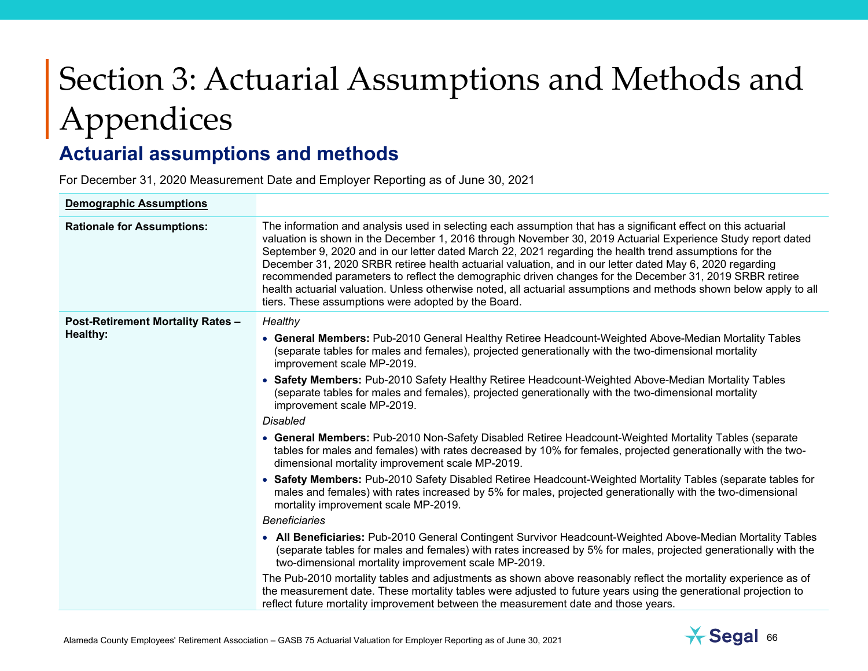# Section 3: Actuarial Assumptions and Methods and Appendices

## **Actuarial assumptions and methods**

For December 31, 2020 Measurement Date and Employer Reporting as of June 30, 2021

| <b>Demographic Assumptions</b>           |                                                                                                                                                                                                                                                                                                                                                                                                                                                                                                                                                                                                                                                                                                                                               |
|------------------------------------------|-----------------------------------------------------------------------------------------------------------------------------------------------------------------------------------------------------------------------------------------------------------------------------------------------------------------------------------------------------------------------------------------------------------------------------------------------------------------------------------------------------------------------------------------------------------------------------------------------------------------------------------------------------------------------------------------------------------------------------------------------|
| <b>Rationale for Assumptions:</b>        | The information and analysis used in selecting each assumption that has a significant effect on this actuarial<br>valuation is shown in the December 1, 2016 through November 30, 2019 Actuarial Experience Study report dated<br>September 9, 2020 and in our letter dated March 22, 2021 regarding the health trend assumptions for the<br>December 31, 2020 SRBR retiree health actuarial valuation, and in our letter dated May 6, 2020 regarding<br>recommended parameters to reflect the demographic driven changes for the December 31, 2019 SRBR retiree<br>health actuarial valuation. Unless otherwise noted, all actuarial assumptions and methods shown below apply to all<br>tiers. These assumptions were adopted by the Board. |
| <b>Post-Retirement Mortality Rates -</b> | Healthy                                                                                                                                                                                                                                                                                                                                                                                                                                                                                                                                                                                                                                                                                                                                       |
| Healthy:                                 | • General Members: Pub-2010 General Healthy Retiree Headcount-Weighted Above-Median Mortality Tables<br>(separate tables for males and females), projected generationally with the two-dimensional mortality<br>improvement scale MP-2019.                                                                                                                                                                                                                                                                                                                                                                                                                                                                                                    |
|                                          | • Safety Members: Pub-2010 Safety Healthy Retiree Headcount-Weighted Above-Median Mortality Tables<br>(separate tables for males and females), projected generationally with the two-dimensional mortality<br>improvement scale MP-2019.                                                                                                                                                                                                                                                                                                                                                                                                                                                                                                      |
|                                          | <b>Disabled</b>                                                                                                                                                                                                                                                                                                                                                                                                                                                                                                                                                                                                                                                                                                                               |
|                                          | • General Members: Pub-2010 Non-Safety Disabled Retiree Headcount-Weighted Mortality Tables (separate<br>tables for males and females) with rates decreased by 10% for females, projected generationally with the two-<br>dimensional mortality improvement scale MP-2019.                                                                                                                                                                                                                                                                                                                                                                                                                                                                    |
|                                          | • Safety Members: Pub-2010 Safety Disabled Retiree Headcount-Weighted Mortality Tables (separate tables for<br>males and females) with rates increased by 5% for males, projected generationally with the two-dimensional<br>mortality improvement scale MP-2019.                                                                                                                                                                                                                                                                                                                                                                                                                                                                             |
|                                          | <b>Beneficiaries</b>                                                                                                                                                                                                                                                                                                                                                                                                                                                                                                                                                                                                                                                                                                                          |
|                                          | • All Beneficiaries: Pub-2010 General Contingent Survivor Headcount-Weighted Above-Median Mortality Tables<br>(separate tables for males and females) with rates increased by 5% for males, projected generationally with the<br>two-dimensional mortality improvement scale MP-2019.                                                                                                                                                                                                                                                                                                                                                                                                                                                         |
|                                          | The Pub-2010 mortality tables and adjustments as shown above reasonably reflect the mortality experience as of<br>the measurement date. These mortality tables were adjusted to future years using the generational projection to<br>reflect future mortality improvement between the measurement date and those years.                                                                                                                                                                                                                                                                                                                                                                                                                       |

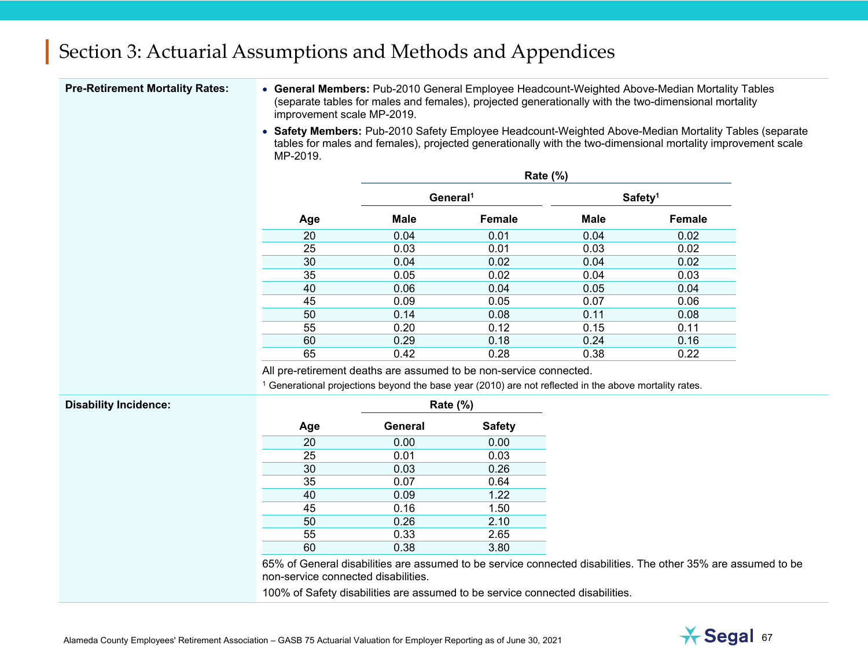#### Section 3: Actuarial Assumptions and Methods and Appendices

- **Pre-Retirement Mortality Rates: General Members:** Pub-2010 General Employee Headcount-Weighted Above-Median Mortality Tables (separate tables for males and females), projected generationally with the two-dimensional mortality improvement scale MP-2019.
	- **Safety Members:** Pub-2010 Safety Employee Headcount-Weighted Above-Median Mortality Tables (separate tables for males and females), projected generationally with the two-dimensional mortality improvement scale MP-2019.

|     | <b>Rate (%)</b> |                      |             |                     |  |  |  |  |
|-----|-----------------|----------------------|-------------|---------------------|--|--|--|--|
|     |                 | General <sup>1</sup> |             | Safety <sup>1</sup> |  |  |  |  |
| Age | <b>Male</b>     | <b>Female</b>        | <b>Male</b> | Female              |  |  |  |  |
| 20  | 0.04            | 0.01                 | 0.04        | 0.02                |  |  |  |  |
| 25  | 0.03            | 0.01                 | 0.03        | 0.02                |  |  |  |  |
| 30  | 0.04            | 0.02                 | 0.04        | 0.02                |  |  |  |  |
| 35  | 0.05            | 0.02                 | 0.04        | 0.03                |  |  |  |  |
| 40  | 0.06            | 0.04                 | 0.05        | 0.04                |  |  |  |  |
| 45  | 0.09            | 0.05                 | 0.07        | 0.06                |  |  |  |  |
| 50  | 0.14            | 0.08                 | 0.11        | 0.08                |  |  |  |  |
| 55  | 0.20            | 0.12                 | 0.15        | 0.11                |  |  |  |  |
| 60  | 0.29            | 0.18                 | 0.24        | 0.16                |  |  |  |  |
| 65  | 0.42            | 0.28                 | 0.38        | 0.22                |  |  |  |  |

All pre-retirement deaths are assumed to be non-service connected.

 $1$  Generational projections beyond the base year (2010) are not reflected in the above mortality rates.

| <b>Disability Incidence:</b> |                                     | Rate $(\%)$                                                                   |               |                                                                                                               |
|------------------------------|-------------------------------------|-------------------------------------------------------------------------------|---------------|---------------------------------------------------------------------------------------------------------------|
|                              | Age                                 | General                                                                       | <b>Safety</b> |                                                                                                               |
|                              | 20                                  | 0.00                                                                          | 0.00          |                                                                                                               |
|                              | 25                                  | 0.01                                                                          | 0.03          |                                                                                                               |
|                              | 30                                  | 0.03                                                                          | 0.26          |                                                                                                               |
|                              | 35                                  | 0.07                                                                          | 0.64          |                                                                                                               |
|                              | 40                                  | 0.09                                                                          | 1.22          |                                                                                                               |
|                              | 45                                  | 0.16                                                                          | 1.50          |                                                                                                               |
|                              | 50                                  | 0.26                                                                          | 2.10          |                                                                                                               |
|                              | 55                                  | 0.33                                                                          | 2.65          |                                                                                                               |
|                              | 60                                  | 0.38                                                                          | 3.80          |                                                                                                               |
|                              | non-service connected disabilities. |                                                                               |               | 65% of General disabilities are assumed to be service connected disabilities. The other 35% are assumed to be |
|                              |                                     | 100% of Safety disabilities are assumed to be service connected disabilities. |               |                                                                                                               |

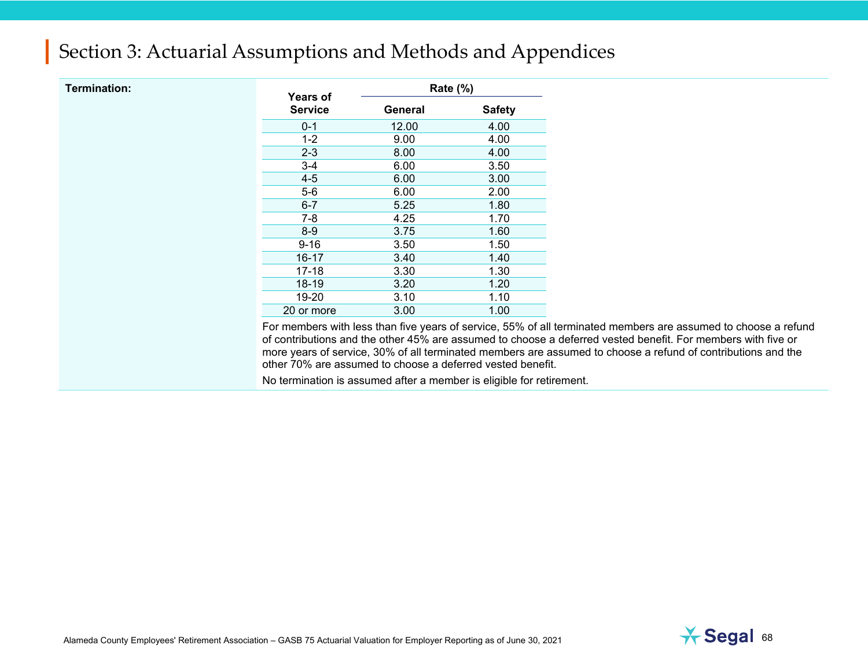#### Section 3: Actuarial Assumptions and Methods and Appendices

| <b>Years of</b><br><b>Service</b> | General |                                                                   |
|-----------------------------------|---------|-------------------------------------------------------------------|
|                                   |         | <b>Safety</b>                                                     |
| $0 - 1$                           | 12.00   | 4.00                                                              |
| $1 - 2$                           | 9.00    | 4.00                                                              |
| $2 - 3$                           | 8.00    | 4.00                                                              |
| $3 - 4$                           | 6.00    | 3.50                                                              |
| $4 - 5$                           | 6.00    | 3.00                                                              |
| $5-6$                             | 6.00    | 2.00                                                              |
| $6 - 7$                           | 5.25    | 1.80                                                              |
| 7-8                               | 4.25    | 1.70                                                              |
| $8-9$                             | 3.75    | 1.60                                                              |
| $9 - 16$                          | 3.50    | 1.50                                                              |
| 16-17                             | 3.40    | 1.40                                                              |
| 17-18                             | 3.30    | 1.30                                                              |
| 18-19                             | 3.20    | 1.20                                                              |
| 19-20                             | 3.10    | 1.10                                                              |
| 20 or more                        | 3.00    | 1.00                                                              |
|                                   |         | For members with less than five years of service, 55% of all tern |

ninated members are assumed to choose a refund of contributions and the other 45% are assumed to choose a deferred vested benefit. For members with five or more years of service, 30% of all terminated members are assumed to choose a refund of contributions and the other 70% are assumed to choose a deferred vested benefit.

No termination is assumed after a member is eligible for retirement.

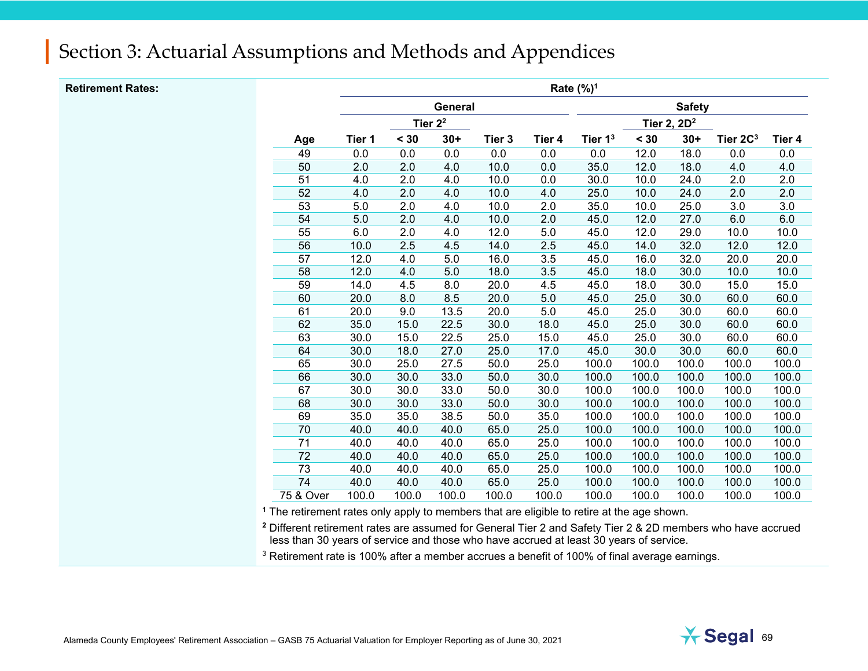#### **Retirement Rates:**

|                 | Rate $(%)1$ |       |                    |                   |        |           |       |                |                      |        |
|-----------------|-------------|-------|--------------------|-------------------|--------|-----------|-------|----------------|----------------------|--------|
|                 |             |       | General            |                   |        |           |       | <b>Safety</b>  |                      |        |
|                 |             |       | Tier <sub>22</sub> |                   |        |           |       | Tier 2, $2D^2$ |                      |        |
| Age             | Tier 1      | $30$  | $30+$              | Tier <sub>3</sub> | Tier 4 | Tier $13$ | $30$  | $30+$          | Tier 2C <sup>3</sup> | Tier 4 |
| 49              | 0.0         | 0.0   | 0.0                | 0.0               | 0.0    | 0.0       | 12.0  | 18.0           | 0.0                  | 0.0    |
| 50              | 2.0         | 2.0   | 4.0                | 10.0              | 0.0    | 35.0      | 12.0  | 18.0           | 4.0                  | 4.0    |
| 51              | 4.0         | 2.0   | 4.0                | 10.0              | 0.0    | 30.0      | 10.0  | 24.0           | 2.0                  | 2.0    |
| 52              | 4.0         | 2.0   | 4.0                | 10.0              | 4.0    | 25.0      | 10.0  | 24.0           | 2.0                  | 2.0    |
| 53              | 5.0         | 2.0   | 4.0                | 10.0              | 2.0    | 35.0      | 10.0  | 25.0           | 3.0                  | 3.0    |
| 54              | 5.0         | 2.0   | 4.0                | 10.0              | 2.0    | 45.0      | 12.0  | 27.0           | 6.0                  | 6.0    |
| 55              | 6.0         | 2.0   | 4.0                | 12.0              | 5.0    | 45.0      | 12.0  | 29.0           | 10.0                 | 10.0   |
| 56              | 10.0        | 2.5   | 4.5                | 14.0              | 2.5    | 45.0      | 14.0  | 32.0           | 12.0                 | 12.0   |
| 57              | 12.0        | 4.0   | 5.0                | 16.0              | 3.5    | 45.0      | 16.0  | 32.0           | 20.0                 | 20.0   |
| 58              | 12.0        | 4.0   | 5.0                | 18.0              | 3.5    | 45.0      | 18.0  | 30.0           | 10.0                 | 10.0   |
| 59              | 14.0        | 4.5   | 8.0                | 20.0              | 4.5    | 45.0      | 18.0  | 30.0           | 15.0                 | 15.0   |
| 60              | 20.0        | 8.0   | 8.5                | 20.0              | 5.0    | 45.0      | 25.0  | 30.0           | 60.0                 | 60.0   |
| 61              | 20.0        | 9.0   | 13.5               | 20.0              | 5.0    | 45.0      | 25.0  | 30.0           | 60.0                 | 60.0   |
| 62              | 35.0        | 15.0  | 22.5               | 30.0              | 18.0   | 45.0      | 25.0  | 30.0           | 60.0                 | 60.0   |
| 63              | 30.0        | 15.0  | 22.5               | 25.0              | 15.0   | 45.0      | 25.0  | 30.0           | 60.0                 | 60.0   |
| 64              | 30.0        | 18.0  | 27.0               | 25.0              | 17.0   | 45.0      | 30.0  | 30.0           | 60.0                 | 60.0   |
| 65              | 30.0        | 25.0  | 27.5               | 50.0              | 25.0   | 100.0     | 100.0 | 100.0          | 100.0                | 100.0  |
| 66              | 30.0        | 30.0  | 33.0               | 50.0              | 30.0   | 100.0     | 100.0 | 100.0          | 100.0                | 100.0  |
| 67              | 30.0        | 30.0  | 33.0               | 50.0              | 30.0   | 100.0     | 100.0 | 100.0          | 100.0                | 100.0  |
| 68              | 30.0        | 30.0  | 33.0               | 50.0              | 30.0   | 100.0     | 100.0 | 100.0          | 100.0                | 100.0  |
| 69              | 35.0        | 35.0  | 38.5               | 50.0              | 35.0   | 100.0     | 100.0 | 100.0          | 100.0                | 100.0  |
| 70              | 40.0        | 40.0  | 40.0               | 65.0              | 25.0   | 100.0     | 100.0 | 100.0          | 100.0                | 100.0  |
| 71              | 40.0        | 40.0  | 40.0               | 65.0              | 25.0   | 100.0     | 100.0 | 100.0          | 100.0                | 100.0  |
| $\overline{72}$ | 40.0        | 40.0  | 40.0               | 65.0              | 25.0   | 100.0     | 100.0 | 100.0          | 100.0                | 100.0  |
| 73              | 40.0        | 40.0  | 40.0               | 65.0              | 25.0   | 100.0     | 100.0 | 100.0          | 100.0                | 100.0  |
| $\overline{74}$ | 40.0        | 40.0  | 40.0               | 65.0              | 25.0   | 100.0     | 100.0 | 100.0          | 100.0                | 100.0  |
| 75 & Over       | 100.0       | 100.0 | 100.0              | 100.0             | 100.0  | 100.0     | 100.0 | 100.0          | 100.0                | 100.0  |

**1** The retirement rates only apply to members that are eligible to retire at the age shown.

**2** Different retirement rates are assumed for General Tier 2 and Safety Tier 2 & 2D members who have accrued less than 30 years of service and those who have accrued at least 30 years of service.

<sup>3</sup> Retirement rate is 100% after a member accrues a benefit of 100% of final average earnings.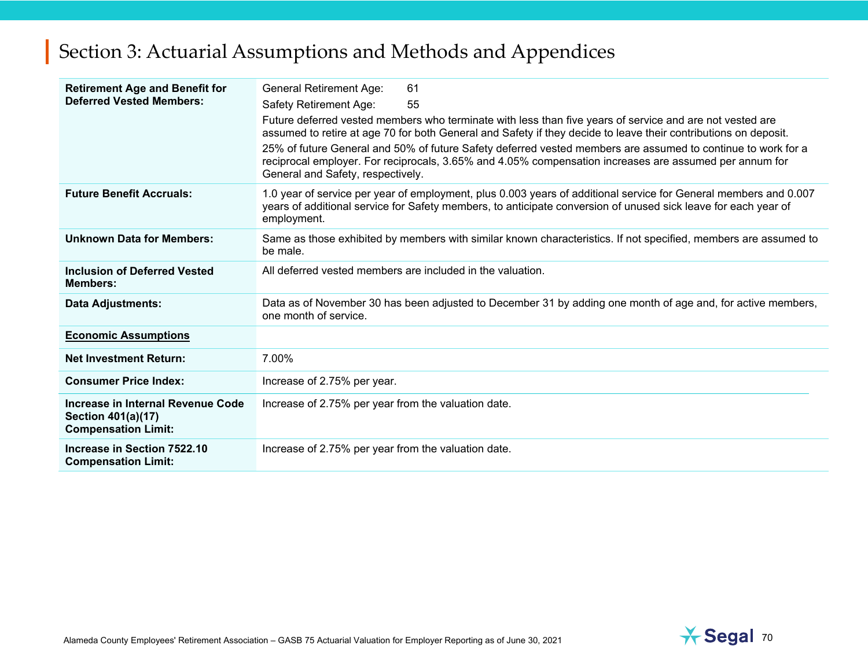| <b>Retirement Age and Benefit for</b><br><b>Deferred Vested Members:</b>                     | <b>General Retirement Age:</b><br>61<br>55<br>Safety Retirement Age:<br>Future deferred vested members who terminate with less than five years of service and are not vested are<br>assumed to retire at age 70 for both General and Safety if they decide to leave their contributions on deposit.<br>25% of future General and 50% of future Safety deferred vested members are assumed to continue to work for a<br>reciprocal employer. For reciprocals, 3.65% and 4.05% compensation increases are assumed per annum for<br>General and Safety, respectively. |
|----------------------------------------------------------------------------------------------|--------------------------------------------------------------------------------------------------------------------------------------------------------------------------------------------------------------------------------------------------------------------------------------------------------------------------------------------------------------------------------------------------------------------------------------------------------------------------------------------------------------------------------------------------------------------|
| <b>Future Benefit Accruals:</b>                                                              | 1.0 year of service per year of employment, plus 0.003 years of additional service for General members and 0.007<br>years of additional service for Safety members, to anticipate conversion of unused sick leave for each year of<br>employment.                                                                                                                                                                                                                                                                                                                  |
| <b>Unknown Data for Members:</b>                                                             | Same as those exhibited by members with similar known characteristics. If not specified, members are assumed to<br>be male.                                                                                                                                                                                                                                                                                                                                                                                                                                        |
| <b>Inclusion of Deferred Vested</b><br><b>Members:</b>                                       | All deferred vested members are included in the valuation.                                                                                                                                                                                                                                                                                                                                                                                                                                                                                                         |
| <b>Data Adjustments:</b>                                                                     | Data as of November 30 has been adjusted to December 31 by adding one month of age and, for active members,<br>one month of service.                                                                                                                                                                                                                                                                                                                                                                                                                               |
| <b>Economic Assumptions</b>                                                                  |                                                                                                                                                                                                                                                                                                                                                                                                                                                                                                                                                                    |
| <b>Net Investment Return:</b>                                                                | 7.00%                                                                                                                                                                                                                                                                                                                                                                                                                                                                                                                                                              |
| <b>Consumer Price Index:</b>                                                                 | Increase of 2.75% per year.                                                                                                                                                                                                                                                                                                                                                                                                                                                                                                                                        |
| Increase in Internal Revenue Code<br><b>Section 401(a)(17)</b><br><b>Compensation Limit:</b> | Increase of 2.75% per year from the valuation date.                                                                                                                                                                                                                                                                                                                                                                                                                                                                                                                |
| Increase in Section 7522.10<br><b>Compensation Limit:</b>                                    | Increase of 2.75% per year from the valuation date.                                                                                                                                                                                                                                                                                                                                                                                                                                                                                                                |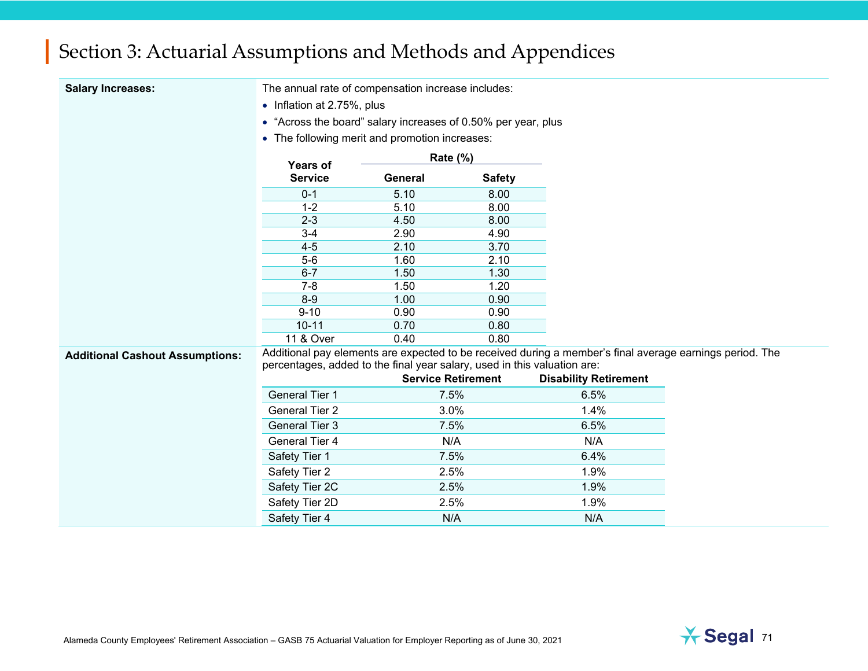**Salary Increases: The annual rate of compensation increase includes:** 

- $\bullet~$  Inflation at 2.75%, plus
- $\bullet \,$  "Across the board" salary increases of 0.50% per year, plus
- The following merit and promotion increases:

| <b>Years of</b> | <b>Rate (%)</b> |               |  |  |
|-----------------|-----------------|---------------|--|--|
| <b>Service</b>  | General         | <b>Safety</b> |  |  |
| $0 - 1$         | 5.10            | 8.00          |  |  |
| $1 - 2$         | 5.10            | 8.00          |  |  |
| $2 - 3$         | 4.50            | 8.00          |  |  |
| $3 - 4$         | 2.90            | 4.90          |  |  |
| $4 - 5$         | 2.10            | 3.70          |  |  |
| 5-6             | 1.60            | 2.10          |  |  |
| $6 - 7$         | 1.50            | 1.30          |  |  |
| 7-8             | 1.50            | 1.20          |  |  |
| 8-9             | 1.00            | 0.90          |  |  |
| $9 - 10$        | 0.90            | 0.90          |  |  |
| $10 - 11$       | 0.70            | 0.80          |  |  |
| 11 & Over       | 0.40            | 0.80          |  |  |

Additional Cashout Assumptions: Additional pay elements are expected to be received during a member's final average earnings period. The percentages, added to the final year salary, used in this valuation are:

|                       | <b>Service Retirement</b> | <b>Disability Retirement</b> |
|-----------------------|---------------------------|------------------------------|
| <b>General Tier 1</b> | 7.5%                      | 6.5%                         |
| General Tier 2        | $3.0\%$                   | 1.4%                         |
| <b>General Tier 3</b> | 7.5%                      | 6.5%                         |
| <b>General Tier 4</b> | N/A                       | N/A                          |
| Safety Tier 1         | 7.5%                      | 6.4%                         |
| Safety Tier 2         | 2.5%                      | 1.9%                         |
| Safety Tier 2C        | 2.5%                      | 1.9%                         |
| Safety Tier 2D        | 2.5%                      | 1.9%                         |
| Safety Tier 4         | N/A                       | N/A                          |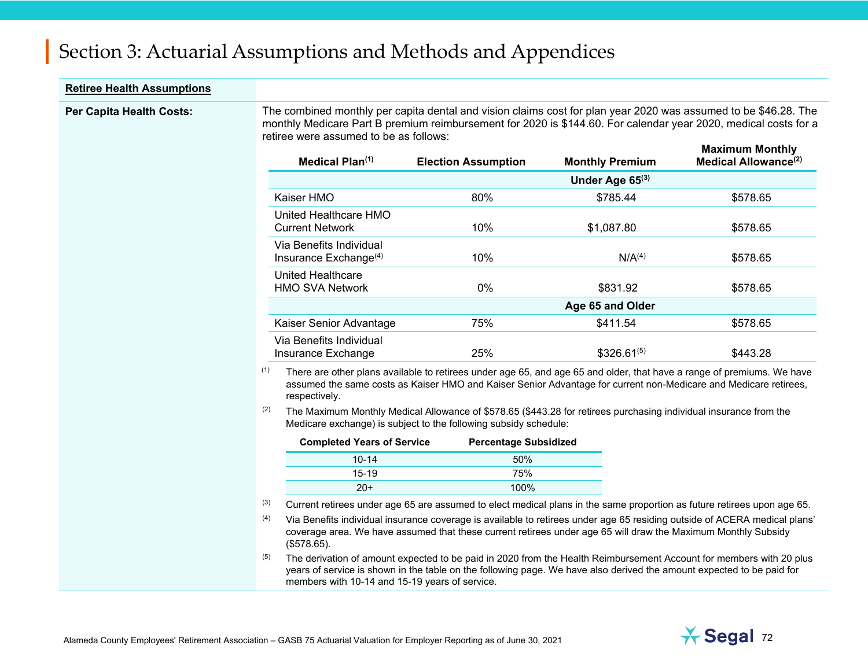| <b>Retiree Health Assumptions</b> |     |                                                                                                                                                                                       |                                                                                                                                                                                                                                              |  |                        |                                                                                                                                                                                                                                    |
|-----------------------------------|-----|---------------------------------------------------------------------------------------------------------------------------------------------------------------------------------------|----------------------------------------------------------------------------------------------------------------------------------------------------------------------------------------------------------------------------------------------|--|------------------------|------------------------------------------------------------------------------------------------------------------------------------------------------------------------------------------------------------------------------------|
| <b>Per Capita Health Costs:</b>   |     | retiree were assumed to be as follows:                                                                                                                                                |                                                                                                                                                                                                                                              |  |                        | The combined monthly per capita dental and vision claims cost for plan year 2020 was assumed to be \$46.28. The<br>monthly Medicare Part B premium reimbursement for 2020 is \$144.60. For calendar year 2020, medical costs for a |
|                                   |     | Medical Plan(1)                                                                                                                                                                       | <b>Election Assumption</b>                                                                                                                                                                                                                   |  | <b>Monthly Premium</b> | <b>Maximum Monthly</b><br>Medical Allowance <sup>(2)</sup>                                                                                                                                                                         |
|                                   |     |                                                                                                                                                                                       |                                                                                                                                                                                                                                              |  | Under Age 65(3)        |                                                                                                                                                                                                                                    |
|                                   |     | Kaiser HMO                                                                                                                                                                            | 80%                                                                                                                                                                                                                                          |  | \$785.44               | \$578.65                                                                                                                                                                                                                           |
|                                   |     | United Healthcare HMO<br><b>Current Network</b>                                                                                                                                       | 10%                                                                                                                                                                                                                                          |  | \$1,087.80             | \$578.65                                                                                                                                                                                                                           |
|                                   |     | Via Benefits Individual<br>Insurance Exchange $(4)$                                                                                                                                   | 10%                                                                                                                                                                                                                                          |  | N/A <sup>(4)</sup>     | \$578.65                                                                                                                                                                                                                           |
|                                   |     | <b>United Healthcare</b><br><b>HMO SVA Network</b>                                                                                                                                    | 0%                                                                                                                                                                                                                                           |  | \$831.92               | \$578.65                                                                                                                                                                                                                           |
|                                   |     |                                                                                                                                                                                       |                                                                                                                                                                                                                                              |  | Age 65 and Older       |                                                                                                                                                                                                                                    |
|                                   |     | Kaiser Senior Advantage                                                                                                                                                               | 75%                                                                                                                                                                                                                                          |  | \$411.54               | \$578.65                                                                                                                                                                                                                           |
|                                   |     | Via Benefits Individual<br>Insurance Exchange                                                                                                                                         | 25%                                                                                                                                                                                                                                          |  | $$326.61^{(5)}$        | \$443.28                                                                                                                                                                                                                           |
|                                   | (1) | respectively.                                                                                                                                                                         | There are other plans available to retirees under age 65, and age 65 and older, that have a range of premiums. We have<br>assumed the same costs as Kaiser HMO and Kaiser Senior Advantage for current non-Medicare and Medicare retirees,   |  |                        |                                                                                                                                                                                                                                    |
|                                   | (2) | The Maximum Monthly Medical Allowance of \$578.65 (\$443.28 for retirees purchasing individual insurance from the<br>Medicare exchange) is subject to the following subsidy schedule: |                                                                                                                                                                                                                                              |  |                        |                                                                                                                                                                                                                                    |
|                                   |     | <b>Completed Years of Service</b>                                                                                                                                                     | <b>Percentage Subsidized</b>                                                                                                                                                                                                                 |  |                        |                                                                                                                                                                                                                                    |
|                                   |     | $10 - 14$                                                                                                                                                                             | 50%                                                                                                                                                                                                                                          |  |                        |                                                                                                                                                                                                                                    |
|                                   |     | 15-19                                                                                                                                                                                 | 75%                                                                                                                                                                                                                                          |  |                        |                                                                                                                                                                                                                                    |
|                                   |     | $20+$                                                                                                                                                                                 | 100%                                                                                                                                                                                                                                         |  |                        |                                                                                                                                                                                                                                    |
|                                   | (3) |                                                                                                                                                                                       | Current retirees under age 65 are assumed to elect medical plans in the same proportion as future retirees upon age 65.                                                                                                                      |  |                        |                                                                                                                                                                                                                                    |
|                                   | (4) | (\$578.65).                                                                                                                                                                           | coverage area. We have assumed that these current retirees under age 65 will draw the Maximum Monthly Subsidy                                                                                                                                |  |                        | Via Benefits individual insurance coverage is available to retirees under age 65 residing outside of ACERA medical plans'                                                                                                          |
|                                   | (5) | members with 10-14 and 15-19 years of service.                                                                                                                                        | The derivation of amount expected to be paid in 2020 from the Health Reimbursement Account for members with 20 plus<br>years of service is shown in the table on the following page. We have also derived the amount expected to be paid for |  |                        |                                                                                                                                                                                                                                    |

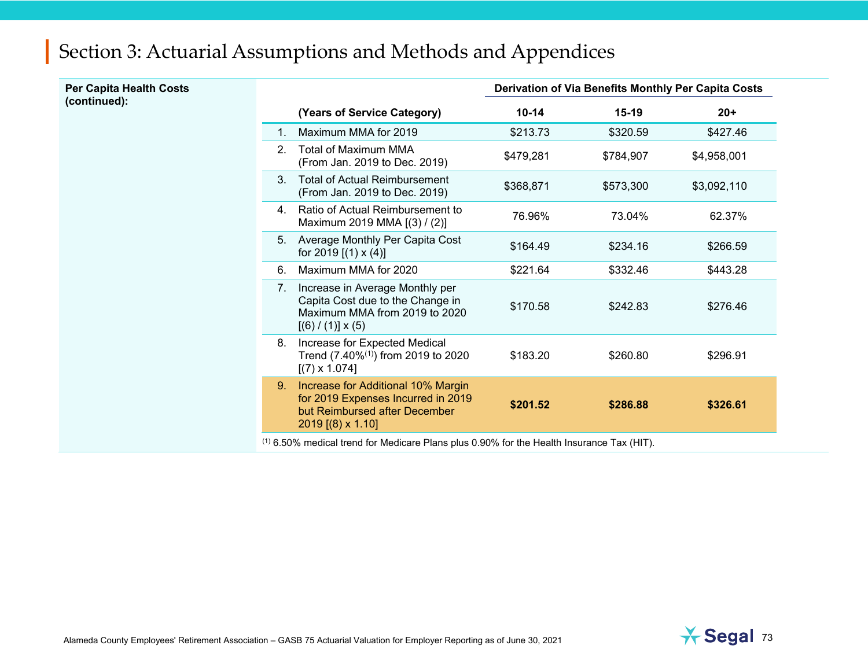| <b>Per Capita Health Costs</b> |                                  |                                                                                                                                  |           |           | Derivation of Via Benefits Monthly Per Capita Costs |
|--------------------------------|----------------------------------|----------------------------------------------------------------------------------------------------------------------------------|-----------|-----------|-----------------------------------------------------|
| (continued):                   |                                  | (Years of Service Category)                                                                                                      | $10 - 14$ | $15-19$   | $20+$                                               |
|                                |                                  | Maximum MMA for 2019                                                                                                             | \$213.73  | \$320.59  | \$427.46                                            |
|                                | 2 <sub>1</sub>                   | <b>Total of Maximum MMA</b><br>(From Jan. 2019 to Dec. 2019)                                                                     | \$479,281 | \$784,907 | \$4,958,001                                         |
|                                | $3_{-}$                          | <b>Total of Actual Reimbursement</b><br>(From Jan. 2019 to Dec. 2019)                                                            | \$368,871 | \$573,300 | \$3,092,110                                         |
|                                | 4.                               | Ratio of Actual Reimbursement to<br>Maximum 2019 MMA [(3) / (2)]                                                                 | 76.96%    | 73.04%    | 62.37%                                              |
|                                |                                  | 5. Average Monthly Per Capita Cost<br>for 2019 $[(1) \times (4)]$                                                                | \$164.49  | \$234.16  | \$266.59                                            |
|                                | 6.                               | Maximum MMA for 2020                                                                                                             | \$221.64  | \$332.46  | \$443.28                                            |
|                                | $7_{\scriptscriptstyle{\ddots}}$ | Increase in Average Monthly per<br>Capita Cost due to the Change in<br>Maximum MMA from 2019 to 2020<br>$[(6) / (1)] \times (5)$ | \$170.58  | \$242.83  | \$276.46                                            |
|                                | 8.                               | Increase for Expected Medical<br>Trend $(7.40\%/1)$ from 2019 to 2020<br>$[(7) \times 1.074]$                                    | \$183.20  | \$260.80  | \$296.91                                            |
|                                | 9.                               | Increase for Additional 10% Margin<br>for 2019 Expenses Incurred in 2019<br>but Reimbursed after December<br>2019 [(8) x 1.10]   | \$201.52  | \$286.88  | \$326.61                                            |

 $(1)$  6.50% medical trend for Medicare Plans plus 0.90% for the Health Insurance Tax (HIT).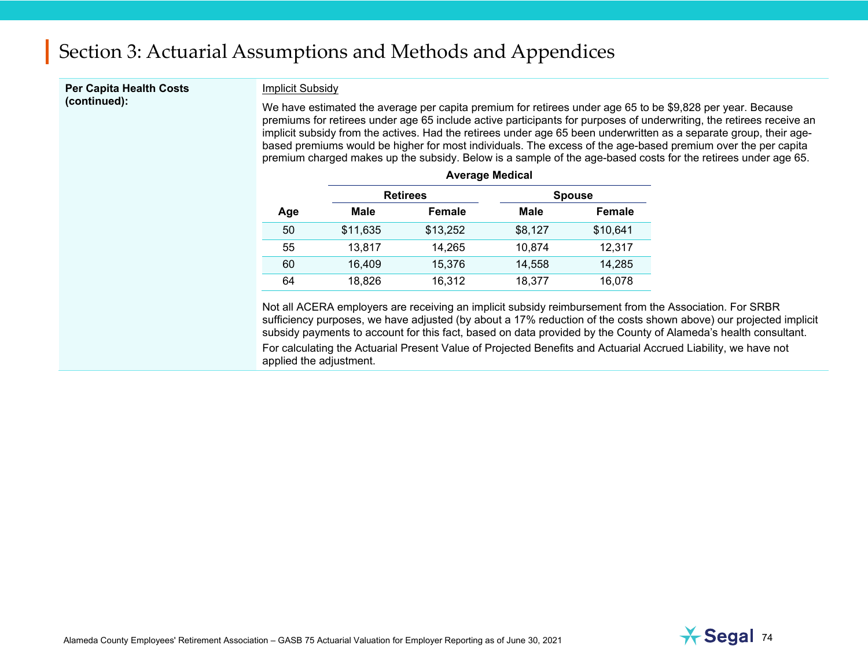**Per Capita Health Costs (continued):** 

#### Implicit Subsidy

We have estimated the average per capita premium for retirees under age 65 to be \$9,828 per year. Because premiums for retirees under age 65 include active participants for purposes of underwriting, the retirees receive an implicit subsidy from the actives. Had the retirees under age 65 been underwritten as a separate group, their agebased premiums would be higher for most individuals. The excess of the age-based premium over the per capita premium charged makes up the subsidy. Below is a sample of the age-based costs for the retirees under age 65.

|     | 1.1.01490001001 |                 |         |               |  |  |  |
|-----|-----------------|-----------------|---------|---------------|--|--|--|
|     |                 | <b>Retirees</b> |         | <b>Spouse</b> |  |  |  |
| Age | Male            | Female          | Male    | <b>Female</b> |  |  |  |
| 50  | \$11,635        | \$13,252        | \$8,127 | \$10,641      |  |  |  |
| 55  | 13,817          | 14,265          | 10,874  | 12,317        |  |  |  |
| 60  | 16,409          | 15,376          | 14,558  | 14,285        |  |  |  |
| 64  | 18,826          | 16,312          | 18,377  | 16,078        |  |  |  |
|     |                 |                 |         |               |  |  |  |

| <b>Average Medical</b> |  |  |  |
|------------------------|--|--|--|
|------------------------|--|--|--|

Not all ACERA employers are receiving an implicit subsidy reimbursement from the Association. For SRBR sufficiency purposes, we have adjusted (by about a 17% reduction of the costs shown above) our projected implicit subsidy payments to account for this fact, based on data provided by the County of Alameda's health consultant. For calculating the Actuarial Present Value of Projected Benefits and Actuarial Accrued Liability, we have not applied the adjustment.

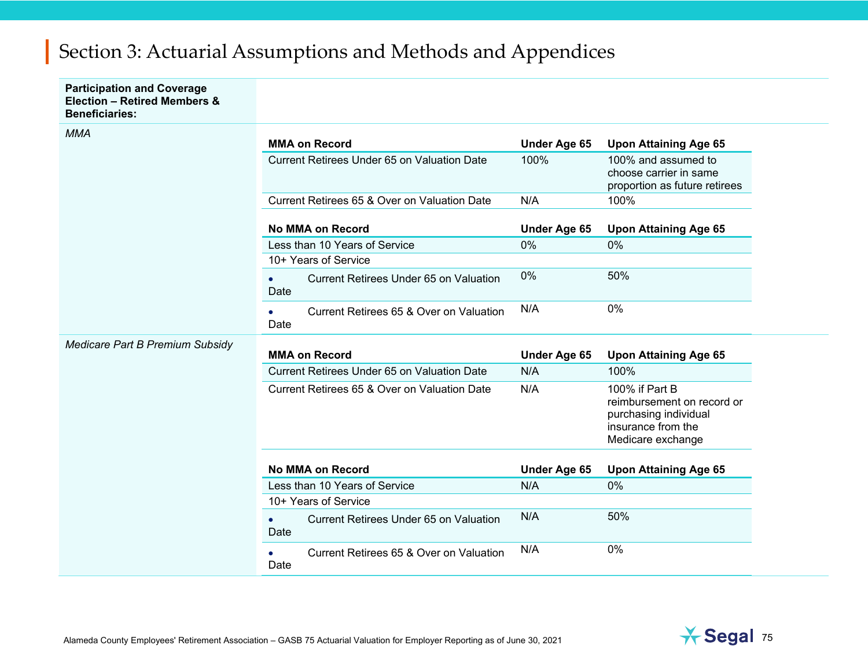| <b>Participation and Coverage</b><br><b>Election - Retired Members &amp;</b><br><b>Beneficiaries:</b> |                                                       |                     |                                                                                                                  |
|-------------------------------------------------------------------------------------------------------|-------------------------------------------------------|---------------------|------------------------------------------------------------------------------------------------------------------|
| <b>MMA</b>                                                                                            | <b>MMA on Record</b>                                  | <b>Under Age 65</b> | <b>Upon Attaining Age 65</b>                                                                                     |
|                                                                                                       | <b>Current Retirees Under 65 on Valuation Date</b>    | 100%                | 100% and assumed to<br>choose carrier in same<br>proportion as future retirees                                   |
|                                                                                                       | Current Retirees 65 & Over on Valuation Date          | N/A                 | 100%                                                                                                             |
|                                                                                                       | <b>No MMA on Record</b>                               | <b>Under Age 65</b> | <b>Upon Attaining Age 65</b>                                                                                     |
|                                                                                                       | Less than 10 Years of Service                         | 0%                  | $0\%$                                                                                                            |
|                                                                                                       | 10+ Years of Service                                  |                     |                                                                                                                  |
|                                                                                                       | <b>Current Retirees Under 65 on Valuation</b><br>Date | 0%                  | 50%                                                                                                              |
|                                                                                                       | Current Retirees 65 & Over on Valuation<br>Date       | N/A                 | 0%                                                                                                               |
| <b>Medicare Part B Premium Subsidy</b>                                                                | <b>MMA on Record</b>                                  | <b>Under Age 65</b> | <b>Upon Attaining Age 65</b>                                                                                     |
|                                                                                                       | <b>Current Retirees Under 65 on Valuation Date</b>    | N/A                 | 100%                                                                                                             |
|                                                                                                       | Current Retirees 65 & Over on Valuation Date          | N/A                 | 100% if Part B<br>reimbursement on record or<br>purchasing individual<br>insurance from the<br>Medicare exchange |
|                                                                                                       | <b>No MMA on Record</b>                               | Under Age 65        | <b>Upon Attaining Age 65</b>                                                                                     |
|                                                                                                       | Less than 10 Years of Service                         | N/A                 | 0%                                                                                                               |
|                                                                                                       | 10+ Years of Service                                  |                     |                                                                                                                  |
|                                                                                                       | <b>Current Retirees Under 65 on Valuation</b><br>Date | N/A                 | 50%                                                                                                              |
|                                                                                                       | Current Retirees 65 & Over on Valuation<br>Date       | N/A                 | 0%                                                                                                               |

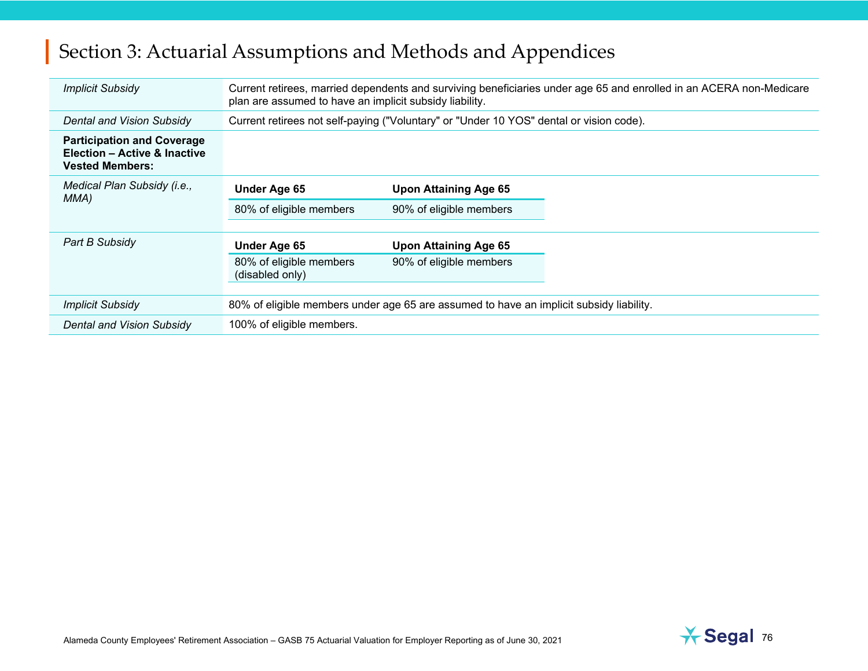| <b>Implicit Subsidy</b>                                                                     | Current retirees, married dependents and surviving beneficiaries under age 65 and enrolled in an ACERA non-Medicare<br>plan are assumed to have an implicit subsidy liability. |                                                                                         |  |  |  |
|---------------------------------------------------------------------------------------------|--------------------------------------------------------------------------------------------------------------------------------------------------------------------------------|-----------------------------------------------------------------------------------------|--|--|--|
| <b>Dental and Vision Subsidy</b>                                                            |                                                                                                                                                                                | Current retirees not self-paying ("Voluntary" or "Under 10 YOS" dental or vision code). |  |  |  |
| <b>Participation and Coverage</b><br>Election - Active & Inactive<br><b>Vested Members:</b> |                                                                                                                                                                                |                                                                                         |  |  |  |
| Medical Plan Subsidy (i.e.,<br>MMA)                                                         | <b>Under Age 65</b>                                                                                                                                                            | <b>Upon Attaining Age 65</b>                                                            |  |  |  |
|                                                                                             | 80% of eligible members                                                                                                                                                        | 90% of eligible members                                                                 |  |  |  |
|                                                                                             |                                                                                                                                                                                |                                                                                         |  |  |  |
| Part B Subsidy                                                                              | Under Age 65                                                                                                                                                                   | <b>Upon Attaining Age 65</b>                                                            |  |  |  |
|                                                                                             | 80% of eligible members<br>(disabled only)                                                                                                                                     | 90% of eligible members                                                                 |  |  |  |
|                                                                                             |                                                                                                                                                                                |                                                                                         |  |  |  |
| <b>Implicit Subsidy</b>                                                                     | 80% of eligible members under age 65 are assumed to have an implicit subsidy liability.                                                                                        |                                                                                         |  |  |  |
| <b>Dental and Vision Subsidy</b>                                                            | 100% of eligible members.                                                                                                                                                      |                                                                                         |  |  |  |

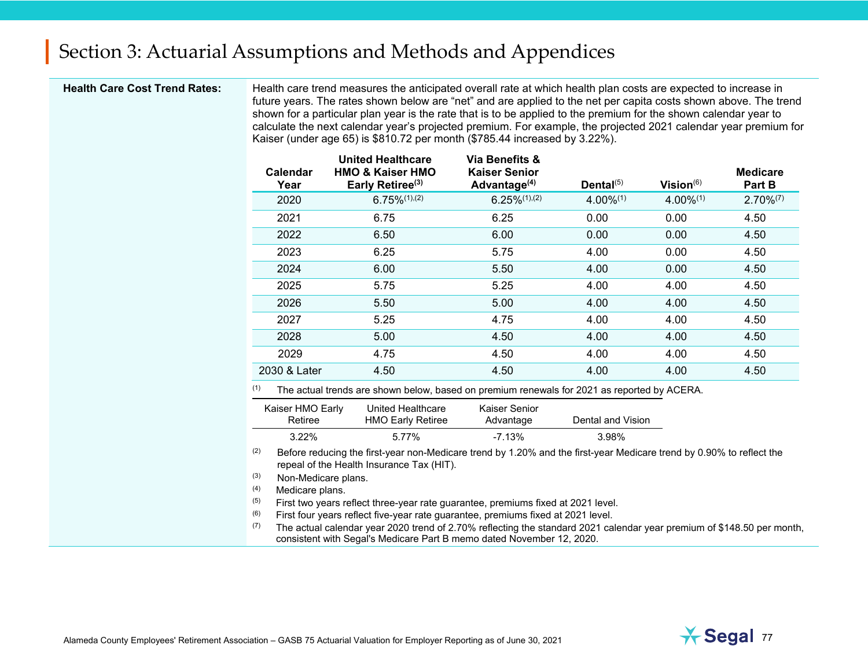#### **Health Care Cost Trend Rates:**

 Health care trend measures the anticipated overall rate at which health plan costs are expected to increase in future years. The rates shown below are "net" and are applied to the net per capita costs shown above. The trend shown for a particular plan year is the rate that is to be applied to the premium for the shown calendar year to calculate the next calendar year's projected premium. For example, the projected 2021 calendar year premium for Kaiser (under age 65) is \$810.72 per month (\$785.44 increased by 3.22%).

| Calendar<br>Year | <b>United Healthcare</b><br><b>HMO &amp; Kaiser HMO</b><br>Early Retiree <sup>(3)</sup>     | Via Benefits &<br><b>Kaiser Senior</b><br>Advantage $(4)$ | Dental $(5)$   | Vision ${}^{(6)}$ | <b>Medicare</b><br>Part B |
|------------------|---------------------------------------------------------------------------------------------|-----------------------------------------------------------|----------------|-------------------|---------------------------|
| 2020             | $6.75\%/1, (2)$                                                                             | $6.25\%^{(1),(2)}$                                        | $4.00\%^{(1)}$ | $4.00\%^{(1)}$    | $2.70\%^{(7)}$            |
| 2021             | 6.75                                                                                        | 6.25                                                      | 0.00           | 0.00              | 4.50                      |
| 2022             | 6.50                                                                                        | 6.00                                                      | 0.00           | 0.00              | 4.50                      |
| 2023             | 6.25                                                                                        | 5.75                                                      | 4.00           | 0.00              | 4.50                      |
| 2024             | 6.00                                                                                        | 5.50                                                      | 4.00           | 0.00              | 4.50                      |
| 2025             | 5.75                                                                                        | 5.25                                                      | 4.00           | 4.00              | 4.50                      |
| 2026             | 5.50                                                                                        | 5.00                                                      | 4.00           | 4.00              | 4.50                      |
| 2027             | 5.25                                                                                        | 4.75                                                      | 4.00           | 4.00              | 4.50                      |
| 2028             | 5.00                                                                                        | 4.50                                                      | 4.00           | 4.00              | 4.50                      |
| 2029             | 4.75                                                                                        | 4.50                                                      | 4.00           | 4.00              | 4.50                      |
| 2030 & Later     | 4.50                                                                                        | 4.50                                                      | 4.00           | 4.00              | 4.50                      |
| (1)              | The actual trends are shown below, based on premium renewals for 2021 as reported by ACERA. |                                                           |                |                   |                           |

| Kaiser HMO Early | United Healthcare        | Kaiser Senior | Dental and Vision |
|------------------|--------------------------|---------------|-------------------|
| Retiree          | <b>HMO Early Retiree</b> | Advantage     |                   |
| $3.22\%$         | 5.77%                    | -7.13%        | 3.98%             |

 $(2)$  Before reducing the first-year non-Medicare trend by 1.20% and the first-year Medicare trend by 0.90% to reflect the repeal of the Health Insurance Tax (HIT).

(3) Non-Medicare plans.

(4) Medicare plans.

 $(5)$  First two years reflect three-year rate guarantee, premiums fixed at 2021 level.

 $(6)$  First four years reflect five-year rate guarantee, premiums fixed at 2021 level.

 $(7)$  The actual calendar year 2020 trend of 2.70% reflecting the standard 2021 calendar year premium of \$148.50 per month, consistent with Segal's Medicare Part B memo dated November 12, 2020.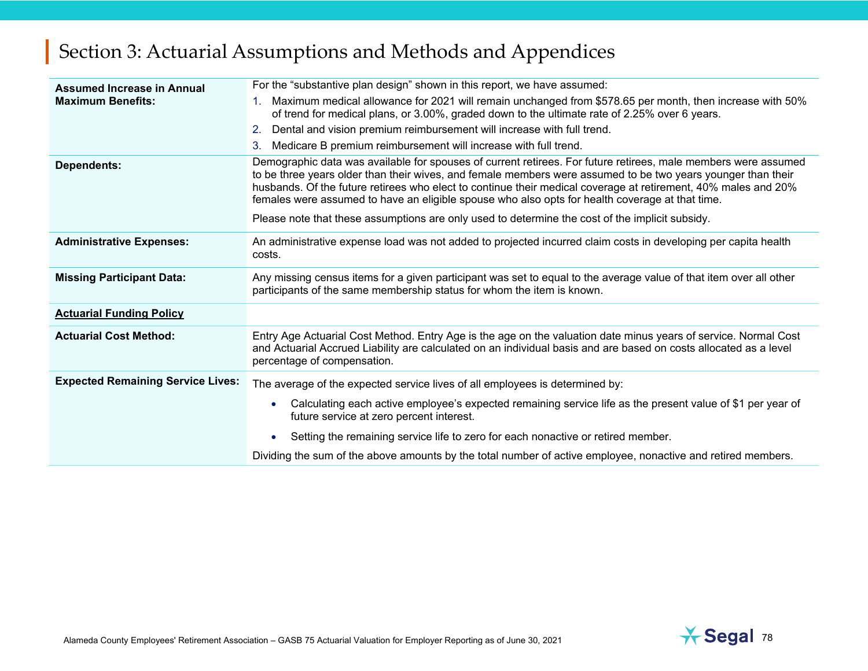| For the "substantive plan design" shown in this report, we have assumed:<br><b>Assumed Increase in Annual</b><br>Maximum medical allowance for 2021 will remain unchanged from \$578.65 per month, then increase with 50%<br><b>Maximum Benefits:</b><br>of trend for medical plans, or 3.00%, graded down to the ultimate rate of 2.25% over 6 years.<br>Dental and vision premium reimbursement will increase with full trend.<br>2.<br>Medicare B premium reimbursement will increase with full trend.<br>3.<br>Demographic data was available for spouses of current retirees. For future retirees, male members were assumed<br><b>Dependents:</b><br>to be three years older than their wives, and female members were assumed to be two years younger than their<br>husbands. Of the future retirees who elect to continue their medical coverage at retirement, 40% males and 20%<br>females were assumed to have an eligible spouse who also opts for health coverage at that time.<br>Please note that these assumptions are only used to determine the cost of the implicit subsidy.<br>An administrative expense load was not added to projected incurred claim costs in developing per capita health<br><b>Administrative Expenses:</b><br>costs. |
|----------------------------------------------------------------------------------------------------------------------------------------------------------------------------------------------------------------------------------------------------------------------------------------------------------------------------------------------------------------------------------------------------------------------------------------------------------------------------------------------------------------------------------------------------------------------------------------------------------------------------------------------------------------------------------------------------------------------------------------------------------------------------------------------------------------------------------------------------------------------------------------------------------------------------------------------------------------------------------------------------------------------------------------------------------------------------------------------------------------------------------------------------------------------------------------------------------------------------------------------------------------|
|                                                                                                                                                                                                                                                                                                                                                                                                                                                                                                                                                                                                                                                                                                                                                                                                                                                                                                                                                                                                                                                                                                                                                                                                                                                                |
|                                                                                                                                                                                                                                                                                                                                                                                                                                                                                                                                                                                                                                                                                                                                                                                                                                                                                                                                                                                                                                                                                                                                                                                                                                                                |
|                                                                                                                                                                                                                                                                                                                                                                                                                                                                                                                                                                                                                                                                                                                                                                                                                                                                                                                                                                                                                                                                                                                                                                                                                                                                |
|                                                                                                                                                                                                                                                                                                                                                                                                                                                                                                                                                                                                                                                                                                                                                                                                                                                                                                                                                                                                                                                                                                                                                                                                                                                                |
|                                                                                                                                                                                                                                                                                                                                                                                                                                                                                                                                                                                                                                                                                                                                                                                                                                                                                                                                                                                                                                                                                                                                                                                                                                                                |
|                                                                                                                                                                                                                                                                                                                                                                                                                                                                                                                                                                                                                                                                                                                                                                                                                                                                                                                                                                                                                                                                                                                                                                                                                                                                |
| Any missing census items for a given participant was set to equal to the average value of that item over all other<br><b>Missing Participant Data:</b><br>participants of the same membership status for whom the item is known.                                                                                                                                                                                                                                                                                                                                                                                                                                                                                                                                                                                                                                                                                                                                                                                                                                                                                                                                                                                                                               |
| <b>Actuarial Funding Policy</b>                                                                                                                                                                                                                                                                                                                                                                                                                                                                                                                                                                                                                                                                                                                                                                                                                                                                                                                                                                                                                                                                                                                                                                                                                                |
| Entry Age Actuarial Cost Method. Entry Age is the age on the valuation date minus years of service. Normal Cost<br><b>Actuarial Cost Method:</b><br>and Actuarial Accrued Liability are calculated on an individual basis and are based on costs allocated as a level<br>percentage of compensation.                                                                                                                                                                                                                                                                                                                                                                                                                                                                                                                                                                                                                                                                                                                                                                                                                                                                                                                                                           |
| <b>Expected Remaining Service Lives:</b><br>The average of the expected service lives of all employees is determined by:                                                                                                                                                                                                                                                                                                                                                                                                                                                                                                                                                                                                                                                                                                                                                                                                                                                                                                                                                                                                                                                                                                                                       |
| Calculating each active employee's expected remaining service life as the present value of \$1 per year of<br>future service at zero percent interest.                                                                                                                                                                                                                                                                                                                                                                                                                                                                                                                                                                                                                                                                                                                                                                                                                                                                                                                                                                                                                                                                                                         |
| Setting the remaining service life to zero for each nonactive or retired member.                                                                                                                                                                                                                                                                                                                                                                                                                                                                                                                                                                                                                                                                                                                                                                                                                                                                                                                                                                                                                                                                                                                                                                               |
| Dividing the sum of the above amounts by the total number of active employee, nonactive and retired members.                                                                                                                                                                                                                                                                                                                                                                                                                                                                                                                                                                                                                                                                                                                                                                                                                                                                                                                                                                                                                                                                                                                                                   |

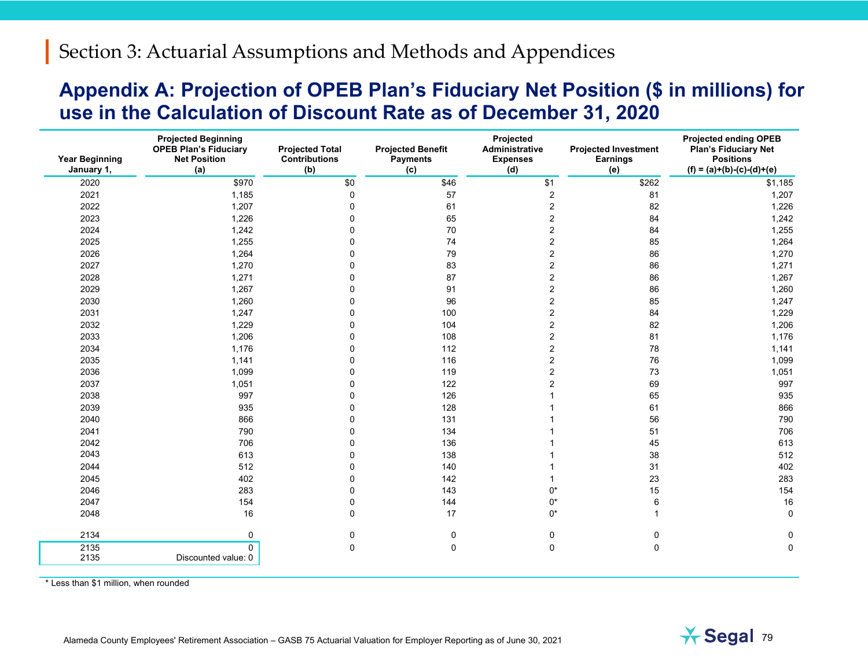#### **Appendix A: Projection of OPEB Plan's Fiduciary Net Position (\$ in millions) for use in the Calculation of Discount Rate as of December 31, 2020**

| <b>Year Beginning</b><br>January 1, | <b>Projected Beginning</b><br><b>OPEB Plan's Fiduciary</b><br><b>Net Position</b><br>(a) | <b>Projected Total</b><br><b>Contributions</b><br>(b) | <b>Projected Benefit</b><br><b>Payments</b><br>(c) | Projected<br>Administrative<br><b>Expenses</b><br>(d) | <b>Projected Investment</b><br><b>Earnings</b><br>(e) | <b>Projected ending OPEB</b><br>Plan's Fiduciary Net<br><b>Positions</b><br>$(f) = (a)+(b)-(c)-(d)+(e)$ |
|-------------------------------------|------------------------------------------------------------------------------------------|-------------------------------------------------------|----------------------------------------------------|-------------------------------------------------------|-------------------------------------------------------|---------------------------------------------------------------------------------------------------------|
| 2020                                | \$970                                                                                    | \$0                                                   | \$46                                               | \$1                                                   | \$262                                                 | \$1,185                                                                                                 |
| 2021                                | 1,185                                                                                    | $\mathbf 0$                                           | 57                                                 | $\sqrt{2}$                                            | 81                                                    | 1,207                                                                                                   |
| 2022                                | 1,207                                                                                    | $\mathbf 0$                                           | 61                                                 | $\overline{c}$                                        | 82                                                    | 1,226                                                                                                   |
| 2023                                | 1,226                                                                                    | 0                                                     | 65                                                 | $\mathbf 2$                                           | 84                                                    | 1,242                                                                                                   |
| 2024                                | 1,242                                                                                    | 0                                                     | $70\,$                                             | $\overline{c}$                                        | 84                                                    | 1,255                                                                                                   |
| 2025                                | 1,255                                                                                    | 0                                                     | 74                                                 | $\overline{c}$                                        | 85                                                    | 1,264                                                                                                   |
| 2026                                | 1,264                                                                                    | 0                                                     | 79                                                 | $\overline{c}$                                        | 86                                                    | 1,270                                                                                                   |
| 2027                                | 1,270                                                                                    | 0                                                     | 83                                                 | $\overline{c}$                                        | 86                                                    | 1,271                                                                                                   |
| 2028                                | 1,271                                                                                    | 0                                                     | 87                                                 | $\overline{c}$                                        | 86                                                    | 1,267                                                                                                   |
| 2029                                | 1,267                                                                                    | 0                                                     | 91                                                 | $\mathbf 2$                                           | 86                                                    | 1,260                                                                                                   |
| 2030                                | 1,260                                                                                    | 0                                                     | 96                                                 | $\overline{c}$                                        | 85                                                    | 1,247                                                                                                   |
| 2031                                | 1,247                                                                                    | 0                                                     | 100                                                | $\boldsymbol{2}$                                      | 84                                                    | 1,229                                                                                                   |
| 2032                                | 1,229                                                                                    | 0                                                     | 104                                                | $\overline{c}$                                        | 82                                                    | 1,206                                                                                                   |
| 2033                                | 1,206                                                                                    | $\Omega$                                              | 108                                                | $\mathbf 2$                                           | 81                                                    | 1,176                                                                                                   |
| 2034                                | 1,176                                                                                    | 0                                                     | 112                                                | $\sqrt{2}$                                            | 78                                                    | 1,141                                                                                                   |
| 2035                                | 1,141                                                                                    | 0                                                     | 116                                                | $\overline{c}$                                        | 76                                                    | 1,099                                                                                                   |
| 2036                                | 1,099                                                                                    | 0                                                     | 119                                                | $\overline{2}$                                        | 73                                                    | 1,051                                                                                                   |
| 2037                                | 1,051                                                                                    | 0                                                     | 122                                                | 2                                                     | 69                                                    | 997                                                                                                     |
| 2038                                | 997                                                                                      | 0                                                     | 126                                                |                                                       | 65                                                    | 935                                                                                                     |
| 2039                                | 935                                                                                      | 0                                                     | 128                                                |                                                       | 61                                                    | 866                                                                                                     |
| 2040                                | 866                                                                                      | 0                                                     | 131                                                |                                                       | 56                                                    | 790                                                                                                     |
| 2041                                | 790                                                                                      | 0                                                     | 134                                                |                                                       | 51                                                    | 706                                                                                                     |
| 2042                                | 706                                                                                      | 0                                                     | 136                                                |                                                       | 45                                                    | 613                                                                                                     |
| 2043                                | 613                                                                                      | 0                                                     | 138                                                |                                                       | 38                                                    | 512                                                                                                     |
| 2044                                | 512                                                                                      | 0                                                     | 140                                                |                                                       | 31                                                    | 402                                                                                                     |
| 2045                                | 402                                                                                      | 0                                                     | 142                                                | 1                                                     | 23                                                    | 283                                                                                                     |
| 2046                                | 283                                                                                      | 0                                                     | 143                                                | 0*                                                    | 15                                                    | 154                                                                                                     |
| 2047                                | 154                                                                                      | $\mathbf 0$                                           | 144                                                | 0*                                                    | 6                                                     | 16                                                                                                      |
| 2048                                | 16                                                                                       | $\mathbf 0$                                           | 17                                                 | 0*                                                    | $\overline{1}$                                        | $\pmb{0}$                                                                                               |
| 2134                                | 0                                                                                        | 0                                                     | 0                                                  | 0                                                     | 0                                                     | 0                                                                                                       |
| 2135                                | $\overline{0}$                                                                           | $\mathbf 0$                                           | $\mathbf 0$                                        | $\mathbf 0$                                           | $\mathbf 0$                                           | $\mathbf 0$                                                                                             |
| 2135                                | Discounted value: 0                                                                      |                                                       |                                                    |                                                       |                                                       |                                                                                                         |

\* Less than \$1 million, when rounded

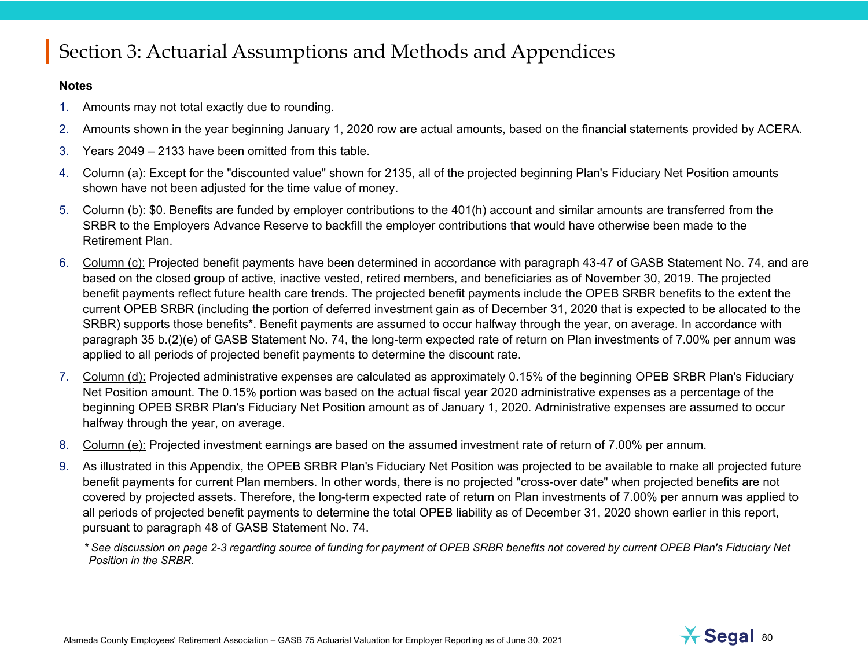#### **Notes**

- 1. Amounts may not total exactly due to rounding.
- 2. Amounts shown in the year beginning January 1, 2020 row are actual amounts, based on the financial statements provided by ACERA.
- 3. Years 2049 2133 have been omitted from this table.
- 4. Column (a): Except for the "discounted value" shown for 2135, all of the projected beginning Plan's Fiduciary Net Position amounts shown have not been adjusted for the time value of money.
- 5. Column (b): \$0. Benefits are funded by employer contributions to the 401(h) account and similar amounts are transferred from the SRBR to the Employers Advance Reserve to backfill the employer contributions that would have otherwise been made to the Retirement Plan.
- 6. Column (c): Projected benefit payments have been determined in accordance with paragraph 43-47 of GASB Statement No. 74, and are based on the closed group of active, inactive vested, retired members, and beneficiaries as of November 30, 2019. The projected benefit payments reflect future health care trends. The projected benefit payments include the OPEB SRBR benefits to the extent the current OPEB SRBR (including the portion of deferred investment gain as of December 31, 2020 that is expected to be allocated to the SRBR) supports those benefits\*. Benefit payments are assumed to occur halfway through the year, on average. In accordance with paragraph 35 b.(2)(e) of GASB Statement No. 74, the long-term expected rate of return on Plan investments of 7.00% per annum was applied to all periods of projected benefit payments to determine the discount rate.
- 7. Column (d): Projected administrative expenses are calculated as approximately 0.15% of the beginning OPEB SRBR Plan's Fiduciary Net Position amount. The 0.15% portion was based on the actual fiscal year 2020 administrative expenses as a percentage of the beginning OPEB SRBR Plan's Fiduciary Net Position amount as of January 1, 2020. Administrative expenses are assumed to occur halfway through the year, on average.
- 8. Column (e): Projected investment earnings are based on the assumed investment rate of return of 7.00% per annum.
- 9. As illustrated in this Appendix, the OPEB SRBR Plan's Fiduciary Net Position was projected to be available to make all projected future benefit payments for current Plan members. In other words, there is no projected "cross-over date" when projected benefits are not covered by projected assets. Therefore, the long-term expected rate of return on Plan investments of 7.00% per annum was applied to all periods of projected benefit payments to determine the total OPEB liability as of December 31, 2020 shown earlier in this report, pursuant to paragraph 48 of GASB Statement No. 74.

*\* See discussion on page 2-3 regarding source of funding for payment of OPEB SRBR benefits not covered by current OPEB Plan's Fiduciary Net Position in the SRBR.*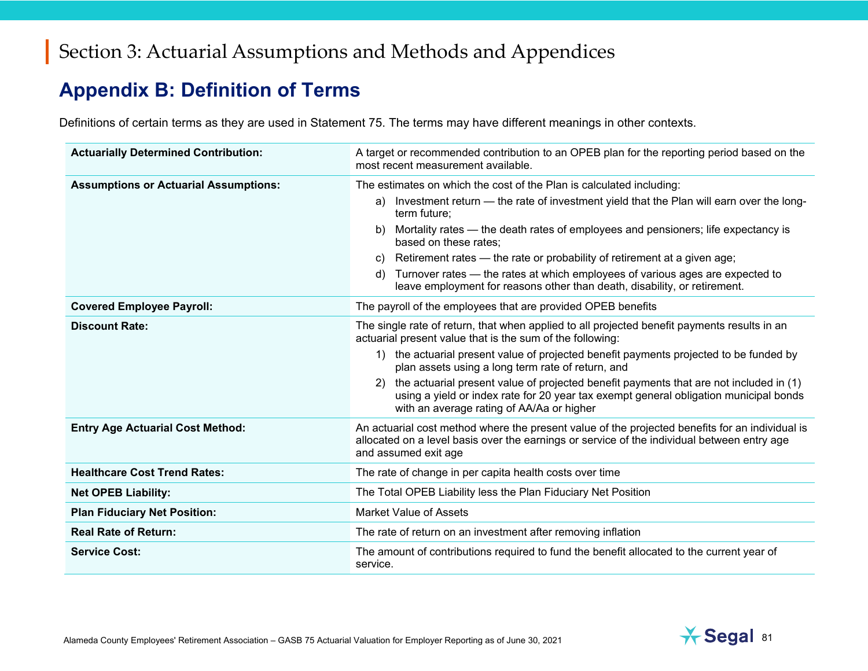### **Appendix B: Definition of Terms**

Definitions of certain terms as they are used in Statement 75. The terms may have different meanings in other contexts.

| <b>Actuarially Determined Contribution:</b>  | A target or recommended contribution to an OPEB plan for the reporting period based on the<br>most recent measurement available.                                                                                             |  |  |  |  |
|----------------------------------------------|------------------------------------------------------------------------------------------------------------------------------------------------------------------------------------------------------------------------------|--|--|--|--|
| <b>Assumptions or Actuarial Assumptions:</b> | The estimates on which the cost of the Plan is calculated including:                                                                                                                                                         |  |  |  |  |
|                                              | a) Investment return — the rate of investment yield that the Plan will earn over the long-<br>term future;                                                                                                                   |  |  |  |  |
|                                              | Mortality rates — the death rates of employees and pensioners; life expectancy is<br>b)<br>based on these rates;                                                                                                             |  |  |  |  |
|                                              | c) Retirement rates — the rate or probability of retirement at a given age;                                                                                                                                                  |  |  |  |  |
|                                              | Turnover rates — the rates at which employees of various ages are expected to<br>d)<br>leave employment for reasons other than death, disability, or retirement.                                                             |  |  |  |  |
| <b>Covered Employee Payroll:</b>             | The payroll of the employees that are provided OPEB benefits                                                                                                                                                                 |  |  |  |  |
| <b>Discount Rate:</b>                        | The single rate of return, that when applied to all projected benefit payments results in an<br>actuarial present value that is the sum of the following:                                                                    |  |  |  |  |
|                                              | 1) the actuarial present value of projected benefit payments projected to be funded by<br>plan assets using a long term rate of return, and                                                                                  |  |  |  |  |
|                                              | the actuarial present value of projected benefit payments that are not included in (1)<br>using a yield or index rate for 20 year tax exempt general obligation municipal bonds<br>with an average rating of AA/Aa or higher |  |  |  |  |
| <b>Entry Age Actuarial Cost Method:</b>      | An actuarial cost method where the present value of the projected benefits for an individual is<br>allocated on a level basis over the earnings or service of the individual between entry age<br>and assumed exit age       |  |  |  |  |
| <b>Healthcare Cost Trend Rates:</b>          | The rate of change in per capita health costs over time                                                                                                                                                                      |  |  |  |  |
| <b>Net OPEB Liability:</b>                   | The Total OPEB Liability less the Plan Fiduciary Net Position                                                                                                                                                                |  |  |  |  |
| <b>Plan Fiduciary Net Position:</b>          | <b>Market Value of Assets</b>                                                                                                                                                                                                |  |  |  |  |
| <b>Real Rate of Return:</b>                  | The rate of return on an investment after removing inflation                                                                                                                                                                 |  |  |  |  |
| <b>Service Cost:</b>                         | The amount of contributions required to fund the benefit allocated to the current year of<br>service.                                                                                                                        |  |  |  |  |